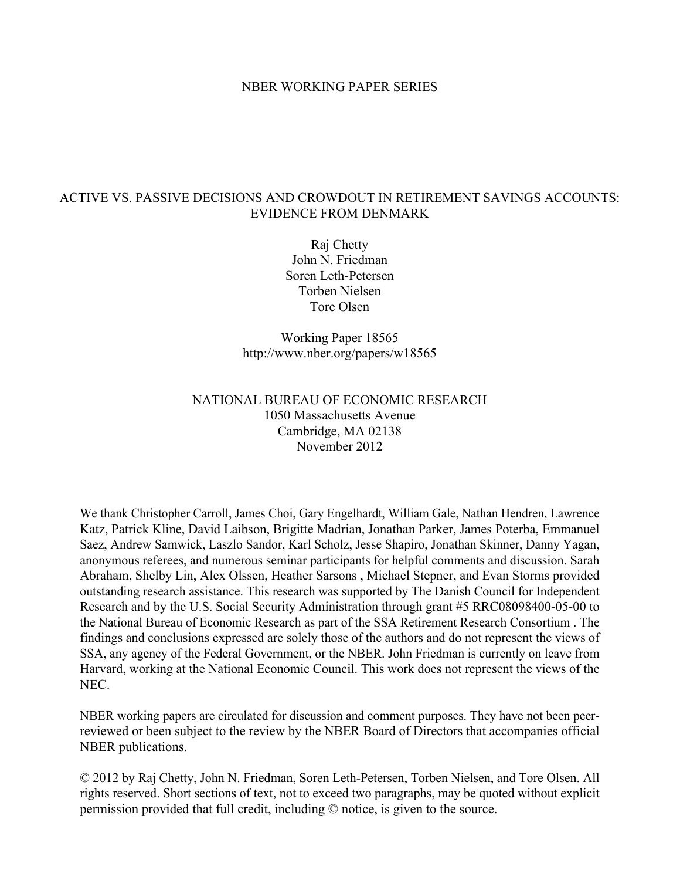### NBER WORKING PAPER SERIES

## ACTIVE VS. PASSIVE DECISIONS AND CROWDOUT IN RETIREMENT SAVINGS ACCOUNTS: EVIDENCE FROM DENMARK

Raj Chetty John N. Friedman Soren Leth-Petersen Torben Nielsen Tore Olsen

Working Paper 18565 http://www.nber.org/papers/w18565

## NATIONAL BUREAU OF ECONOMIC RESEARCH 1050 Massachusetts Avenue Cambridge, MA 02138 November 2012

We thank Christopher Carroll, James Choi, Gary Engelhardt, William Gale, Nathan Hendren, Lawrence Katz, Patrick Kline, David Laibson, Brigitte Madrian, Jonathan Parker, James Poterba, Emmanuel Saez, Andrew Samwick, Laszlo Sandor, Karl Scholz, Jesse Shapiro, Jonathan Skinner, Danny Yagan, anonymous referees, and numerous seminar participants for helpful comments and discussion. Sarah Abraham, Shelby Lin, Alex Olssen, Heather Sarsons , Michael Stepner, and Evan Storms provided outstanding research assistance. This research was supported by The Danish Council for Independent Research and by the U.S. Social Security Administration through grant #5 RRC08098400-05-00 to the National Bureau of Economic Research as part of the SSA Retirement Research Consortium . The findings and conclusions expressed are solely those of the authors and do not represent the views of SSA, any agency of the Federal Government, or the NBER. John Friedman is currently on leave from Harvard, working at the National Economic Council. This work does not represent the views of the NEC.

NBER working papers are circulated for discussion and comment purposes. They have not been peerreviewed or been subject to the review by the NBER Board of Directors that accompanies official NBER publications.

© 2012 by Raj Chetty, John N. Friedman, Soren Leth-Petersen, Torben Nielsen, and Tore Olsen. All rights reserved. Short sections of text, not to exceed two paragraphs, may be quoted without explicit permission provided that full credit, including © notice, is given to the source.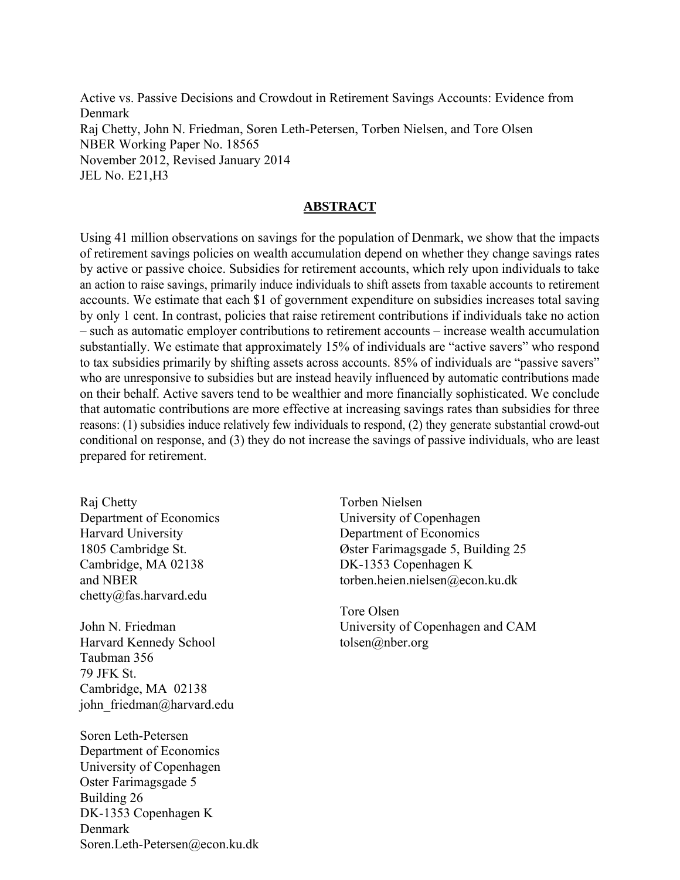Active vs. Passive Decisions and Crowdout in Retirement Savings Accounts: Evidence from Denmark Raj Chetty, John N. Friedman, Soren Leth-Petersen, Torben Nielsen, and Tore Olsen NBER Working Paper No. 18565 November 2012, Revised January 2014 JEL No. E21,H3

## **ABSTRACT**

Using 41 million observations on savings for the population of Denmark, we show that the impacts of retirement savings policies on wealth accumulation depend on whether they change savings rates by active or passive choice. Subsidies for retirement accounts, which rely upon individuals to take an action to raise savings, primarily induce individuals to shift assets from taxable accounts to retirement accounts. We estimate that each \$1 of government expenditure on subsidies increases total saving by only 1 cent. In contrast, policies that raise retirement contributions if individuals take no action – such as automatic employer contributions to retirement accounts – increase wealth accumulation substantially. We estimate that approximately 15% of individuals are "active savers" who respond to tax subsidies primarily by shifting assets across accounts. 85% of individuals are "passive savers" who are unresponsive to subsidies but are instead heavily influenced by automatic contributions made on their behalf. Active savers tend to be wealthier and more financially sophisticated. We conclude that automatic contributions are more effective at increasing savings rates than subsidies for three reasons: (1) subsidies induce relatively few individuals to respond, (2) they generate substantial crowd-out conditional on response, and (3) they do not increase the savings of passive individuals, who are least prepared for retirement.

Raj Chetty Department of Economics Harvard University 1805 Cambridge St. Cambridge, MA 02138 and NBER chetty@fas.harvard.edu

John N. Friedman Harvard Kennedy School Taubman 356 79 JFK St. Cambridge, MA 02138 john friedman@harvard.edu

Soren Leth-Petersen Department of Economics University of Copenhagen Oster Farimagsgade 5 Building 26 DK-1353 Copenhagen K Denmark Soren.Leth-Petersen@econ.ku.dk Torben Nielsen University of Copenhagen Department of Economics Øster Farimagsgade 5, Building 25 DK-1353 Copenhagen K torben.heien.nielsen@econ.ku.dk

Tore Olsen University of Copenhagen and CAM tolsen@nber.org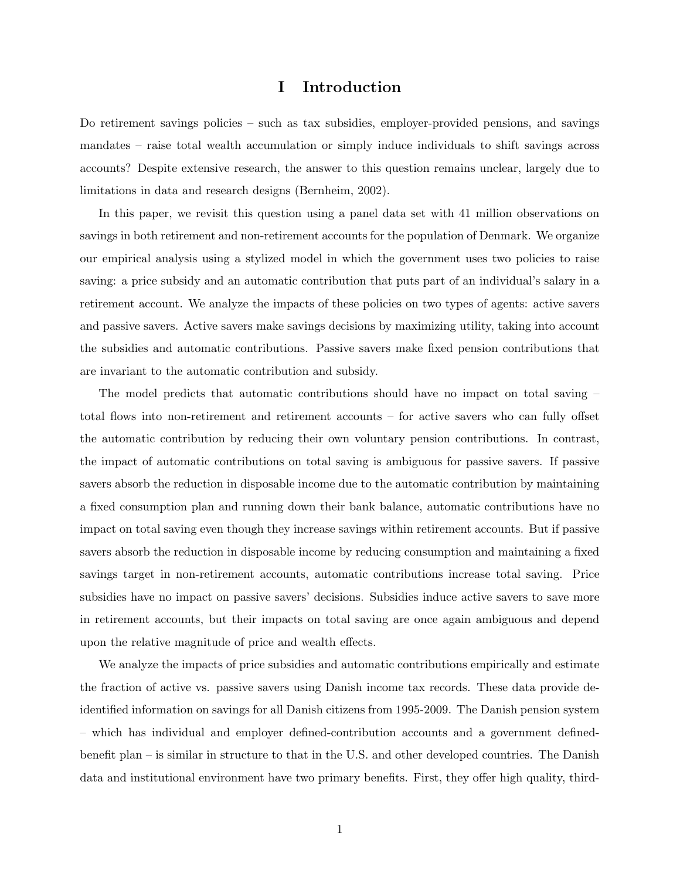## I Introduction

Do retirement savings policies – such as tax subsidies, employer-provided pensions, and savings mandates – raise total wealth accumulation or simply induce individuals to shift savings across accounts? Despite extensive research, the answer to this question remains unclear, largely due to limitations in data and research designs (Bernheim, 2002).

In this paper, we revisit this question using a panel data set with 41 million observations on savings in both retirement and non-retirement accounts for the population of Denmark. We organize our empirical analysis using a stylized model in which the government uses two policies to raise saving: a price subsidy and an automatic contribution that puts part of an individual's salary in a retirement account. We analyze the impacts of these policies on two types of agents: active savers and passive savers. Active savers make savings decisions by maximizing utility, taking into account the subsidies and automatic contributions. Passive savers make fixed pension contributions that are invariant to the automatic contribution and subsidy.

The model predicts that automatic contributions should have no impact on total saving – total flows into non-retirement and retirement accounts – for active savers who can fully offset the automatic contribution by reducing their own voluntary pension contributions. In contrast, the impact of automatic contributions on total saving is ambiguous for passive savers. If passive savers absorb the reduction in disposable income due to the automatic contribution by maintaining a fixed consumption plan and running down their bank balance, automatic contributions have no impact on total saving even though they increase savings within retirement accounts. But if passive savers absorb the reduction in disposable income by reducing consumption and maintaining a fixed savings target in non-retirement accounts, automatic contributions increase total saving. Price subsidies have no impact on passive savers' decisions. Subsidies induce active savers to save more in retirement accounts, but their impacts on total saving are once again ambiguous and depend upon the relative magnitude of price and wealth effects.

We analyze the impacts of price subsidies and automatic contributions empirically and estimate the fraction of active vs. passive savers using Danish income tax records. These data provide deidentified information on savings for all Danish citizens from 1995-2009. The Danish pension system – which has individual and employer defined-contribution accounts and a government definedbenefit plan – is similar in structure to that in the U.S. and other developed countries. The Danish data and institutional environment have two primary benefits. First, they offer high quality, third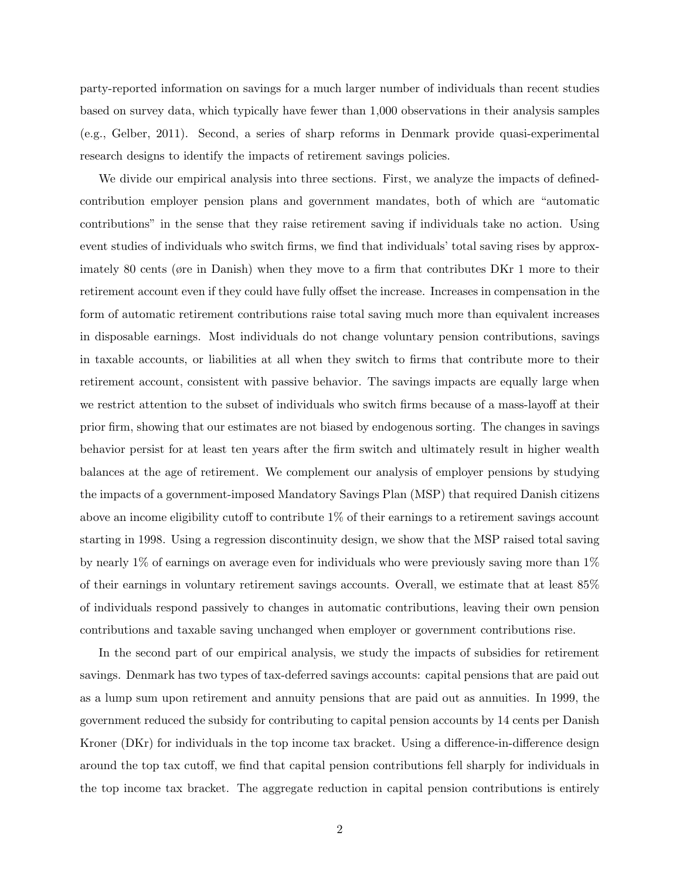party-reported information on savings for a much larger number of individuals than recent studies based on survey data, which typically have fewer than 1,000 observations in their analysis samples (e.g., Gelber, 2011). Second, a series of sharp reforms in Denmark provide quasi-experimental research designs to identify the impacts of retirement savings policies.

We divide our empirical analysis into three sections. First, we analyze the impacts of definedcontribution employer pension plans and government mandates, both of which are "automatic contributions" in the sense that they raise retirement saving if individuals take no action. Using event studies of individuals who switch firms, we find that individuals' total saving rises by approximately 80 cents (øre in Danish) when they move to a firm that contributes DKr 1 more to their retirement account even if they could have fully offset the increase. Increases in compensation in the form of automatic retirement contributions raise total saving much more than equivalent increases in disposable earnings. Most individuals do not change voluntary pension contributions, savings in taxable accounts, or liabilities at all when they switch to firms that contribute more to their retirement account, consistent with passive behavior. The savings impacts are equally large when we restrict attention to the subset of individuals who switch firms because of a mass-layoff at their prior firm, showing that our estimates are not biased by endogenous sorting. The changes in savings behavior persist for at least ten years after the firm switch and ultimately result in higher wealth balances at the age of retirement. We complement our analysis of employer pensions by studying the impacts of a government-imposed Mandatory Savings Plan (MSP) that required Danish citizens above an income eligibility cutoff to contribute 1% of their earnings to a retirement savings account starting in 1998. Using a regression discontinuity design, we show that the MSP raised total saving by nearly 1% of earnings on average even for individuals who were previously saving more than 1% of their earnings in voluntary retirement savings accounts. Overall, we estimate that at least 85% of individuals respond passively to changes in automatic contributions, leaving their own pension contributions and taxable saving unchanged when employer or government contributions rise.

In the second part of our empirical analysis, we study the impacts of subsidies for retirement savings. Denmark has two types of tax-deferred savings accounts: capital pensions that are paid out as a lump sum upon retirement and annuity pensions that are paid out as annuities. In 1999, the government reduced the subsidy for contributing to capital pension accounts by 14 cents per Danish Kroner (DKr) for individuals in the top income tax bracket. Using a difference-in-difference design around the top tax cutoff, we find that capital pension contributions fell sharply for individuals in the top income tax bracket. The aggregate reduction in capital pension contributions is entirely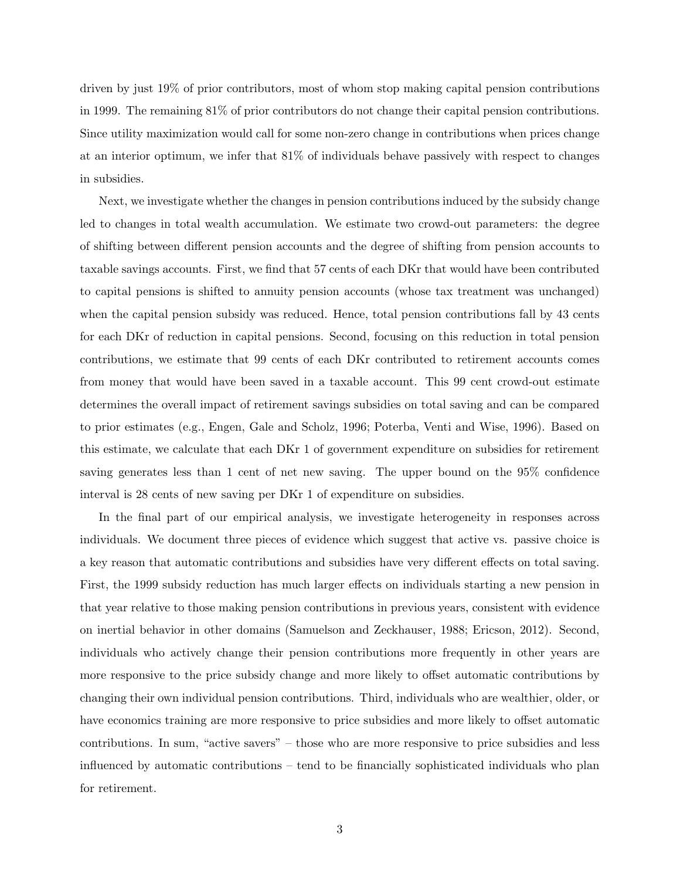driven by just 19% of prior contributors, most of whom stop making capital pension contributions in 1999. The remaining 81% of prior contributors do not change their capital pension contributions. Since utility maximization would call for some non-zero change in contributions when prices change at an interior optimum, we infer that 81% of individuals behave passively with respect to changes in subsidies.

Next, we investigate whether the changes in pension contributions induced by the subsidy change led to changes in total wealth accumulation. We estimate two crowd-out parameters: the degree of shifting between different pension accounts and the degree of shifting from pension accounts to taxable savings accounts. First, we find that 57 cents of each DKr that would have been contributed to capital pensions is shifted to annuity pension accounts (whose tax treatment was unchanged) when the capital pension subsidy was reduced. Hence, total pension contributions fall by 43 cents for each DKr of reduction in capital pensions. Second, focusing on this reduction in total pension contributions, we estimate that 99 cents of each DKr contributed to retirement accounts comes from money that would have been saved in a taxable account. This 99 cent crowd-out estimate determines the overall impact of retirement savings subsidies on total saving and can be compared to prior estimates (e.g., Engen, Gale and Scholz, 1996; Poterba, Venti and Wise, 1996). Based on this estimate, we calculate that each DKr 1 of government expenditure on subsidies for retirement saving generates less than 1 cent of net new saving. The upper bound on the 95% confidence interval is 28 cents of new saving per DKr 1 of expenditure on subsidies.

In the final part of our empirical analysis, we investigate heterogeneity in responses across individuals. We document three pieces of evidence which suggest that active vs. passive choice is a key reason that automatic contributions and subsidies have very different effects on total saving. First, the 1999 subsidy reduction has much larger effects on individuals starting a new pension in that year relative to those making pension contributions in previous years, consistent with evidence on inertial behavior in other domains (Samuelson and Zeckhauser, 1988; Ericson, 2012). Second, individuals who actively change their pension contributions more frequently in other years are more responsive to the price subsidy change and more likely to offset automatic contributions by changing their own individual pension contributions. Third, individuals who are wealthier, older, or have economics training are more responsive to price subsidies and more likely to offset automatic contributions. In sum, "active savers" – those who are more responsive to price subsidies and less influenced by automatic contributions – tend to be financially sophisticated individuals who plan for retirement.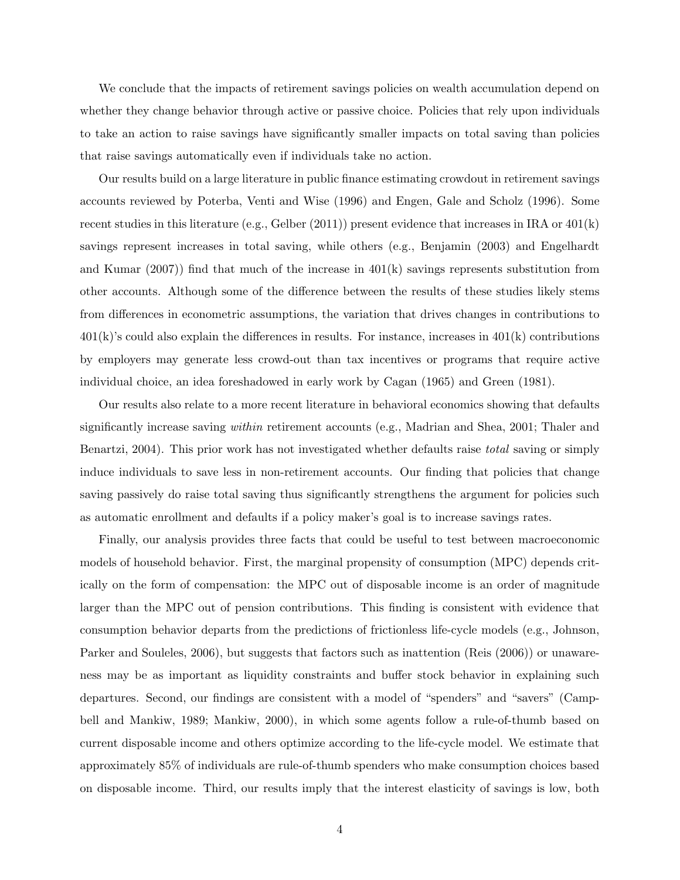We conclude that the impacts of retirement savings policies on wealth accumulation depend on whether they change behavior through active or passive choice. Policies that rely upon individuals to take an action to raise savings have significantly smaller impacts on total saving than policies that raise savings automatically even if individuals take no action.

Our results build on a large literature in public finance estimating crowdout in retirement savings accounts reviewed by Poterba, Venti and Wise (1996) and Engen, Gale and Scholz (1996). Some recent studies in this literature (e.g., Gelber  $(2011)$ ) present evidence that increases in IRA or  $401(k)$ savings represent increases in total saving, while others (e.g., Benjamin (2003) and Engelhardt and Kumar  $(2007)$  find that much of the increase in  $401(k)$  savings represents substitution from other accounts. Although some of the difference between the results of these studies likely stems from differences in econometric assumptions, the variation that drives changes in contributions to  $401(k)$ 's could also explain the differences in results. For instance, increases in  $401(k)$  contributions by employers may generate less crowd-out than tax incentives or programs that require active individual choice, an idea foreshadowed in early work by Cagan (1965) and Green (1981).

Our results also relate to a more recent literature in behavioral economics showing that defaults significantly increase saving within retirement accounts (e.g., Madrian and Shea, 2001; Thaler and Benartzi, 2004). This prior work has not investigated whether defaults raise *total* saving or simply induce individuals to save less in non-retirement accounts. Our finding that policies that change saving passively do raise total saving thus significantly strengthens the argument for policies such as automatic enrollment and defaults if a policy maker's goal is to increase savings rates.

Finally, our analysis provides three facts that could be useful to test between macroeconomic models of household behavior. First, the marginal propensity of consumption (MPC) depends critically on the form of compensation: the MPC out of disposable income is an order of magnitude larger than the MPC out of pension contributions. This finding is consistent with evidence that consumption behavior departs from the predictions of frictionless life-cycle models (e.g., Johnson, Parker and Souleles, 2006), but suggests that factors such as inattention (Reis (2006)) or unawareness may be as important as liquidity constraints and buffer stock behavior in explaining such departures. Second, our findings are consistent with a model of "spenders" and "savers" (Campbell and Mankiw, 1989; Mankiw, 2000), in which some agents follow a rule-of-thumb based on current disposable income and others optimize according to the life-cycle model. We estimate that approximately 85% of individuals are rule-of-thumb spenders who make consumption choices based on disposable income. Third, our results imply that the interest elasticity of savings is low, both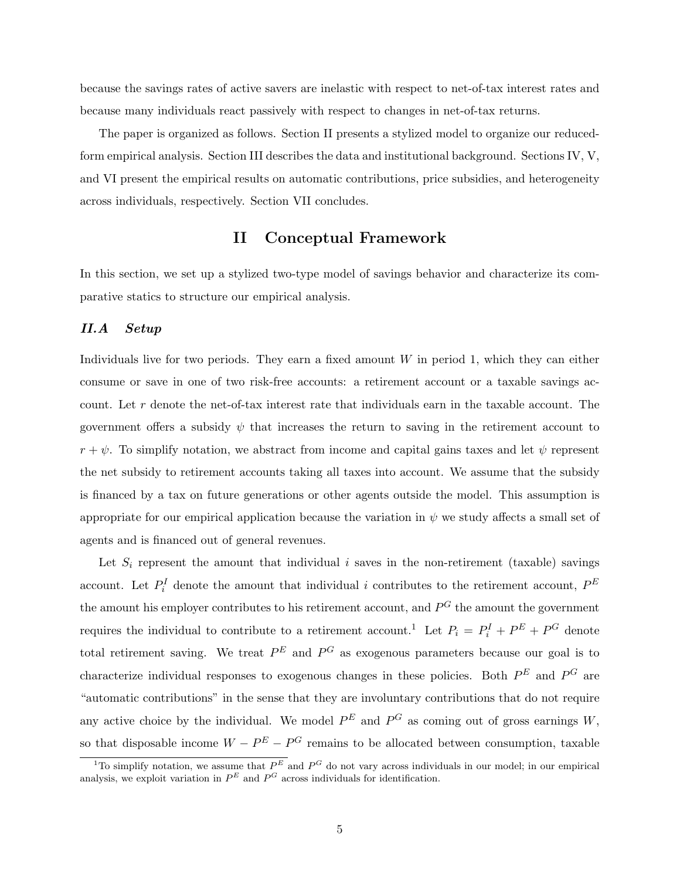because the savings rates of active savers are inelastic with respect to net-of-tax interest rates and because many individuals react passively with respect to changes in net-of-tax returns.

The paper is organized as follows. Section II presents a stylized model to organize our reducedform empirical analysis. Section III describes the data and institutional background. Sections IV, V, and VI present the empirical results on automatic contributions, price subsidies, and heterogeneity across individuals, respectively. Section VII concludes.

## II Conceptual Framework

In this section, we set up a stylized two-type model of savings behavior and characterize its comparative statics to structure our empirical analysis.

### II.A Setup

Individuals live for two periods. They earn a fixed amount  $W$  in period 1, which they can either consume or save in one of two risk-free accounts: a retirement account or a taxable savings account. Let r denote the net-of-tax interest rate that individuals earn in the taxable account. The government offers a subsidy  $\psi$  that increases the return to saving in the retirement account to  $r + \psi$ . To simplify notation, we abstract from income and capital gains taxes and let  $\psi$  represent the net subsidy to retirement accounts taking all taxes into account. We assume that the subsidy is financed by a tax on future generations or other agents outside the model. This assumption is appropriate for our empirical application because the variation in  $\psi$  we study affects a small set of agents and is financed out of general revenues.

Let  $S_i$  represent the amount that individual i saves in the non-retirement (taxable) savings account. Let  $P_i^I$  denote the amount that individual i contributes to the retirement account,  $P^E$ the amount his employer contributes to his retirement account, and  $P^G$  the amount the government requires the individual to contribute to a retirement account.<sup>1</sup> Let  $P_i = P_i^I + P^E + P^G$  denote total retirement saving. We treat  $P^{E}$  and  $P^{G}$  as exogenous parameters because our goal is to characterize individual responses to exogenous changes in these policies. Both  $P^{E}$  and  $P^{G}$  are "automatic contributions" in the sense that they are involuntary contributions that do not require any active choice by the individual. We model  $P^{E}$  and  $P^{G}$  as coming out of gross earnings W, so that disposable income  $W - P^{E} - P^{G}$  remains to be allocated between consumption, taxable

<sup>&</sup>lt;sup>1</sup>To simplify notation, we assume that  $P<sup>E</sup>$  and  $P<sup>G</sup>$  do not vary across individuals in our model; in our empirical analysis, we exploit variation in  $P^{E}$  and  $P^{G}$  across individuals for identification.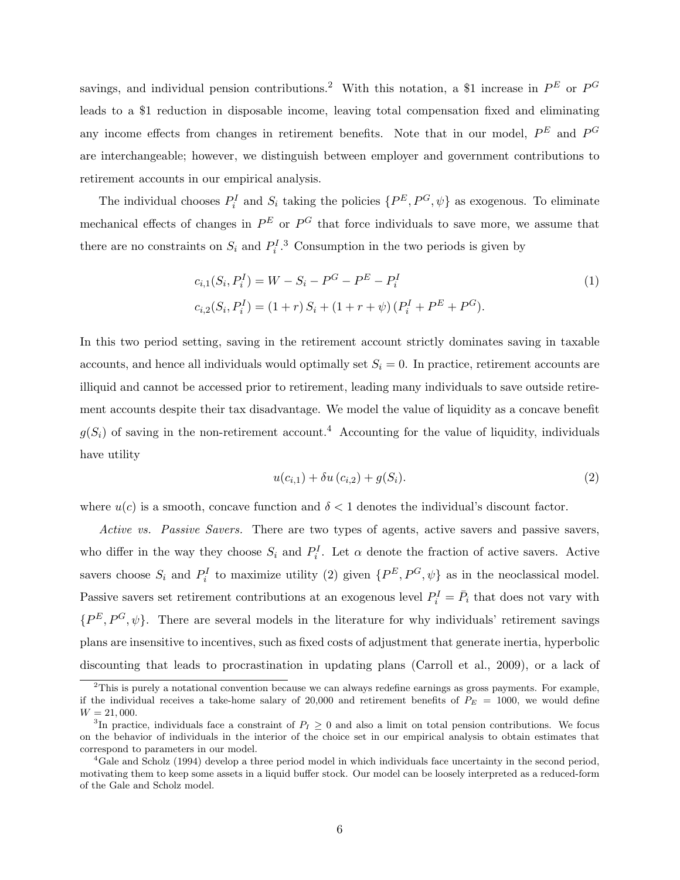savings, and individual pension contributions.<sup>2</sup> With this notation, a \$1 increase in  $P^E$  or  $P^G$ leads to a \$1 reduction in disposable income, leaving total compensation fixed and eliminating any income effects from changes in retirement benefits. Note that in our model,  $P^{E}$  and  $P^{G}$ are interchangeable; however, we distinguish between employer and government contributions to retirement accounts in our empirical analysis.

The individual chooses  $P_i^I$  and  $S_i$  taking the policies  $\{P^E, P^G, \psi\}$  as exogenous. To eliminate mechanical effects of changes in  $P^E$  or  $P^G$  that force individuals to save more, we assume that there are no constraints on  $S_i$  and  $P_i^I$ .<sup>3</sup> Consumption in the two periods is given by

$$
c_{i,1}(S_i, P_i^I) = W - S_i - P^G - P^E - P_i^I
$$
  
\n
$$
c_{i,2}(S_i, P_i^I) = (1+r) S_i + (1+r+\psi) (P_i^I + P^E + P^G).
$$
\n(1)

In this two period setting, saving in the retirement account strictly dominates saving in taxable accounts, and hence all individuals would optimally set  $S_i = 0$ . In practice, retirement accounts are illiquid and cannot be accessed prior to retirement, leading many individuals to save outside retirement accounts despite their tax disadvantage. We model the value of liquidity as a concave benefit  $g(S_i)$  of saving in the non-retirement account.<sup>4</sup> Accounting for the value of liquidity, individuals have utility

$$
u(c_{i,1}) + \delta u(c_{i,2}) + g(S_i). \tag{2}
$$

where  $u(c)$  is a smooth, concave function and  $\delta < 1$  denotes the individual's discount factor.

Active vs. Passive Savers. There are two types of agents, active savers and passive savers, who differ in the way they choose  $S_i$  and  $P_i^I$ . Let  $\alpha$  denote the fraction of active savers. Active savers choose  $S_i$  and  $P_i^I$  to maximize utility (2) given  $\{P^E, P^G, \psi\}$  as in the neoclassical model. Passive savers set retirement contributions at an exogenous level  $P_i^I = \overline{P}_i$  that does not vary with  $\{P^E, P^G, \psi\}.$  There are several models in the literature for why individuals' retirement savings plans are insensitive to incentives, such as fixed costs of adjustment that generate inertia, hyperbolic discounting that leads to procrastination in updating plans (Carroll et al., 2009), or a lack of

 $2$ This is purely a notational convention because we can always redefine earnings as gross payments. For example, if the individual receives a take-home salary of 20,000 and retirement benefits of  $P_E$  = 1000, we would define  $W = 21,000.$ 

<sup>&</sup>lt;sup>3</sup>In practice, individuals face a constraint of  $P_I \geq 0$  and also a limit on total pension contributions. We focus on the behavior of individuals in the interior of the choice set in our empirical analysis to obtain estimates that correspond to parameters in our model.

<sup>4</sup>Gale and Scholz (1994) develop a three period model in which individuals face uncertainty in the second period, motivating them to keep some assets in a liquid buffer stock. Our model can be loosely interpreted as a reduced-form of the Gale and Scholz model.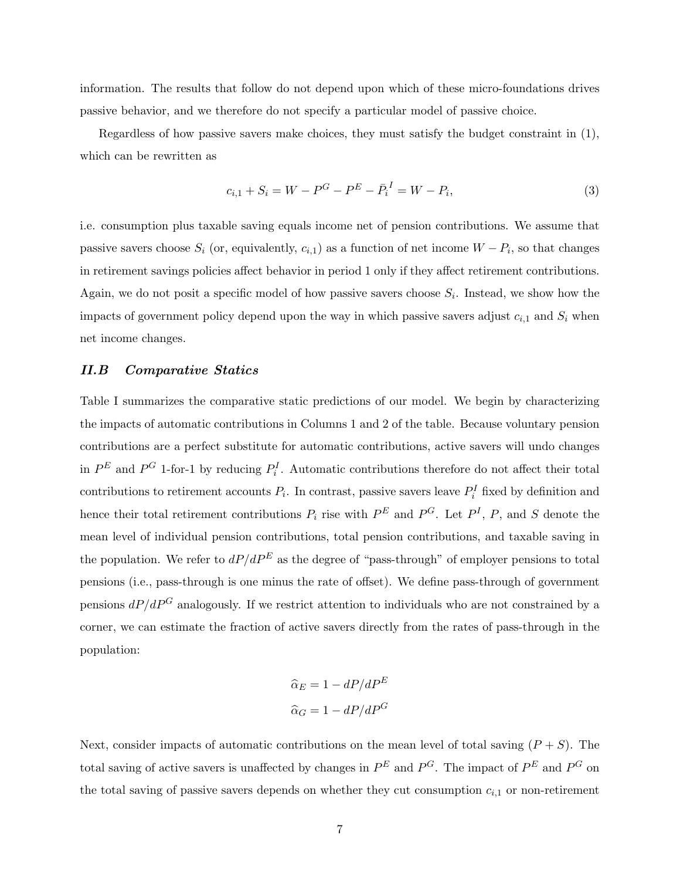information. The results that follow do not depend upon which of these micro-foundations drives passive behavior, and we therefore do not specify a particular model of passive choice.

Regardless of how passive savers make choices, they must satisfy the budget constraint in (1), which can be rewritten as

$$
c_{i,1} + S_i = W - P^G - P^E - \bar{P}_i^I = W - P_i,\tag{3}
$$

i.e. consumption plus taxable saving equals income net of pension contributions. We assume that passive savers choose  $S_i$  (or, equivalently,  $c_{i,1}$ ) as a function of net income  $W - P_i$ , so that changes in retirement savings policies affect behavior in period 1 only if they affect retirement contributions. Again, we do not posit a specific model of how passive savers choose  $S_i$ . Instead, we show how the impacts of government policy depend upon the way in which passive savers adjust  $c_{i,1}$  and  $S_i$  when net income changes.

### II.B Comparative Statics

Table I summarizes the comparative static predictions of our model. We begin by characterizing the impacts of automatic contributions in Columns 1 and 2 of the table. Because voluntary pension contributions are a perfect substitute for automatic contributions, active savers will undo changes in  $P^E$  and  $P^G$  1-for-1 by reducing  $P_i^I$ . Automatic contributions therefore do not affect their total contributions to retirement accounts  $P_i$ . In contrast, passive savers leave  $P_i^I$  fixed by definition and hence their total retirement contributions  $P_i$  rise with  $P^E$  and  $P^G$ . Let  $P^I$ ,  $P$ , and S denote the mean level of individual pension contributions, total pension contributions, and taxable saving in the population. We refer to  $dP/dP^E$  as the degree of "pass-through" of employer pensions to total pensions (i.e., pass-through is one minus the rate of offset). We define pass-through of government pensions  $dP/dP^G$  analogously. If we restrict attention to individuals who are not constrained by a corner, we can estimate the fraction of active savers directly from the rates of pass-through in the population:

$$
\hat{\alpha}_E = 1 - dP/dP^E
$$

$$
\hat{\alpha}_G = 1 - dP/dP^G
$$

Next, consider impacts of automatic contributions on the mean level of total saving  $(P + S)$ . The total saving of active savers is unaffected by changes in  $P^E$  and  $P^G$ . The impact of  $P^E$  and  $P^G$  on the total saving of passive savers depends on whether they cut consumption  $c_{i,1}$  or non-retirement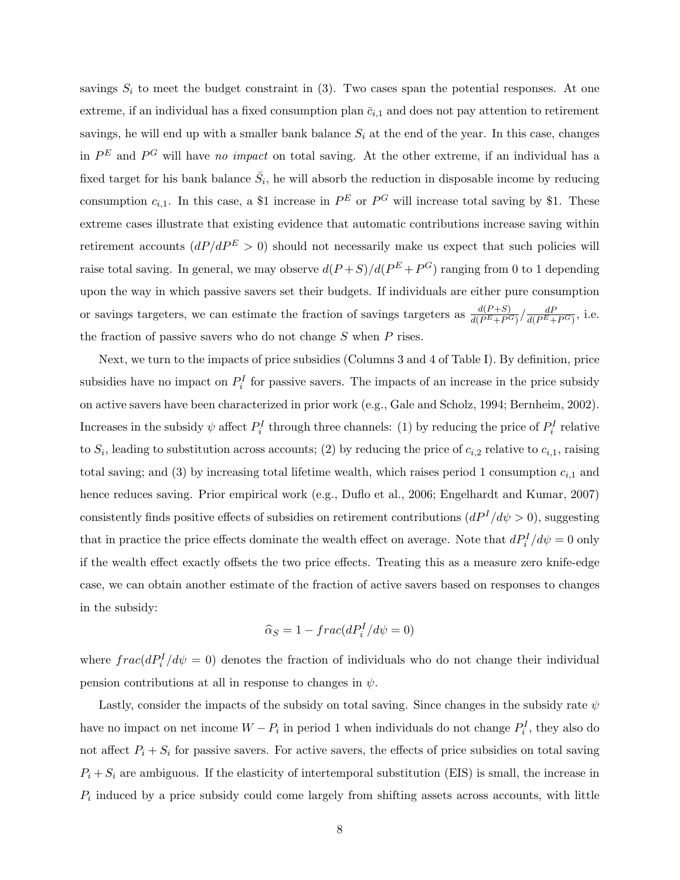savings  $S_i$  to meet the budget constraint in (3). Two cases span the potential responses. At one extreme, if an individual has a fixed consumption plan  $\bar{c}_{i,1}$  and does not pay attention to retirement savings, he will end up with a smaller bank balance  $S_i$  at the end of the year. In this case, changes in  $P^{E}$  and  $P^{G}$  will have no impact on total saving. At the other extreme, if an individual has a fixed target for his bank balance  $\bar{S}_i$ , he will absorb the reduction in disposable income by reducing consumption  $c_{i,1}$ . In this case, a \$1 increase in  $P^E$  or  $P^G$  will increase total saving by \$1. These extreme cases illustrate that existing evidence that automatic contributions increase saving within retirement accounts  $(dP/dP^E > 0)$  should not necessarily make us expect that such policies will raise total saving. In general, we may observe  $d(P+S)/d(P^E+P^G)$  ranging from 0 to 1 depending upon the way in which passive savers set their budgets. If individuals are either pure consumption or savings targeters, we can estimate the fraction of savings targeters as  $\frac{d(P+S)}{d(P^E+P^G)} / \frac{dP}{d(P^E+P^G)}$ , i.e. the fraction of passive savers who do not change  $S$  when  $P$  rises.

Next, we turn to the impacts of price subsidies (Columns 3 and 4 of Table I). By definition, price subsidies have no impact on  $P_i^I$  for passive savers. The impacts of an increase in the price subsidy on active savers have been characterized in prior work (e.g., Gale and Scholz, 1994; Bernheim, 2002). Increases in the subsidy  $\psi$  affect  $P_i^I$  through three channels: (1) by reducing the price of  $P_i^I$  relative to  $S_i$ , leading to substitution across accounts; (2) by reducing the price of  $c_{i,2}$  relative to  $c_{i,1}$ , raising total saving; and (3) by increasing total lifetime wealth, which raises period 1 consumption  $c_{i,1}$  and hence reduces saving. Prior empirical work (e.g., Duflo et al., 2006; Engelhardt and Kumar, 2007) consistently finds positive effects of subsidies on retirement contributions  $(dP<sup>I</sup>/d\psi > 0)$ , suggesting that in practice the price effects dominate the wealth effect on average. Note that  $dP_i^I/d\psi = 0$  only if the wealth effect exactly offsets the two price effects. Treating this as a measure zero knife-edge case, we can obtain another estimate of the fraction of active savers based on responses to changes in the subsidy:

$$
\widehat{\alpha}_S = 1 - frac(dP_i^I/d\psi = 0)
$$

where  $frac(dP_i^I/d\psi = 0)$  denotes the fraction of individuals who do not change their individual pension contributions at all in response to changes in  $\psi$ .

Lastly, consider the impacts of the subsidy on total saving. Since changes in the subsidy rate  $\psi$ have no impact on net income  $W - P_i$  in period 1 when individuals do not change  $P_i^I$ , they also do not affect  $P_i + S_i$  for passive savers. For active savers, the effects of price subsidies on total saving  $P_i + S_i$  are ambiguous. If the elasticity of intertemporal substitution (EIS) is small, the increase in  $P_i$  induced by a price subsidy could come largely from shifting assets across accounts, with little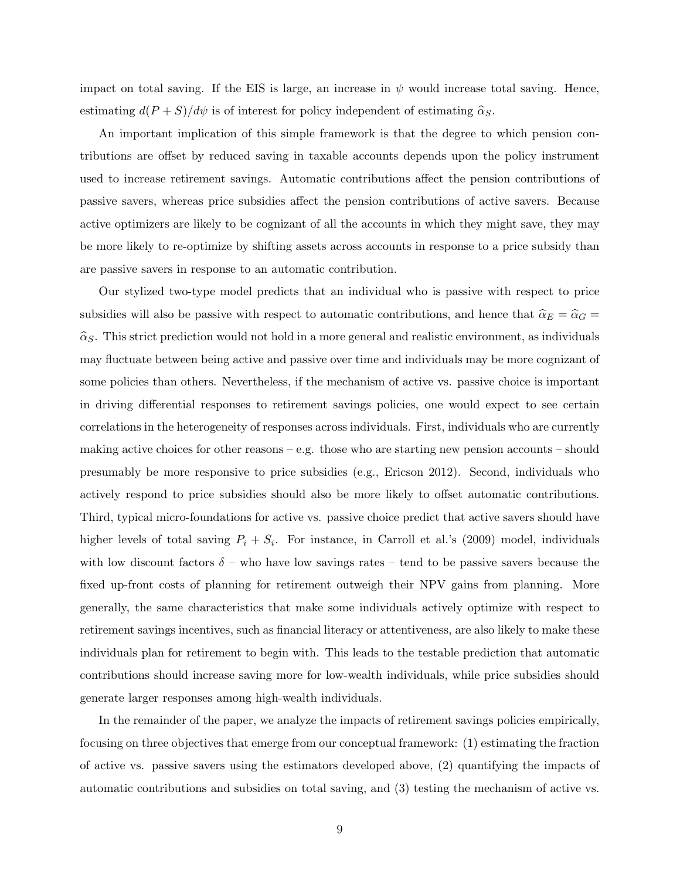impact on total saving. If the EIS is large, an increase in  $\psi$  would increase total saving. Hence, estimating  $d(P+S)/d\psi$  is of interest for policy independent of estimating  $\hat{\alpha}_S$ .

An important implication of this simple framework is that the degree to which pension contributions are offset by reduced saving in taxable accounts depends upon the policy instrument used to increase retirement savings. Automatic contributions affect the pension contributions of passive savers, whereas price subsidies affect the pension contributions of active savers. Because active optimizers are likely to be cognizant of all the accounts in which they might save, they may be more likely to re-optimize by shifting assets across accounts in response to a price subsidy than are passive savers in response to an automatic contribution.

Our stylized two-type model predicts that an individual who is passive with respect to price subsidies will also be passive with respect to automatic contributions, and hence that  $\hat{\alpha}_E = \hat{\alpha}_G =$  $\widehat{\alpha}_S$ . This strict prediction would not hold in a more general and realistic environment, as individuals may fluctuate between being active and passive over time and individuals may be more cognizant of some policies than others. Nevertheless, if the mechanism of active vs. passive choice is important in driving differential responses to retirement savings policies, one would expect to see certain correlations in the heterogeneity of responses across individuals. First, individuals who are currently making active choices for other reasons – e.g. those who are starting new pension accounts – should presumably be more responsive to price subsidies (e.g., Ericson 2012). Second, individuals who actively respond to price subsidies should also be more likely to offset automatic contributions. Third, typical micro-foundations for active vs. passive choice predict that active savers should have higher levels of total saving  $P_i + S_i$ . For instance, in Carroll et al.'s (2009) model, individuals with low discount factors  $\delta$  – who have low savings rates – tend to be passive savers because the fixed up-front costs of planning for retirement outweigh their NPV gains from planning. More generally, the same characteristics that make some individuals actively optimize with respect to retirement savings incentives, such as financial literacy or attentiveness, are also likely to make these individuals plan for retirement to begin with. This leads to the testable prediction that automatic contributions should increase saving more for low-wealth individuals, while price subsidies should generate larger responses among high-wealth individuals.

In the remainder of the paper, we analyze the impacts of retirement savings policies empirically, focusing on three objectives that emerge from our conceptual framework: (1) estimating the fraction of active vs. passive savers using the estimators developed above, (2) quantifying the impacts of automatic contributions and subsidies on total saving, and (3) testing the mechanism of active vs.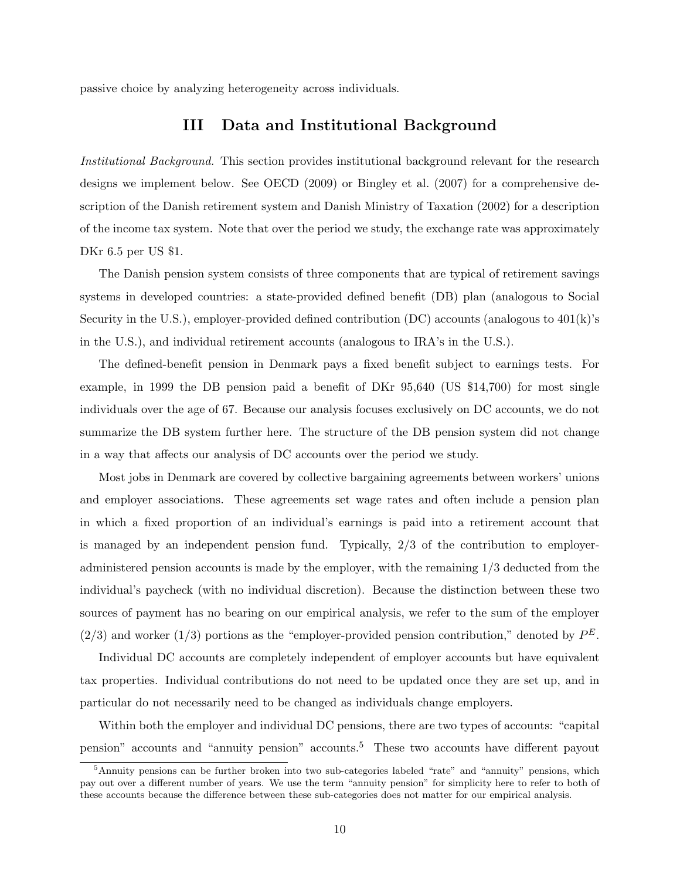passive choice by analyzing heterogeneity across individuals.

# III Data and Institutional Background

Institutional Background. This section provides institutional background relevant for the research designs we implement below. See OECD (2009) or Bingley et al. (2007) for a comprehensive description of the Danish retirement system and Danish Ministry of Taxation (2002) for a description of the income tax system. Note that over the period we study, the exchange rate was approximately DKr 6.5 per US \$1.

The Danish pension system consists of three components that are typical of retirement savings systems in developed countries: a state-provided defined benefit (DB) plan (analogous to Social Security in the U.S.), employer-provided defined contribution  $(DC)$  accounts (analogous to  $401(k)$ 's in the U.S.), and individual retirement accounts (analogous to IRA's in the U.S.).

The defined-benefit pension in Denmark pays a fixed benefit subject to earnings tests. For example, in 1999 the DB pension paid a benefit of DKr 95,640 (US \$14,700) for most single individuals over the age of 67. Because our analysis focuses exclusively on DC accounts, we do not summarize the DB system further here. The structure of the DB pension system did not change in a way that affects our analysis of DC accounts over the period we study.

Most jobs in Denmark are covered by collective bargaining agreements between workers' unions and employer associations. These agreements set wage rates and often include a pension plan in which a fixed proportion of an individual's earnings is paid into a retirement account that is managed by an independent pension fund. Typically, 2/3 of the contribution to employeradministered pension accounts is made by the employer, with the remaining 1/3 deducted from the individual's paycheck (with no individual discretion). Because the distinction between these two sources of payment has no bearing on our empirical analysis, we refer to the sum of the employer  $(2/3)$  and worker  $(1/3)$  portions as the "employer-provided pension contribution," denoted by  $P<sup>E</sup>$ .

Individual DC accounts are completely independent of employer accounts but have equivalent tax properties. Individual contributions do not need to be updated once they are set up, and in particular do not necessarily need to be changed as individuals change employers.

Within both the employer and individual DC pensions, there are two types of accounts: "capital pension" accounts and "annuity pension" accounts.<sup>5</sup> These two accounts have different payout

<sup>&</sup>lt;sup>5</sup>Annuity pensions can be further broken into two sub-categories labeled "rate" and "annuity" pensions, which pay out over a different number of years. We use the term "annuity pension" for simplicity here to refer to both of these accounts because the difference between these sub-categories does not matter for our empirical analysis.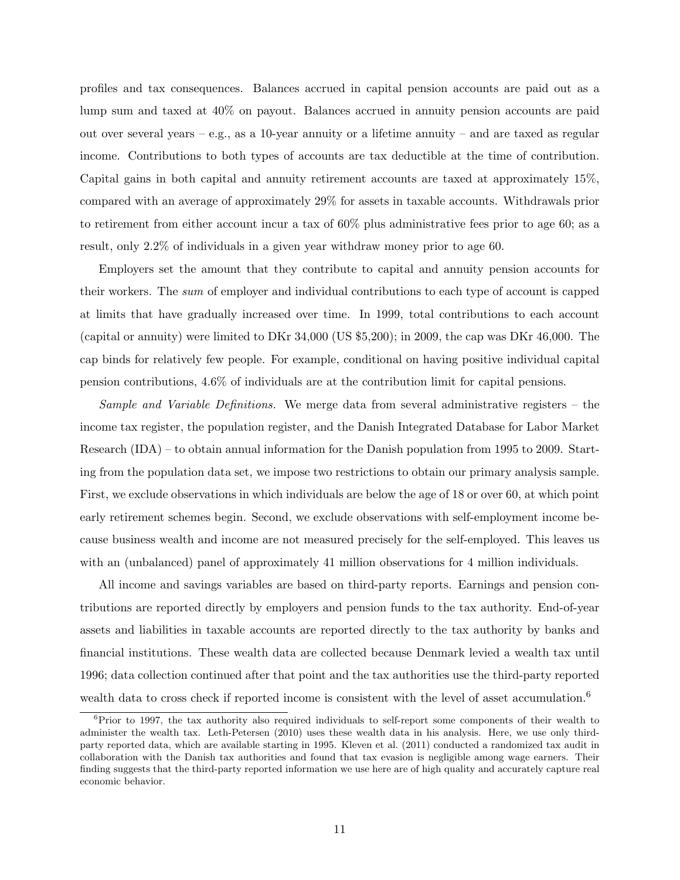profiles and tax consequences. Balances accrued in capital pension accounts are paid out as a lump sum and taxed at 40% on payout. Balances accrued in annuity pension accounts are paid out over several years – e.g., as a 10-year annuity or a lifetime annuity – and are taxed as regular income. Contributions to both types of accounts are tax deductible at the time of contribution. Capital gains in both capital and annuity retirement accounts are taxed at approximately 15%, compared with an average of approximately 29% for assets in taxable accounts. Withdrawals prior to retirement from either account incur a tax of 60% plus administrative fees prior to age 60; as a result, only 2.2% of individuals in a given year withdraw money prior to age 60.

Employers set the amount that they contribute to capital and annuity pension accounts for their workers. The sum of employer and individual contributions to each type of account is capped at limits that have gradually increased over time. In 1999, total contributions to each account (capital or annuity) were limited to DKr 34,000 (US \$5,200); in 2009, the cap was DKr 46,000. The cap binds for relatively few people. For example, conditional on having positive individual capital pension contributions, 4.6% of individuals are at the contribution limit for capital pensions.

Sample and Variable Definitions. We merge data from several administrative registers – the income tax register, the population register, and the Danish Integrated Database for Labor Market Research (IDA) – to obtain annual information for the Danish population from 1995 to 2009. Starting from the population data set, we impose two restrictions to obtain our primary analysis sample. First, we exclude observations in which individuals are below the age of 18 or over 60, at which point early retirement schemes begin. Second, we exclude observations with self-employment income because business wealth and income are not measured precisely for the self-employed. This leaves us with an (unbalanced) panel of approximately 41 million observations for 4 million individuals.

All income and savings variables are based on third-party reports. Earnings and pension contributions are reported directly by employers and pension funds to the tax authority. End-of-year assets and liabilities in taxable accounts are reported directly to the tax authority by banks and financial institutions. These wealth data are collected because Denmark levied a wealth tax until 1996; data collection continued after that point and the tax authorities use the third-party reported wealth data to cross check if reported income is consistent with the level of asset accumulation.<sup>6</sup>

<sup>&</sup>lt;sup>6</sup>Prior to 1997, the tax authority also required individuals to self-report some components of their wealth to administer the wealth tax. Leth-Petersen (2010) uses these wealth data in his analysis. Here, we use only thirdparty reported data, which are available starting in 1995. Kleven et al. (2011) conducted a randomized tax audit in collaboration with the Danish tax authorities and found that tax evasion is negligible among wage earners. Their finding suggests that the third-party reported information we use here are of high quality and accurately capture real economic behavior.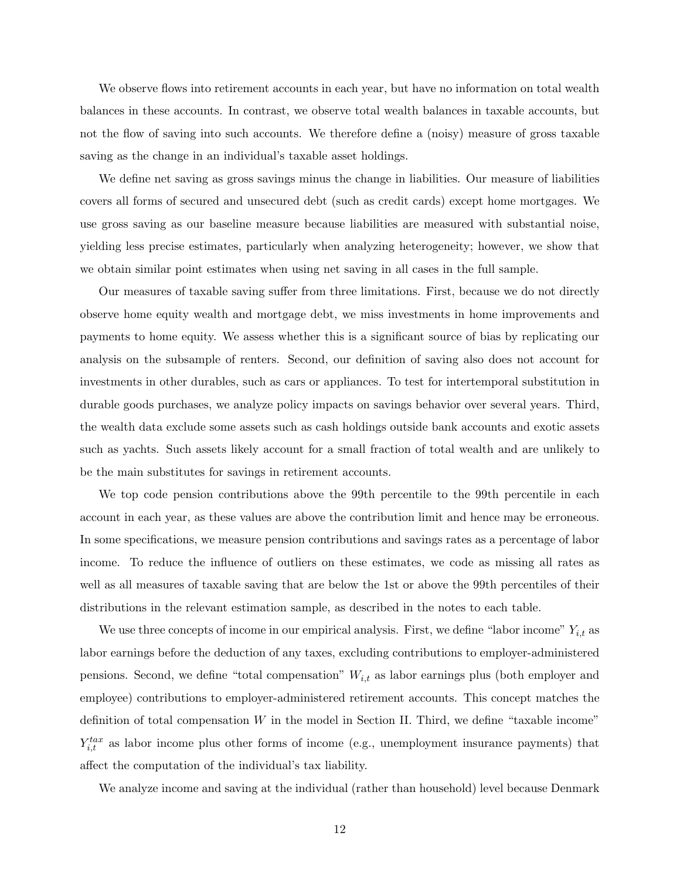We observe flows into retirement accounts in each year, but have no information on total wealth balances in these accounts. In contrast, we observe total wealth balances in taxable accounts, but not the flow of saving into such accounts. We therefore define a (noisy) measure of gross taxable saving as the change in an individual's taxable asset holdings.

We define net saving as gross savings minus the change in liabilities. Our measure of liabilities covers all forms of secured and unsecured debt (such as credit cards) except home mortgages. We use gross saving as our baseline measure because liabilities are measured with substantial noise, yielding less precise estimates, particularly when analyzing heterogeneity; however, we show that we obtain similar point estimates when using net saving in all cases in the full sample.

Our measures of taxable saving suffer from three limitations. First, because we do not directly observe home equity wealth and mortgage debt, we miss investments in home improvements and payments to home equity. We assess whether this is a significant source of bias by replicating our analysis on the subsample of renters. Second, our definition of saving also does not account for investments in other durables, such as cars or appliances. To test for intertemporal substitution in durable goods purchases, we analyze policy impacts on savings behavior over several years. Third, the wealth data exclude some assets such as cash holdings outside bank accounts and exotic assets such as yachts. Such assets likely account for a small fraction of total wealth and are unlikely to be the main substitutes for savings in retirement accounts.

We top code pension contributions above the 99th percentile to the 99th percentile in each account in each year, as these values are above the contribution limit and hence may be erroneous. In some specifications, we measure pension contributions and savings rates as a percentage of labor income. To reduce the influence of outliers on these estimates, we code as missing all rates as well as all measures of taxable saving that are below the 1st or above the 99th percentiles of their distributions in the relevant estimation sample, as described in the notes to each table.

We use three concepts of income in our empirical analysis. First, we define "labor income"  $Y_{i,t}$  as labor earnings before the deduction of any taxes, excluding contributions to employer-administered pensions. Second, we define "total compensation"  $W_{i,t}$  as labor earnings plus (both employer and employee) contributions to employer-administered retirement accounts. This concept matches the definition of total compensation  $W$  in the model in Section II. Third, we define "taxable income"  $Y_{i,t}^{tax}$  as labor income plus other forms of income (e.g., unemployment insurance payments) that affect the computation of the individual's tax liability.

We analyze income and saving at the individual (rather than household) level because Denmark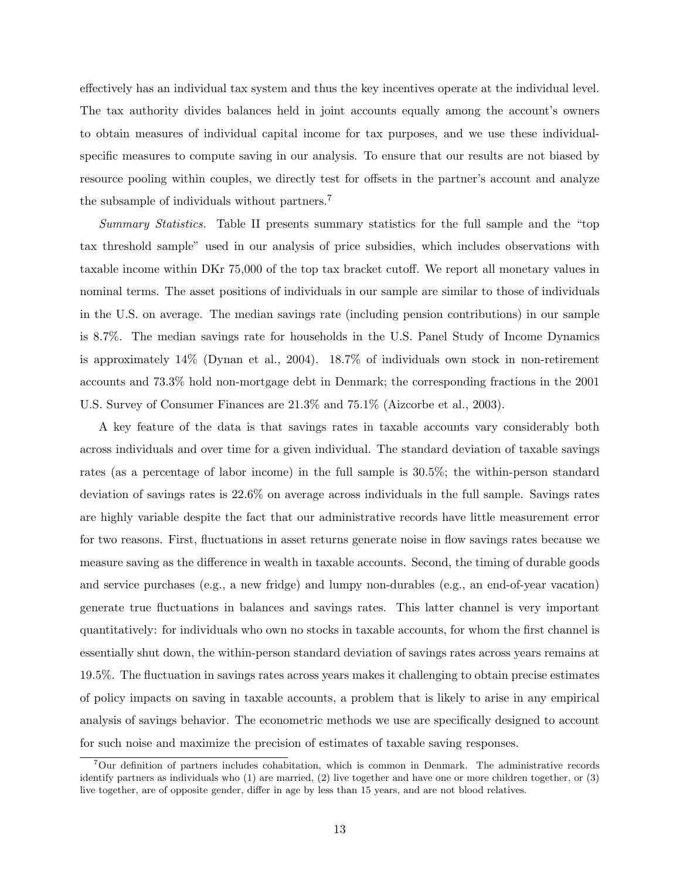effectively has an individual tax system and thus the key incentives operate at the individual level. The tax authority divides balances held in joint accounts equally among the account's owners to obtain measures of individual capital income for tax purposes, and we use these individualspecific measures to compute saving in our analysis. To ensure that our results are not biased by resource pooling within couples, we directly test for offsets in the partner's account and analyze the subsample of individuals without partners.<sup>7</sup>

Summary Statistics. Table II presents summary statistics for the full sample and the "top tax threshold sample" used in our analysis of price subsidies, which includes observations with taxable income within DKr 75,000 of the top tax bracket cutoff. We report all monetary values in nominal terms. The asset positions of individuals in our sample are similar to those of individuals in the U.S. on average. The median savings rate (including pension contributions) in our sample is 8.7%. The median savings rate for households in the U.S. Panel Study of Income Dynamics is approximately 14% (Dynan et al., 2004). 18.7% of individuals own stock in non-retirement accounts and 73.3% hold non-mortgage debt in Denmark; the corresponding fractions in the 2001 U.S. Survey of Consumer Finances are 21.3% and 75.1% (Aizcorbe et al., 2003).

A key feature of the data is that savings rates in taxable accounts vary considerably both across individuals and over time for a given individual. The standard deviation of taxable savings rates (as a percentage of labor income) in the full sample is 30.5%; the within-person standard deviation of savings rates is 22.6% on average across individuals in the full sample. Savings rates are highly variable despite the fact that our administrative records have little measurement error for two reasons. First, fluctuations in asset returns generate noise in flow savings rates because we measure saving as the difference in wealth in taxable accounts. Second, the timing of durable goods and service purchases (e.g., a new fridge) and lumpy non-durables (e.g., an end-of-year vacation) generate true fluctuations in balances and savings rates. This latter channel is very important quantitatively: for individuals who own no stocks in taxable accounts, for whom the first channel is essentially shut down, the within-person standard deviation of savings rates across years remains at 19.5%. The fluctuation in savings rates across years makes it challenging to obtain precise estimates of policy impacts on saving in taxable accounts, a problem that is likely to arise in any empirical analysis of savings behavior. The econometric methods we use are specifically designed to account for such noise and maximize the precision of estimates of taxable saving responses.

<sup>&</sup>lt;sup>7</sup>Our definition of partners includes cohabitation, which is common in Denmark. The administrative records identify partners as individuals who (1) are married, (2) live together and have one or more children together, or (3) live together, are of opposite gender, differ in age by less than 15 years, and are not blood relatives.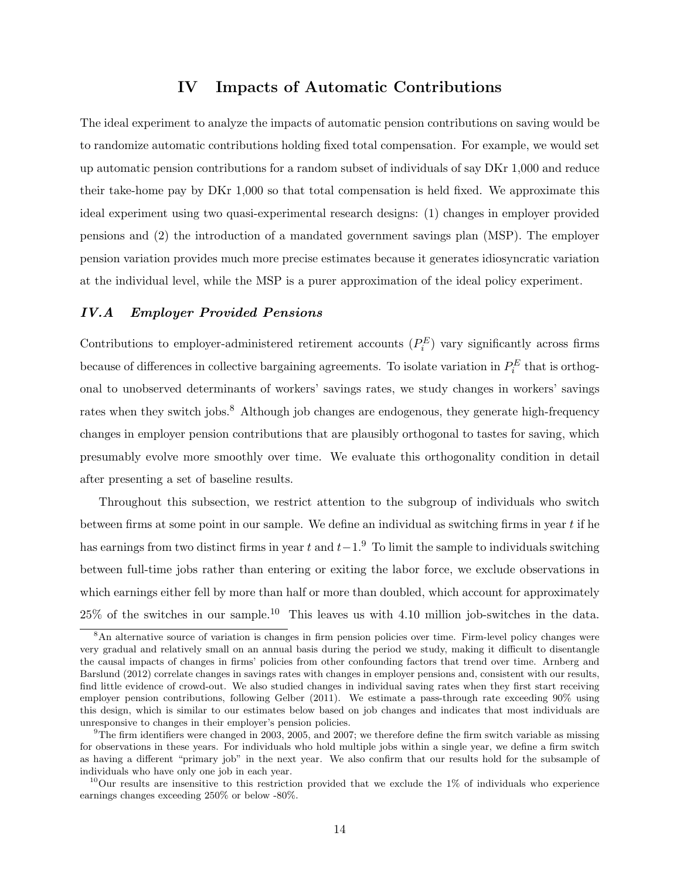## IV Impacts of Automatic Contributions

The ideal experiment to analyze the impacts of automatic pension contributions on saving would be to randomize automatic contributions holding fixed total compensation. For example, we would set up automatic pension contributions for a random subset of individuals of say DKr 1,000 and reduce their take-home pay by DKr 1,000 so that total compensation is held fixed. We approximate this ideal experiment using two quasi-experimental research designs: (1) changes in employer provided pensions and (2) the introduction of a mandated government savings plan (MSP). The employer pension variation provides much more precise estimates because it generates idiosyncratic variation at the individual level, while the MSP is a purer approximation of the ideal policy experiment.

### IV.A Employer Provided Pensions

Contributions to employer-administered retirement accounts  $(P_i^E)$  vary significantly across firms because of differences in collective bargaining agreements. To isolate variation in  $P_i^E$  that is orthogonal to unobserved determinants of workers' savings rates, we study changes in workers' savings rates when they switch jobs.<sup>8</sup> Although job changes are endogenous, they generate high-frequency changes in employer pension contributions that are plausibly orthogonal to tastes for saving, which presumably evolve more smoothly over time. We evaluate this orthogonality condition in detail after presenting a set of baseline results.

Throughout this subsection, we restrict attention to the subgroup of individuals who switch between firms at some point in our sample. We define an individual as switching firms in year  $t$  if he has earnings from two distinct firms in year t and  $t-1.9$  To limit the sample to individuals switching between full-time jobs rather than entering or exiting the labor force, we exclude observations in which earnings either fell by more than half or more than doubled, which account for approximately  $25\%$  of the switches in our sample.<sup>10</sup> This leaves us with 4.10 million job-switches in the data.

<sup>&</sup>lt;sup>8</sup>An alternative source of variation is changes in firm pension policies over time. Firm-level policy changes were very gradual and relatively small on an annual basis during the period we study, making it difficult to disentangle the causal impacts of changes in firms' policies from other confounding factors that trend over time. Arnberg and Barslund (2012) correlate changes in savings rates with changes in employer pensions and, consistent with our results, find little evidence of crowd-out. We also studied changes in individual saving rates when they first start receiving employer pension contributions, following Gelber (2011). We estimate a pass-through rate exceeding 90% using this design, which is similar to our estimates below based on job changes and indicates that most individuals are unresponsive to changes in their employer's pension policies.

 $9$ The firm identifiers were changed in 2003, 2005, and 2007; we therefore define the firm switch variable as missing for observations in these years. For individuals who hold multiple jobs within a single year, we define a firm switch as having a different "primary job" in the next year. We also confirm that our results hold for the subsample of individuals who have only one job in each year.

<sup>&</sup>lt;sup>10</sup>Our results are insensitive to this restriction provided that we exclude the  $1\%$  of individuals who experience earnings changes exceeding 250% or below -80%.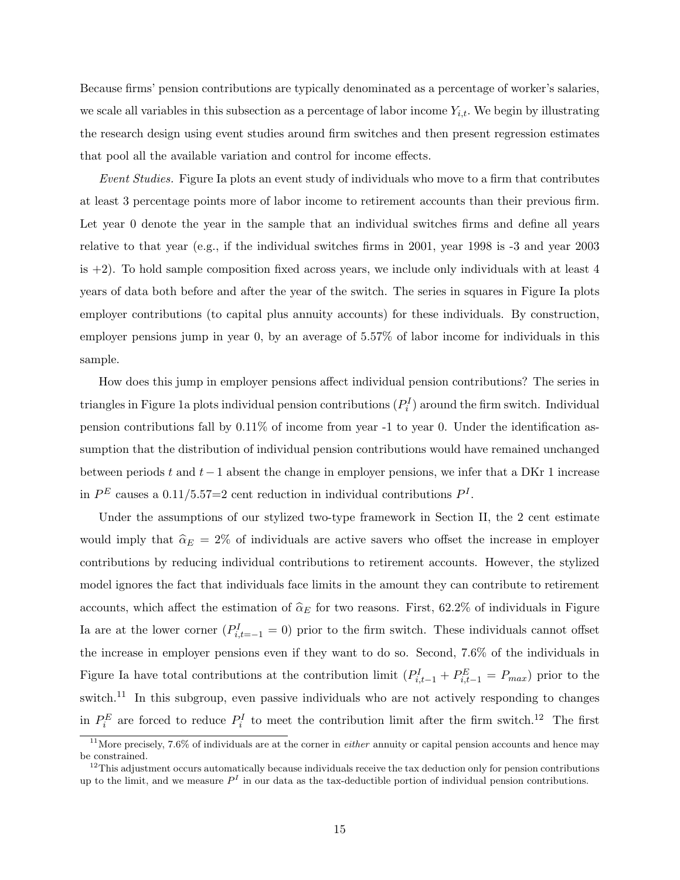Because firms' pension contributions are typically denominated as a percentage of worker's salaries, we scale all variables in this subsection as a percentage of labor income  $Y_{i,t}$ . We begin by illustrating the research design using event studies around firm switches and then present regression estimates that pool all the available variation and control for income effects.

Event Studies. Figure Ia plots an event study of individuals who move to a firm that contributes at least 3 percentage points more of labor income to retirement accounts than their previous firm. Let year 0 denote the year in the sample that an individual switches firms and define all years relative to that year (e.g., if the individual switches firms in 2001, year 1998 is -3 and year 2003 is  $+2$ ). To hold sample composition fixed across years, we include only individuals with at least 4 years of data both before and after the year of the switch. The series in squares in Figure Ia plots employer contributions (to capital plus annuity accounts) for these individuals. By construction, employer pensions jump in year 0, by an average of 5.57% of labor income for individuals in this sample.

How does this jump in employer pensions affect individual pension contributions? The series in triangles in Figure 1a plots individual pension contributions  $(P_i^I)$  around the firm switch. Individual pension contributions fall by 0.11% of income from year -1 to year 0. Under the identification assumption that the distribution of individual pension contributions would have remained unchanged between periods t and t−1 absent the change in employer pensions, we infer that a DKr 1 increase in  $P<sup>E</sup>$  causes a 0.11/5.57=2 cent reduction in individual contributions  $P<sup>I</sup>$ .

Under the assumptions of our stylized two-type framework in Section II, the 2 cent estimate would imply that  $\hat{\alpha}_E = 2\%$  of individuals are active savers who offset the increase in employer contributions by reducing individual contributions to retirement accounts. However, the stylized model ignores the fact that individuals face limits in the amount they can contribute to retirement accounts, which affect the estimation of  $\hat{\alpha}_E$  for two reasons. First, 62.2% of individuals in Figure Ia are at the lower corner  $(P_{i,t=-1}^I = 0)$  prior to the firm switch. These individuals cannot offset the increase in employer pensions even if they want to do so. Second, 7.6% of the individuals in Figure Ia have total contributions at the contribution limit  $(P_{i,t-1}^I + P_{i,t-1}^E = P_{max})$  prior to the switch.<sup>11</sup> In this subgroup, even passive individuals who are not actively responding to changes in  $P_i^E$  are forced to reduce  $P_i^I$  to meet the contribution limit after the firm switch.<sup>12</sup> The first

 $11$ More precisely, 7.6% of individuals are at the corner in *either* annuity or capital pension accounts and hence may be constrained.

 $12$ This adjustment occurs automatically because individuals receive the tax deduction only for pension contributions up to the limit, and we measure  $P<sup>I</sup>$  in our data as the tax-deductible portion of individual pension contributions.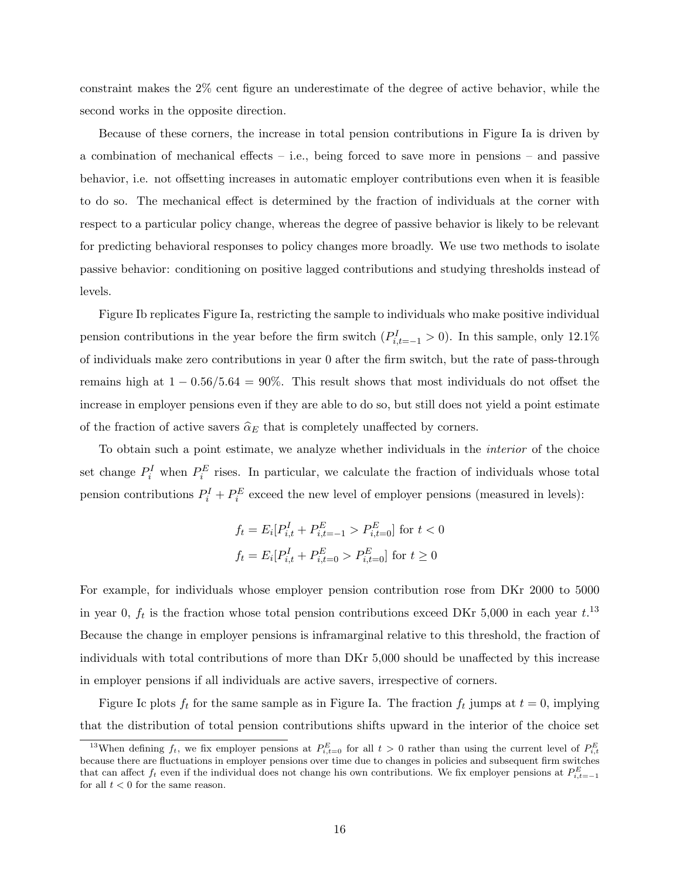constraint makes the 2% cent figure an underestimate of the degree of active behavior, while the second works in the opposite direction.

Because of these corners, the increase in total pension contributions in Figure Ia is driven by a combination of mechanical effects – i.e., being forced to save more in pensions – and passive behavior, i.e. not offsetting increases in automatic employer contributions even when it is feasible to do so. The mechanical effect is determined by the fraction of individuals at the corner with respect to a particular policy change, whereas the degree of passive behavior is likely to be relevant for predicting behavioral responses to policy changes more broadly. We use two methods to isolate passive behavior: conditioning on positive lagged contributions and studying thresholds instead of levels.

Figure Ib replicates Figure Ia, restricting the sample to individuals who make positive individual pension contributions in the year before the firm switch  $(P_{i,t=-1}^I > 0)$ . In this sample, only 12.1% of individuals make zero contributions in year 0 after the firm switch, but the rate of pass-through remains high at  $1 - 0.56/5.64 = 90\%$ . This result shows that most individuals do not offset the increase in employer pensions even if they are able to do so, but still does not yield a point estimate of the fraction of active savers  $\hat{\alpha}_E$  that is completely unaffected by corners.

To obtain such a point estimate, we analyze whether individuals in the interior of the choice set change  $P_i^I$  when  $P_i^E$  rises. In particular, we calculate the fraction of individuals whose total pension contributions  $P_i^I + P_i^E$  exceed the new level of employer pensions (measured in levels):

$$
f_t = E_i[P_{i,t}^I + P_{i,t=-1}^E > P_{i,t=0}^E] \text{ for } t < 0
$$
  

$$
f_t = E_i[P_{i,t}^I + P_{i,t=0}^E > P_{i,t=0}^E] \text{ for } t \ge 0
$$

For example, for individuals whose employer pension contribution rose from DKr 2000 to 5000 in year 0,  $f_t$  is the fraction whose total pension contributions exceed DKr 5,000 in each year  $t$ <sup>13</sup> Because the change in employer pensions is inframarginal relative to this threshold, the fraction of individuals with total contributions of more than DKr 5,000 should be unaffected by this increase in employer pensions if all individuals are active savers, irrespective of corners.

Figure Ic plots  $f_t$  for the same sample as in Figure Ia. The fraction  $f_t$  jumps at  $t = 0$ , implying that the distribution of total pension contributions shifts upward in the interior of the choice set

<sup>&</sup>lt;sup>13</sup>When defining  $f_t$ , we fix employer pensions at  $P_{i,t=0}^E$  for all  $t > 0$  rather than using the current level of  $P_{i,t}^E$ because there are fluctuations in employer pensions over time due to changes in policies and subsequent firm switches that can affect  $f_t$  even if the individual does not change his own contributions. We fix employer pensions at  $P_{i,t=-1}^E$ for all  $t < 0$  for the same reason.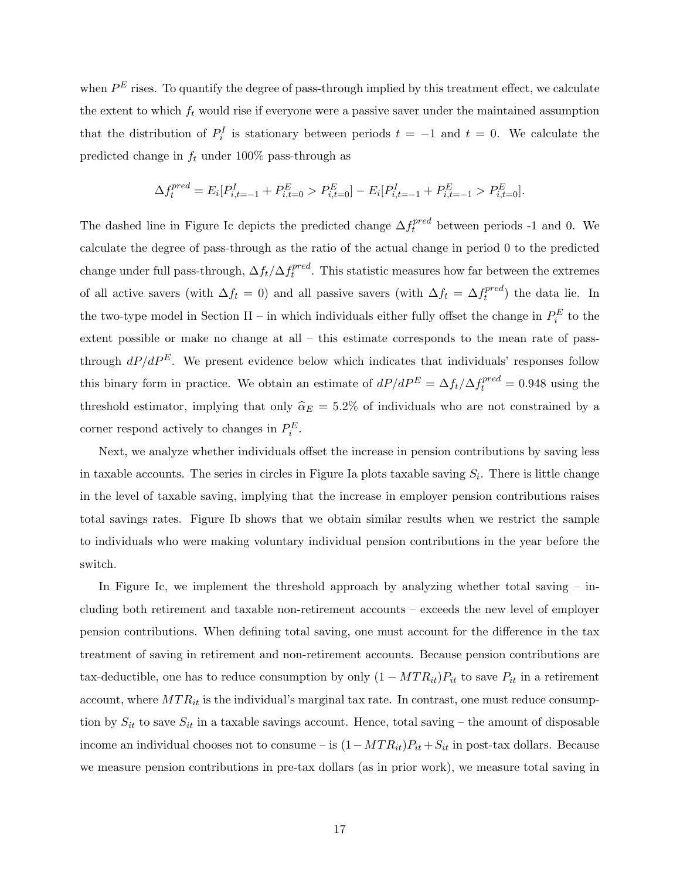when  $P^{E}$  rises. To quantify the degree of pass-through implied by this treatment effect, we calculate the extent to which  $f_t$  would rise if everyone were a passive saver under the maintained assumption that the distribution of  $P_i^I$  is stationary between periods  $t = -1$  and  $t = 0$ . We calculate the predicted change in  $f_t$  under 100% pass-through as

$$
\Delta f_t^{pred} = E_i[P_{i,t=-1}^I + P_{i,t=0}^E > P_{i,t=0}^E] - E_i[P_{i,t=-1}^I + P_{i,t=-1}^E > P_{i,t=0}^E].
$$

The dashed line in Figure Ic depicts the predicted change  $\Delta f_t^{pred}$  between periods -1 and 0. We calculate the degree of pass-through as the ratio of the actual change in period 0 to the predicted change under full pass-through,  $\Delta f_t / \Delta f_t^{pred}$  $t_t^{pred}$ . This statistic measures how far between the extremes of all active savers (with  $\Delta f_t = 0$ ) and all passive savers (with  $\Delta f_t = \Delta f_t^{pred}$  $t_t^{pred}$ ) the data lie. In the two-type model in Section II – in which individuals either fully offset the change in  $P_i^E$  to the extent possible or make no change at all – this estimate corresponds to the mean rate of passthrough  $dP/dP^E$ . We present evidence below which indicates that individuals' responses follow this binary form in practice. We obtain an estimate of  $dP/dP^E = \Delta f_t / \Delta f_t^{pred} = 0.948$  using the threshold estimator, implying that only  $\hat{\alpha}_E = 5.2\%$  of individuals who are not constrained by a corner respond actively to changes in  $P_i^E$ .

Next, we analyze whether individuals offset the increase in pension contributions by saving less in taxable accounts. The series in circles in Figure Ia plots taxable saving  $S_i$ . There is little change in the level of taxable saving, implying that the increase in employer pension contributions raises total savings rates. Figure Ib shows that we obtain similar results when we restrict the sample to individuals who were making voluntary individual pension contributions in the year before the switch.

In Figure Ic, we implement the threshold approach by analyzing whether total saving  $-$  including both retirement and taxable non-retirement accounts – exceeds the new level of employer pension contributions. When defining total saving, one must account for the difference in the tax treatment of saving in retirement and non-retirement accounts. Because pension contributions are tax-deductible, one has to reduce consumption by only  $(1 - MTR_{it})P_{it}$  to save  $P_{it}$  in a retirement account, where  $MTR_{it}$  is the individual's marginal tax rate. In contrast, one must reduce consumption by  $S_{it}$  to save  $S_{it}$  in a taxable savings account. Hence, total saving – the amount of disposable income an individual chooses not to consume – is  $(1-MTR_{it})P_{it} + S_{it}$  in post-tax dollars. Because we measure pension contributions in pre-tax dollars (as in prior work), we measure total saving in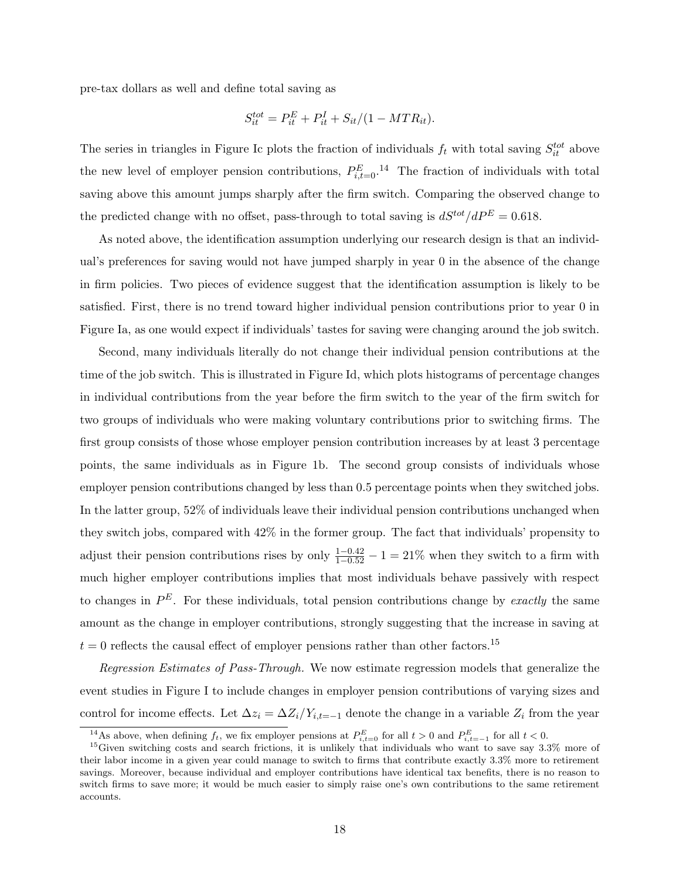pre-tax dollars as well and define total saving as

$$
S_{it}^{tot} = P_{it}^{E} + P_{it}^{I} + S_{it}/(1 - MTR_{it}).
$$

The series in triangles in Figure Ic plots the fraction of individuals  $f_t$  with total saving  $S_{it}^{tot}$  above the new level of employer pension contributions,  $P_{i,t=0}^{E}$ , <sup>14</sup> The fraction of individuals with total saving above this amount jumps sharply after the firm switch. Comparing the observed change to the predicted change with no offset, pass-through to total saving is  $dS^{tot}/dP^E = 0.618$ .

As noted above, the identification assumption underlying our research design is that an individual's preferences for saving would not have jumped sharply in year 0 in the absence of the change in firm policies. Two pieces of evidence suggest that the identification assumption is likely to be satisfied. First, there is no trend toward higher individual pension contributions prior to year 0 in Figure Ia, as one would expect if individuals' tastes for saving were changing around the job switch.

Second, many individuals literally do not change their individual pension contributions at the time of the job switch. This is illustrated in Figure Id, which plots histograms of percentage changes in individual contributions from the year before the firm switch to the year of the firm switch for two groups of individuals who were making voluntary contributions prior to switching firms. The first group consists of those whose employer pension contribution increases by at least 3 percentage points, the same individuals as in Figure 1b. The second group consists of individuals whose employer pension contributions changed by less than 0.5 percentage points when they switched jobs. In the latter group, 52% of individuals leave their individual pension contributions unchanged when they switch jobs, compared with 42% in the former group. The fact that individuals' propensity to adjust their pension contributions rises by only  $\frac{1-0.42}{1-0.52} - 1 = 21\%$  when they switch to a firm with much higher employer contributions implies that most individuals behave passively with respect to changes in  $P^E$ . For these individuals, total pension contributions change by exactly the same amount as the change in employer contributions, strongly suggesting that the increase in saving at  $t = 0$  reflects the causal effect of employer pensions rather than other factors.<sup>15</sup>

Regression Estimates of Pass-Through. We now estimate regression models that generalize the event studies in Figure I to include changes in employer pension contributions of varying sizes and control for income effects. Let  $\Delta z_i = \Delta Z_i/Y_{i,t=-1}$  denote the change in a variable  $Z_i$  from the year

<sup>&</sup>lt;sup>14</sup>As above, when defining  $f_t$ , we fix employer pensions at  $P_{i,t=0}^E$  for all  $t > 0$  and  $P_{i,t=-1}^E$  for all  $t < 0$ .

<sup>15</sup>Given switching costs and search frictions, it is unlikely that individuals who want to save say 3.3% more of their labor income in a given year could manage to switch to firms that contribute exactly 3.3% more to retirement savings. Moreover, because individual and employer contributions have identical tax benefits, there is no reason to switch firms to save more; it would be much easier to simply raise one's own contributions to the same retirement accounts.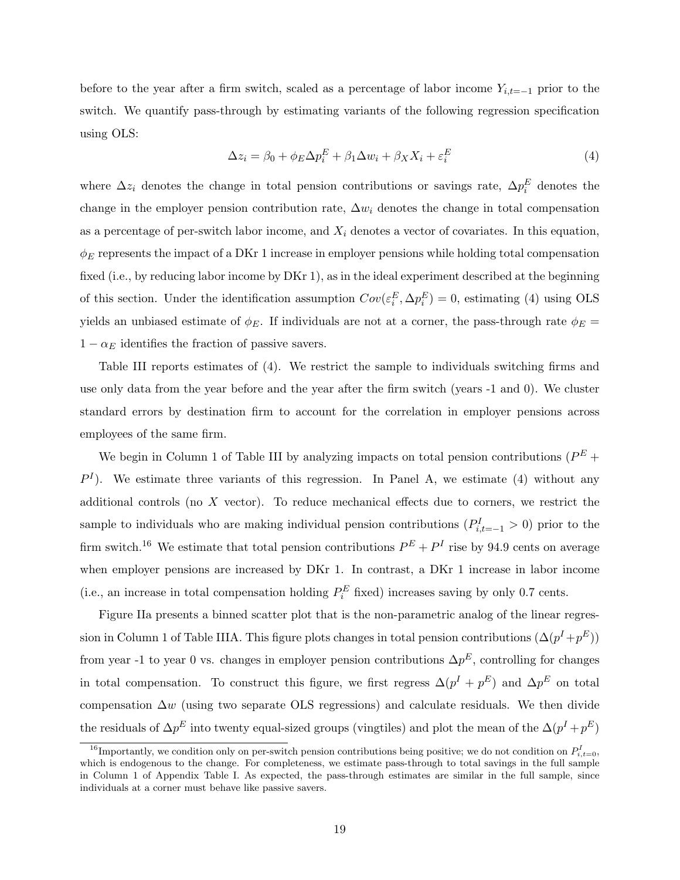before to the year after a firm switch, scaled as a percentage of labor income  $Y_{i,t=-1}$  prior to the switch. We quantify pass-through by estimating variants of the following regression specification using OLS:

$$
\Delta z_i = \beta_0 + \phi_E \Delta p_i^E + \beta_1 \Delta w_i + \beta_X X_i + \varepsilon_i^E \tag{4}
$$

where  $\Delta z_i$  denotes the change in total pension contributions or savings rate,  $\Delta p_i^E$  denotes the change in the employer pension contribution rate,  $\Delta w_i$  denotes the change in total compensation as a percentage of per-switch labor income, and  $X_i$  denotes a vector of covariates. In this equation,  $\phi_E$  represents the impact of a DKr 1 increase in employer pensions while holding total compensation fixed (i.e., by reducing labor income by DKr 1), as in the ideal experiment described at the beginning of this section. Under the identification assumption  $Cov(\varepsilon_i^E, \Delta p_i^E) = 0$ , estimating (4) using OLS yields an unbiased estimate of  $\phi_E$ . If individuals are not at a corner, the pass-through rate  $\phi_E$  =  $1 - \alpha_E$  identifies the fraction of passive savers.

Table III reports estimates of (4). We restrict the sample to individuals switching firms and use only data from the year before and the year after the firm switch (years -1 and 0). We cluster standard errors by destination firm to account for the correlation in employer pensions across employees of the same firm.

We begin in Column 1 of Table III by analyzing impacts on total pension contributions ( $P^{E}$  +  $P<sup>I</sup>$ ). We estimate three variants of this regression. In Panel A, we estimate (4) without any additional controls (no  $X$  vector). To reduce mechanical effects due to corners, we restrict the sample to individuals who are making individual pension contributions  $(P_{i,t=-1}^I > 0)$  prior to the firm switch.<sup>16</sup> We estimate that total pension contributions  $P^{E} + P^{I}$  rise by 94.9 cents on average when employer pensions are increased by DKr 1. In contrast, a DKr 1 increase in labor income (i.e., an increase in total compensation holding  $P_i^E$  fixed) increases saving by only 0.7 cents.

Figure IIa presents a binned scatter plot that is the non-parametric analog of the linear regression in Column 1 of Table IIIA. This figure plots changes in total pension contributions  $(\Delta(p^I + p^E))$ from year -1 to year 0 vs. changes in employer pension contributions  $\Delta p^E$ , controlling for changes in total compensation. To construct this figure, we first regress  $\Delta(p^I + p^E)$  and  $\Delta p^E$  on total compensation  $\Delta w$  (using two separate OLS regressions) and calculate residuals. We then divide the residuals of  $\Delta p^E$  into twenty equal-sized groups (vingtiles) and plot the mean of the  $\Delta(p^I + p^E)$ 

<sup>&</sup>lt;sup>16</sup>Importantly, we condition only on per-switch pension contributions being positive; we do not condition on  $P_{i,t=0}^I$ , which is endogenous to the change. For completeness, we estimate pass-through to total savings in the full sample in Column 1 of Appendix Table I. As expected, the pass-through estimates are similar in the full sample, since individuals at a corner must behave like passive savers.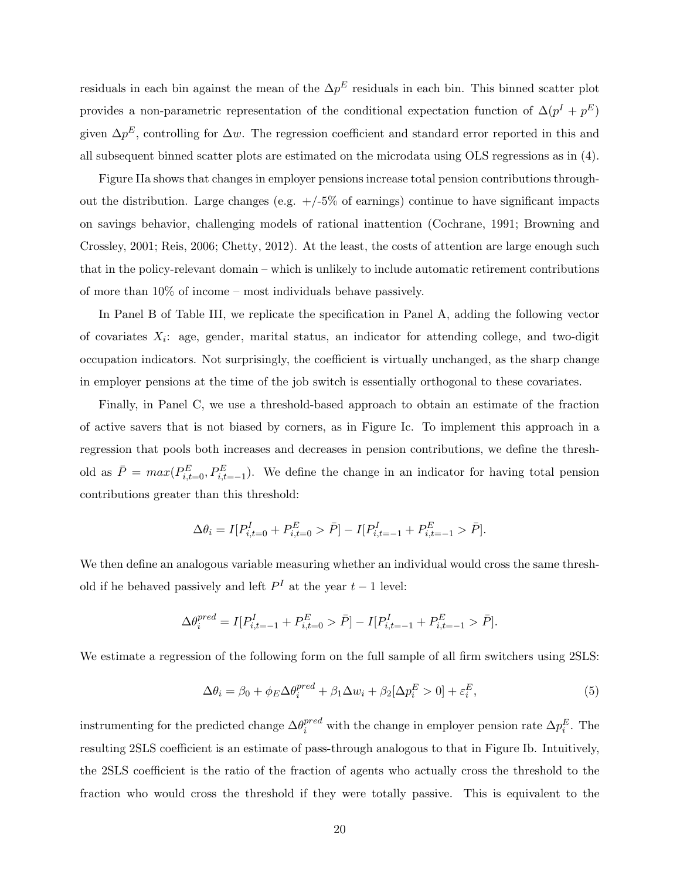residuals in each bin against the mean of the  $\Delta p^E$  residuals in each bin. This binned scatter plot provides a non-parametric representation of the conditional expectation function of  $\Delta(p^I + p^E)$ given  $\Delta p^E$ , controlling for  $\Delta w$ . The regression coefficient and standard error reported in this and all subsequent binned scatter plots are estimated on the microdata using OLS regressions as in (4).

Figure IIa shows that changes in employer pensions increase total pension contributions throughout the distribution. Large changes (e.g.  $+/-5\%$  of earnings) continue to have significant impacts on savings behavior, challenging models of rational inattention (Cochrane, 1991; Browning and Crossley, 2001; Reis, 2006; Chetty, 2012). At the least, the costs of attention are large enough such that in the policy-relevant domain – which is unlikely to include automatic retirement contributions of more than 10% of income – most individuals behave passively.

In Panel B of Table III, we replicate the specification in Panel A, adding the following vector of covariates  $X_i$ : age, gender, marital status, an indicator for attending college, and two-digit occupation indicators. Not surprisingly, the coefficient is virtually unchanged, as the sharp change in employer pensions at the time of the job switch is essentially orthogonal to these covariates.

Finally, in Panel C, we use a threshold-based approach to obtain an estimate of the fraction of active savers that is not biased by corners, as in Figure Ic. To implement this approach in a regression that pools both increases and decreases in pension contributions, we define the threshold as  $\bar{P} = max(P_{i,t=0}^E, P_{i,t=-1}^E)$ . We define the change in an indicator for having total pension contributions greater than this threshold:

$$
\Delta \theta_i = I[P_{i,t=0}^I + P_{i,t=0}^E > \bar{P}] - I[P_{i,t=-1}^I + P_{i,t=-1}^E > \bar{P}].
$$

We then define an analogous variable measuring whether an individual would cross the same threshold if he behaved passively and left  $P<sup>I</sup>$  at the year  $t-1$  level:

$$
\Delta\theta_i^{pred} = I[P^I_{i,t=-1}+P^E_{i,t=0}>\bar{P}]-I[P^I_{i,t=-1}+P^E_{i,t=-1}>\bar{P}].
$$

We estimate a regression of the following form on the full sample of all firm switchers using  $2SLS$ :

$$
\Delta \theta_i = \beta_0 + \phi_E \Delta \theta_i^{pred} + \beta_1 \Delta w_i + \beta_2 [\Delta p_i^E > 0] + \varepsilon_i^E,
$$
\n(5)

instrumenting for the predicted change  $\Delta\theta_i^{pred}$  with the change in employer pension rate  $\Delta p_i^E$ . The resulting 2SLS coefficient is an estimate of pass-through analogous to that in Figure Ib. Intuitively, the 2SLS coefficient is the ratio of the fraction of agents who actually cross the threshold to the fraction who would cross the threshold if they were totally passive. This is equivalent to the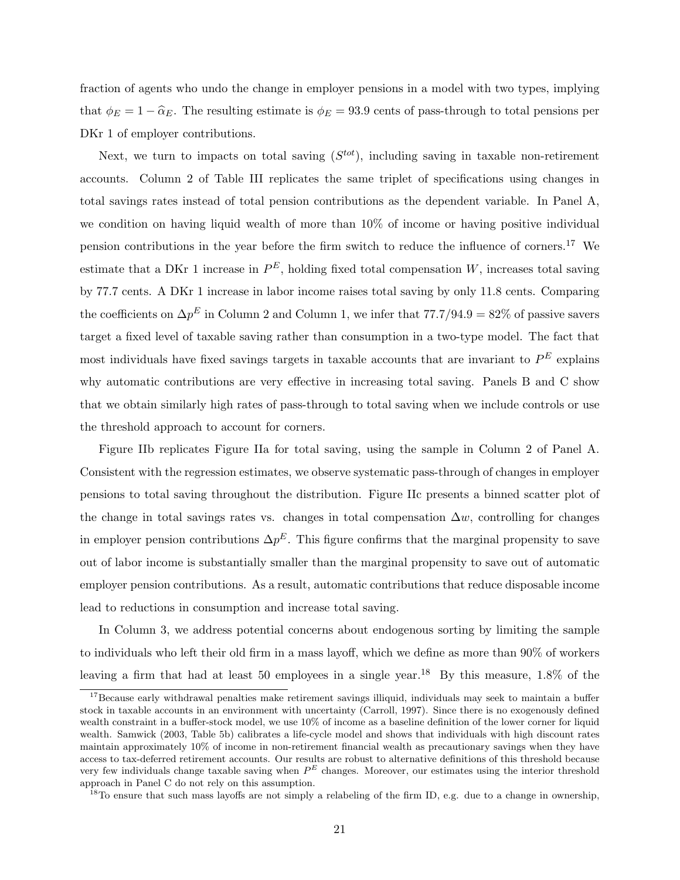fraction of agents who undo the change in employer pensions in a model with two types, implying that  $\phi_E = 1 - \hat{\alpha}_E$ . The resulting estimate is  $\phi_E = 93.9$  cents of pass-through to total pensions per DKr 1 of employer contributions.

Next, we turn to impacts on total saving  $(S^{tot})$ , including saving in taxable non-retirement accounts. Column 2 of Table III replicates the same triplet of specifications using changes in total savings rates instead of total pension contributions as the dependent variable. In Panel A, we condition on having liquid wealth of more than 10% of income or having positive individual pension contributions in the year before the firm switch to reduce the influence of corners.<sup>17</sup> We estimate that a DKr 1 increase in  $P^E$ , holding fixed total compensation W, increases total saving by 77.7 cents. A DKr 1 increase in labor income raises total saving by only 11.8 cents. Comparing the coefficients on  $\Delta p^E$  in Column 2 and Column 1, we infer that  $77.7/94.9 = 82\%$  of passive savers target a fixed level of taxable saving rather than consumption in a two-type model. The fact that most individuals have fixed savings targets in taxable accounts that are invariant to  $P^{E}$  explains why automatic contributions are very effective in increasing total saving. Panels B and C show that we obtain similarly high rates of pass-through to total saving when we include controls or use the threshold approach to account for corners.

Figure IIb replicates Figure IIa for total saving, using the sample in Column 2 of Panel A. Consistent with the regression estimates, we observe systematic pass-through of changes in employer pensions to total saving throughout the distribution. Figure IIc presents a binned scatter plot of the change in total savings rates vs. changes in total compensation  $\Delta w$ , controlling for changes in employer pension contributions  $\Delta p^E$ . This figure confirms that the marginal propensity to save out of labor income is substantially smaller than the marginal propensity to save out of automatic employer pension contributions. As a result, automatic contributions that reduce disposable income lead to reductions in consumption and increase total saving.

In Column 3, we address potential concerns about endogenous sorting by limiting the sample to individuals who left their old firm in a mass layoff, which we define as more than 90% of workers leaving a firm that had at least 50 employees in a single year.<sup>18</sup> By this measure,  $1.8\%$  of the

<sup>&</sup>lt;sup>17</sup>Because early withdrawal penalties make retirement savings illiquid, individuals may seek to maintain a buffer stock in taxable accounts in an environment with uncertainty (Carroll, 1997). Since there is no exogenously defined wealth constraint in a buffer-stock model, we use 10% of income as a baseline definition of the lower corner for liquid wealth. Samwick (2003, Table 5b) calibrates a life-cycle model and shows that individuals with high discount rates maintain approximately 10% of income in non-retirement financial wealth as precautionary savings when they have access to tax-deferred retirement accounts. Our results are robust to alternative definitions of this threshold because very few individuals change taxable saving when  $P<sup>E</sup>$  changes. Moreover, our estimates using the interior threshold approach in Panel C do not rely on this assumption.

<sup>&</sup>lt;sup>18</sup>To ensure that such mass layoffs are not simply a relabeling of the firm ID, e.g. due to a change in ownership,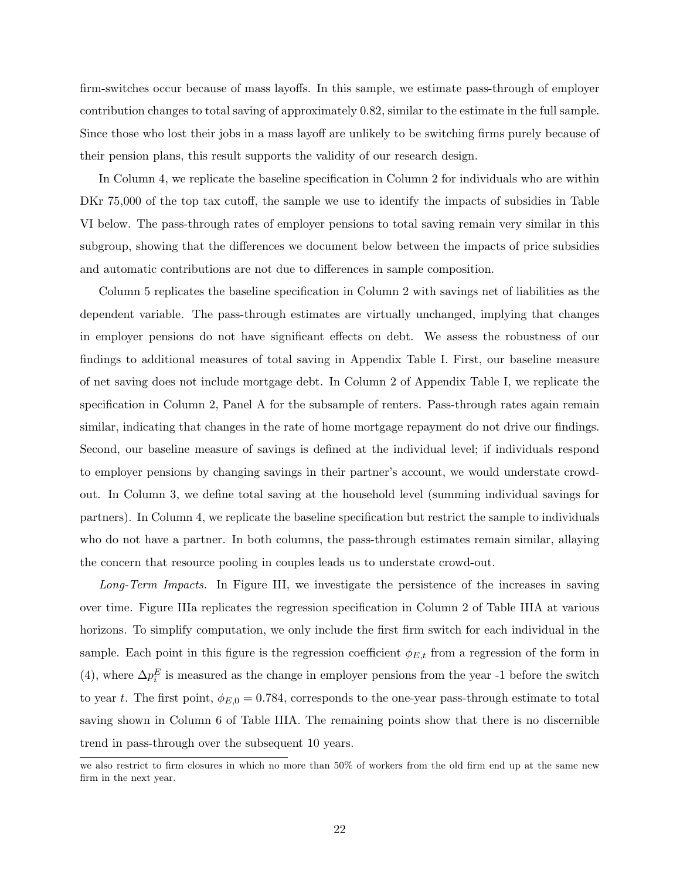firm-switches occur because of mass layoffs. In this sample, we estimate pass-through of employer contribution changes to total saving of approximately 0.82, similar to the estimate in the full sample. Since those who lost their jobs in a mass layoff are unlikely to be switching firms purely because of their pension plans, this result supports the validity of our research design.

In Column 4, we replicate the baseline specification in Column 2 for individuals who are within DKr 75,000 of the top tax cutoff, the sample we use to identify the impacts of subsidies in Table VI below. The pass-through rates of employer pensions to total saving remain very similar in this subgroup, showing that the differences we document below between the impacts of price subsidies and automatic contributions are not due to differences in sample composition.

Column 5 replicates the baseline specification in Column 2 with savings net of liabilities as the dependent variable. The pass-through estimates are virtually unchanged, implying that changes in employer pensions do not have significant effects on debt. We assess the robustness of our findings to additional measures of total saving in Appendix Table I. First, our baseline measure of net saving does not include mortgage debt. In Column 2 of Appendix Table I, we replicate the specification in Column 2, Panel A for the subsample of renters. Pass-through rates again remain similar, indicating that changes in the rate of home mortgage repayment do not drive our findings. Second, our baseline measure of savings is defined at the individual level; if individuals respond to employer pensions by changing savings in their partner's account, we would understate crowdout. In Column 3, we define total saving at the household level (summing individual savings for partners). In Column 4, we replicate the baseline specification but restrict the sample to individuals who do not have a partner. In both columns, the pass-through estimates remain similar, allaying the concern that resource pooling in couples leads us to understate crowd-out.

Long-Term Impacts. In Figure III, we investigate the persistence of the increases in saving over time. Figure IIIa replicates the regression specification in Column 2 of Table IIIA at various horizons. To simplify computation, we only include the first firm switch for each individual in the sample. Each point in this figure is the regression coefficient  $\phi_{E,t}$  from a regression of the form in (4), where  $\Delta p_i^E$  is measured as the change in employer pensions from the year -1 before the switch to year t. The first point,  $\phi_{E,0} = 0.784$ , corresponds to the one-year pass-through estimate to total saving shown in Column 6 of Table IIIA. The remaining points show that there is no discernible trend in pass-through over the subsequent 10 years.

we also restrict to firm closures in which no more than 50% of workers from the old firm end up at the same new firm in the next year.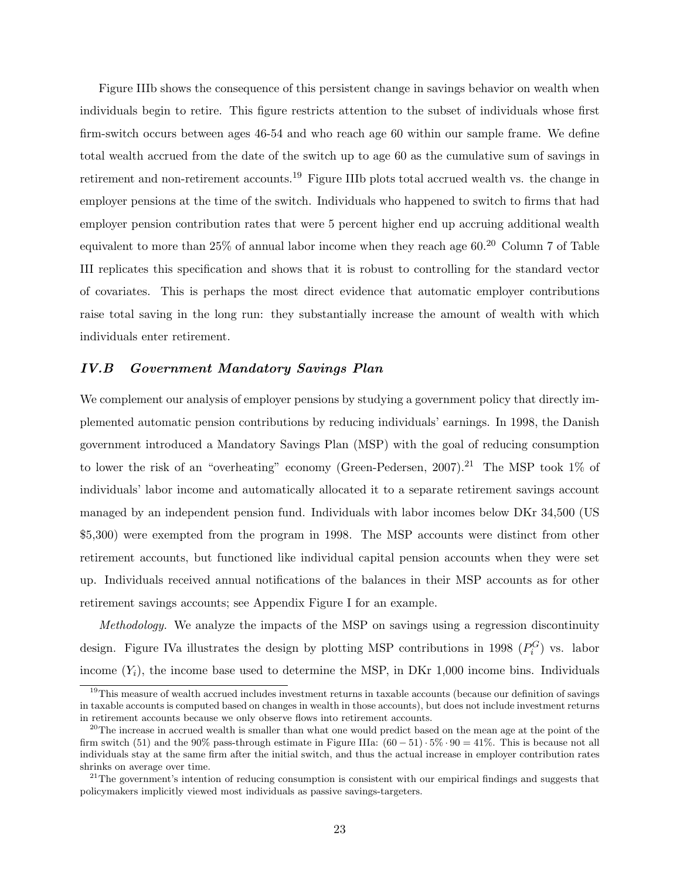Figure IIIb shows the consequence of this persistent change in savings behavior on wealth when individuals begin to retire. This figure restricts attention to the subset of individuals whose first firm-switch occurs between ages 46-54 and who reach age 60 within our sample frame. We define total wealth accrued from the date of the switch up to age 60 as the cumulative sum of savings in retirement and non-retirement accounts.<sup>19</sup> Figure IIIb plots total accrued wealth vs. the change in employer pensions at the time of the switch. Individuals who happened to switch to firms that had employer pension contribution rates that were 5 percent higher end up accruing additional wealth equivalent to more than 25% of annual labor income when they reach age  $60.^{20}$  Column 7 of Table III replicates this specification and shows that it is robust to controlling for the standard vector of covariates. This is perhaps the most direct evidence that automatic employer contributions raise total saving in the long run: they substantially increase the amount of wealth with which individuals enter retirement.

### IV.B Government Mandatory Savings Plan

We complement our analysis of employer pensions by studying a government policy that directly implemented automatic pension contributions by reducing individuals' earnings. In 1998, the Danish government introduced a Mandatory Savings Plan (MSP) with the goal of reducing consumption to lower the risk of an "overheating" economy (Green-Pedersen,  $2007$ ).<sup>21</sup> The MSP took 1% of individuals' labor income and automatically allocated it to a separate retirement savings account managed by an independent pension fund. Individuals with labor incomes below DKr 34,500 (US \$5,300) were exempted from the program in 1998. The MSP accounts were distinct from other retirement accounts, but functioned like individual capital pension accounts when they were set up. Individuals received annual notifications of the balances in their MSP accounts as for other retirement savings accounts; see Appendix Figure I for an example.

Methodology. We analyze the impacts of the MSP on savings using a regression discontinuity design. Figure IVa illustrates the design by plotting MSP contributions in 1998  $(P_i^G)$  vs. labor income  $(Y_i)$ , the income base used to determine the MSP, in DKr 1,000 income bins. Individuals

<sup>&</sup>lt;sup>19</sup>This measure of wealth accrued includes investment returns in taxable accounts (because our definition of savings in taxable accounts is computed based on changes in wealth in those accounts), but does not include investment returns in retirement accounts because we only observe flows into retirement accounts.

<sup>&</sup>lt;sup>20</sup>The increase in accrued wealth is smaller than what one would predict based on the mean age at the point of the firm switch (51) and the 90% pass-through estimate in Figure IIIa:  $(60 - 51) \cdot 5\% \cdot 90 = 41\%$ . This is because not all individuals stay at the same firm after the initial switch, and thus the actual increase in employer contribution rates shrinks on average over time.

 $21$ The government's intention of reducing consumption is consistent with our empirical findings and suggests that policymakers implicitly viewed most individuals as passive savings-targeters.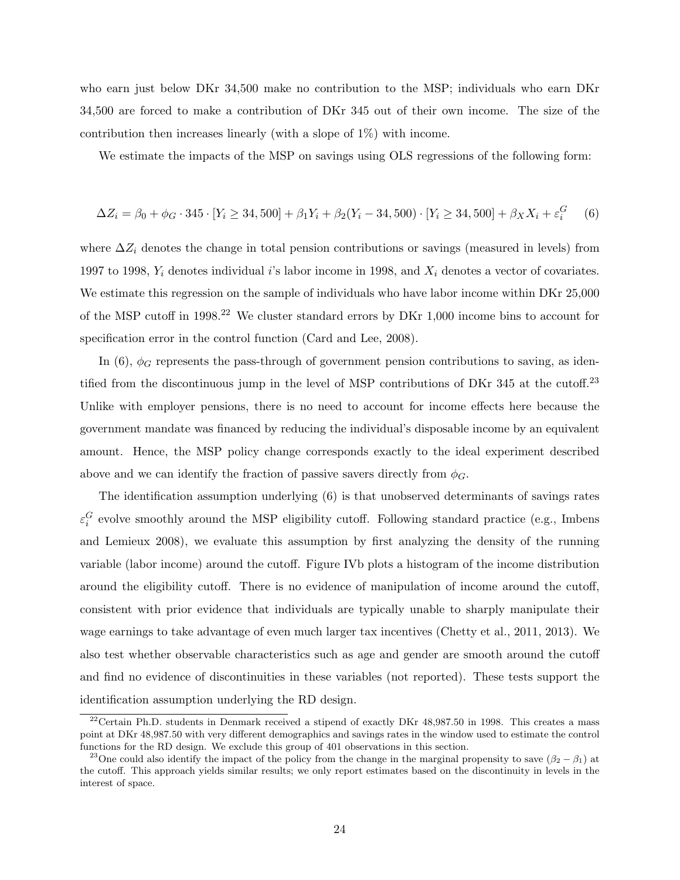who earn just below DKr 34,500 make no contribution to the MSP; individuals who earn DKr 34,500 are forced to make a contribution of DKr 345 out of their own income. The size of the contribution then increases linearly (with a slope of 1%) with income.

We estimate the impacts of the MSP on savings using OLS regressions of the following form:

$$
\Delta Z_i = \beta_0 + \phi_G \cdot 345 \cdot [Y_i \ge 34, 500] + \beta_1 Y_i + \beta_2 (Y_i - 34, 500) \cdot [Y_i \ge 34, 500] + \beta_X X_i + \varepsilon_i^G \tag{6}
$$

where  $\Delta Z_i$  denotes the change in total pension contributions or savings (measured in levels) from 1997 to 1998,  $Y_i$  denotes individual i's labor income in 1998, and  $X_i$  denotes a vector of covariates. We estimate this regression on the sample of individuals who have labor income within DKr 25,000 of the MSP cutoff in 1998.<sup>22</sup> We cluster standard errors by DKr 1,000 income bins to account for specification error in the control function (Card and Lee, 2008).

In (6),  $\phi_G$  represents the pass-through of government pension contributions to saving, as identified from the discontinuous jump in the level of MSP contributions of DKr 345 at the cutoff.<sup>23</sup> Unlike with employer pensions, there is no need to account for income effects here because the government mandate was financed by reducing the individual's disposable income by an equivalent amount. Hence, the MSP policy change corresponds exactly to the ideal experiment described above and we can identify the fraction of passive savers directly from  $\phi_G$ .

The identification assumption underlying (6) is that unobserved determinants of savings rates  $\varepsilon_i^G$  evolve smoothly around the MSP eligibility cutoff. Following standard practice (e.g., Imbens and Lemieux 2008), we evaluate this assumption by first analyzing the density of the running variable (labor income) around the cutoff. Figure IVb plots a histogram of the income distribution around the eligibility cutoff. There is no evidence of manipulation of income around the cutoff, consistent with prior evidence that individuals are typically unable to sharply manipulate their wage earnings to take advantage of even much larger tax incentives (Chetty et al., 2011, 2013). We also test whether observable characteristics such as age and gender are smooth around the cutoff and find no evidence of discontinuities in these variables (not reported). These tests support the identification assumption underlying the RD design.

 $22$ Certain Ph.D. students in Denmark received a stipend of exactly DKr 48,987.50 in 1998. This creates a mass point at DKr 48,987.50 with very different demographics and savings rates in the window used to estimate the control functions for the RD design. We exclude this group of 401 observations in this section.

<sup>&</sup>lt;sup>23</sup>One could also identify the impact of the policy from the change in the marginal propensity to save  $(\beta_2 - \beta_1)$  at the cutoff. This approach yields similar results; we only report estimates based on the discontinuity in levels in the interest of space.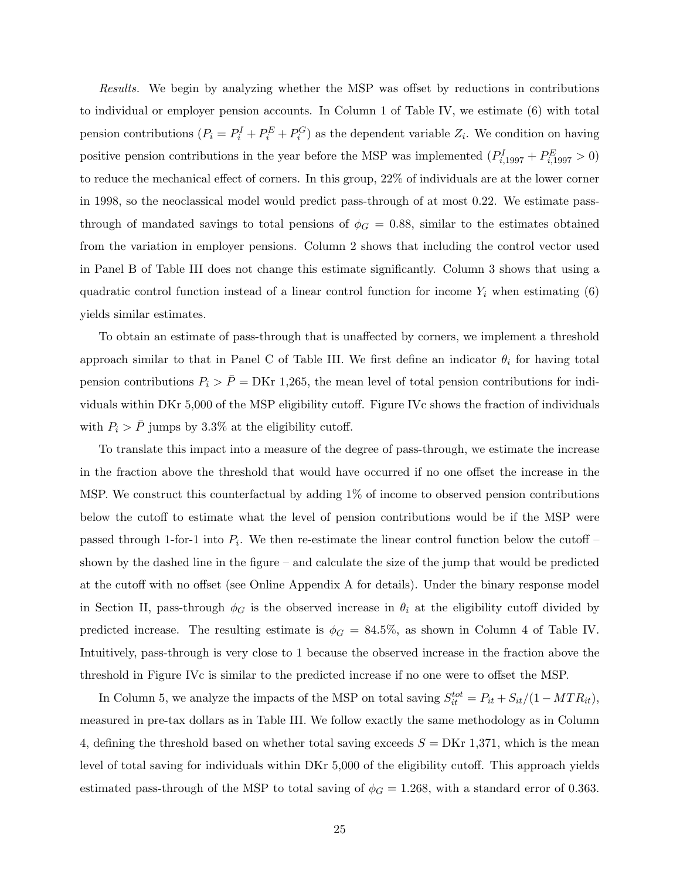Results. We begin by analyzing whether the MSP was offset by reductions in contributions to individual or employer pension accounts. In Column 1 of Table IV, we estimate (6) with total pension contributions  $(P_i = P_i^I + P_i^E + P_i^G)$  as the dependent variable  $Z_i$ . We condition on having positive pension contributions in the year before the MSP was implemented  $(P_{i,1997}^I + P_{i,1997}^E > 0)$ to reduce the mechanical effect of corners. In this group, 22% of individuals are at the lower corner in 1998, so the neoclassical model would predict pass-through of at most 0.22. We estimate passthrough of mandated savings to total pensions of  $\phi_G = 0.88$ , similar to the estimates obtained from the variation in employer pensions. Column 2 shows that including the control vector used in Panel B of Table III does not change this estimate significantly. Column 3 shows that using a quadratic control function instead of a linear control function for income  $Y_i$  when estimating  $(6)$ yields similar estimates.

To obtain an estimate of pass-through that is unaffected by corners, we implement a threshold approach similar to that in Panel C of Table III. We first define an indicator  $\theta_i$  for having total pension contributions  $P_i > \bar{P} = \text{DKr } 1,265$ , the mean level of total pension contributions for individuals within DKr 5,000 of the MSP eligibility cutoff. Figure IVc shows the fraction of individuals with  $P_i > \bar{P}$  jumps by 3.3% at the eligibility cutoff.

To translate this impact into a measure of the degree of pass-through, we estimate the increase in the fraction above the threshold that would have occurred if no one offset the increase in the MSP. We construct this counterfactual by adding 1% of income to observed pension contributions below the cutoff to estimate what the level of pension contributions would be if the MSP were passed through 1-for-1 into  $P_i$ . We then re-estimate the linear control function below the cutoff – shown by the dashed line in the figure – and calculate the size of the jump that would be predicted at the cutoff with no offset (see Online Appendix A for details). Under the binary response model in Section II, pass-through  $\phi_G$  is the observed increase in  $\theta_i$  at the eligibility cutoff divided by predicted increase. The resulting estimate is  $\phi_G = 84.5\%$ , as shown in Column 4 of Table IV. Intuitively, pass-through is very close to 1 because the observed increase in the fraction above the threshold in Figure IVc is similar to the predicted increase if no one were to offset the MSP.

In Column 5, we analyze the impacts of the MSP on total saving  $S_{it}^{tot} = P_{it} + S_{it}/(1 - MTR_{it}),$ measured in pre-tax dollars as in Table III. We follow exactly the same methodology as in Column 4, defining the threshold based on whether total saving exceeds  $S = DKr\ 1,371$ , which is the mean level of total saving for individuals within DKr 5,000 of the eligibility cutoff. This approach yields estimated pass-through of the MSP to total saving of  $\phi_G = 1.268$ , with a standard error of 0.363.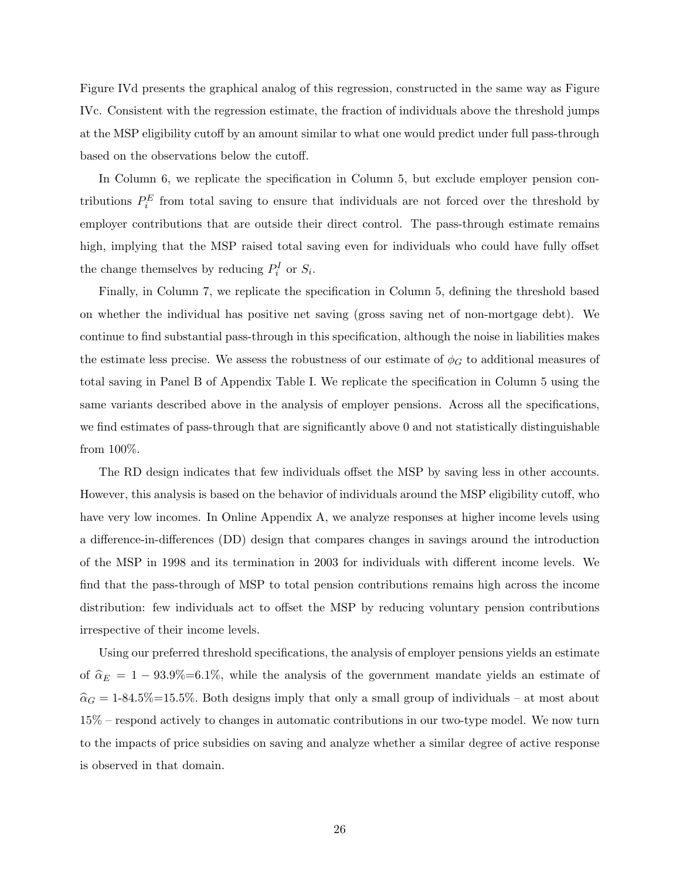Figure IVd presents the graphical analog of this regression, constructed in the same way as Figure IVc. Consistent with the regression estimate, the fraction of individuals above the threshold jumps at the MSP eligibility cutoff by an amount similar to what one would predict under full pass-through based on the observations below the cutoff.

In Column 6, we replicate the specification in Column 5, but exclude employer pension contributions  $P_i^E$  from total saving to ensure that individuals are not forced over the threshold by employer contributions that are outside their direct control. The pass-through estimate remains high, implying that the MSP raised total saving even for individuals who could have fully offset the change themselves by reducing  $P_i^I$  or  $S_i$ .

Finally, in Column 7, we replicate the specification in Column 5, defining the threshold based on whether the individual has positive net saving (gross saving net of non-mortgage debt). We continue to find substantial pass-through in this specification, although the noise in liabilities makes the estimate less precise. We assess the robustness of our estimate of  $\phi_G$  to additional measures of total saving in Panel B of Appendix Table I. We replicate the specification in Column 5 using the same variants described above in the analysis of employer pensions. Across all the specifications, we find estimates of pass-through that are significantly above 0 and not statistically distinguishable from 100%.

The RD design indicates that few individuals offset the MSP by saving less in other accounts. However, this analysis is based on the behavior of individuals around the MSP eligibility cutoff, who have very low incomes. In Online Appendix A, we analyze responses at higher income levels using a difference-in-differences (DD) design that compares changes in savings around the introduction of the MSP in 1998 and its termination in 2003 for individuals with different income levels. We find that the pass-through of MSP to total pension contributions remains high across the income distribution: few individuals act to offset the MSP by reducing voluntary pension contributions irrespective of their income levels.

Using our preferred threshold specifications, the analysis of employer pensions yields an estimate of  $\hat{\alpha}_E = 1 - 93.9\% = 6.1\%$ , while the analysis of the government mandate yields an estimate of  $\hat{\alpha}_G = 1$ -84.5%=15.5%. Both designs imply that only a small group of individuals – at most about 15% – respond actively to changes in automatic contributions in our two-type model. We now turn to the impacts of price subsidies on saving and analyze whether a similar degree of active response is observed in that domain.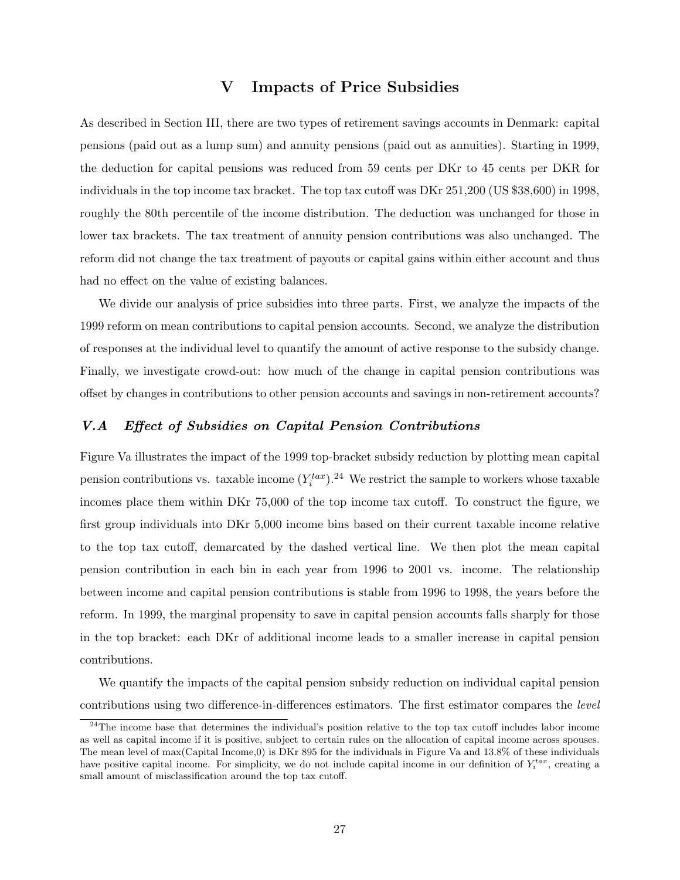## V Impacts of Price Subsidies

As described in Section III, there are two types of retirement savings accounts in Denmark: capital pensions (paid out as a lump sum) and annuity pensions (paid out as annuities). Starting in 1999, the deduction for capital pensions was reduced from 59 cents per DKr to 45 cents per DKR for individuals in the top income tax bracket. The top tax cutoff was DKr 251,200 (US \$38,600) in 1998, roughly the 80th percentile of the income distribution. The deduction was unchanged for those in lower tax brackets. The tax treatment of annuity pension contributions was also unchanged. The reform did not change the tax treatment of payouts or capital gains within either account and thus had no effect on the value of existing balances.

We divide our analysis of price subsidies into three parts. First, we analyze the impacts of the 1999 reform on mean contributions to capital pension accounts. Second, we analyze the distribution of responses at the individual level to quantify the amount of active response to the subsidy change. Finally, we investigate crowd-out: how much of the change in capital pension contributions was offset by changes in contributions to other pension accounts and savings in non-retirement accounts?

### V.A Effect of Subsidies on Capital Pension Contributions

Figure Va illustrates the impact of the 1999 top-bracket subsidy reduction by plotting mean capital pension contributions vs. taxable income  $(Y_i^{tax})$ .<sup>24</sup> We restrict the sample to workers whose taxable incomes place them within DKr 75,000 of the top income tax cutoff. To construct the figure, we first group individuals into DKr 5,000 income bins based on their current taxable income relative to the top tax cutoff, demarcated by the dashed vertical line. We then plot the mean capital pension contribution in each bin in each year from 1996 to 2001 vs. income. The relationship between income and capital pension contributions is stable from 1996 to 1998, the years before the reform. In 1999, the marginal propensity to save in capital pension accounts falls sharply for those in the top bracket: each DKr of additional income leads to a smaller increase in capital pension contributions.

We quantify the impacts of the capital pension subsidy reduction on individual capital pension contributions using two difference-in-differences estimators. The first estimator compares the level

 $24$ The income base that determines the individual's position relative to the top tax cutoff includes labor income as well as capital income if it is positive, subject to certain rules on the allocation of capital income across spouses. The mean level of max(Capital Income,0) is DKr 895 for the individuals in Figure Va and 13.8% of these individuals have positive capital income. For simplicity, we do not include capital income in our definition of  $Y_i^{tax}$ , creating a small amount of misclassification around the top tax cutoff.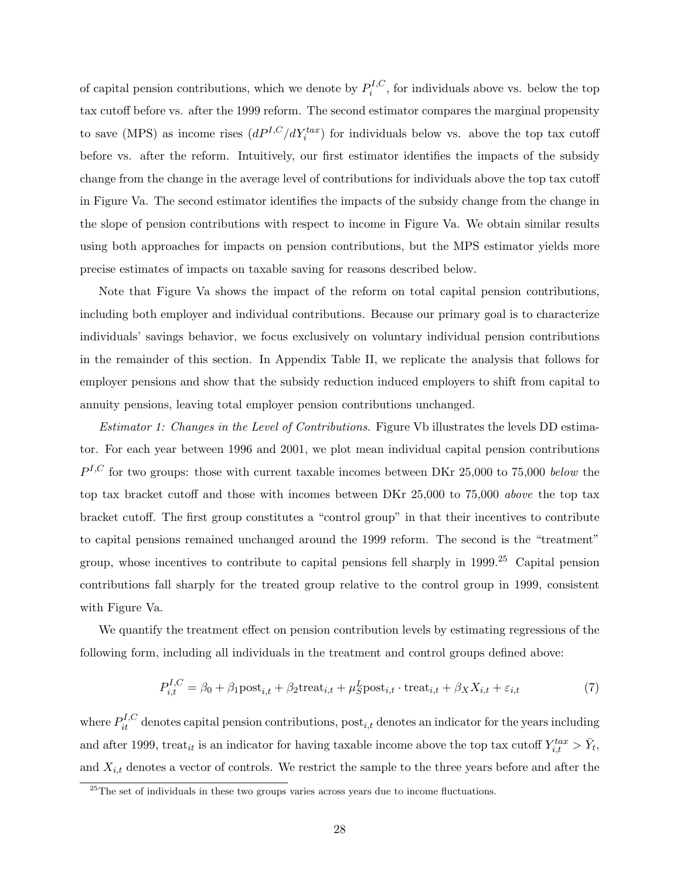of capital pension contributions, which we denote by  $P_i^{I,C}$  $i^{I,C}$ , for individuals above vs. below the top tax cutoff before vs. after the 1999 reform. The second estimator compares the marginal propensity to save (MPS) as income rises  $(dP^{I,C}/dY_i^{tax})$  for individuals below vs. above the top tax cutoff before vs. after the reform. Intuitively, our first estimator identifies the impacts of the subsidy change from the change in the average level of contributions for individuals above the top tax cutoff in Figure Va. The second estimator identifies the impacts of the subsidy change from the change in the slope of pension contributions with respect to income in Figure Va. We obtain similar results using both approaches for impacts on pension contributions, but the MPS estimator yields more precise estimates of impacts on taxable saving for reasons described below.

Note that Figure Va shows the impact of the reform on total capital pension contributions, including both employer and individual contributions. Because our primary goal is to characterize individuals' savings behavior, we focus exclusively on voluntary individual pension contributions in the remainder of this section. In Appendix Table II, we replicate the analysis that follows for employer pensions and show that the subsidy reduction induced employers to shift from capital to annuity pensions, leaving total employer pension contributions unchanged.

Estimator 1: Changes in the Level of Contributions. Figure Vb illustrates the levels DD estimator. For each year between 1996 and 2001, we plot mean individual capital pension contributions  $P^{I,C}$  for two groups: those with current taxable incomes between DKr 25,000 to 75,000 below the top tax bracket cutoff and those with incomes between DKr 25,000 to 75,000 above the top tax bracket cutoff. The first group constitutes a "control group" in that their incentives to contribute to capital pensions remained unchanged around the 1999 reform. The second is the "treatment" group, whose incentives to contribute to capital pensions fell sharply in 1999.<sup>25</sup> Capital pension contributions fall sharply for the treated group relative to the control group in 1999, consistent with Figure Va.

We quantify the treatment effect on pension contribution levels by estimating regressions of the following form, including all individuals in the treatment and control groups defined above:

$$
P_{i,t}^{I,C} = \beta_0 + \beta_1 \text{post}_{i,t} + \beta_2 \text{treat}_{i,t} + \mu_S^L \text{post}_{i,t} \cdot \text{treat}_{i,t} + \beta_X X_{i,t} + \varepsilon_{i,t}
$$
(7)

where  $P_{it}^{I,C}$  denotes capital pension contributions,  $post_{i,t}$  denotes an indicator for the years including and after 1999, treat<sub>it</sub> is an indicator for having taxable income above the top tax cutoff  $Y_{i,t}^{tax} > \bar{Y}_t$ , and  $X_{i,t}$  denotes a vector of controls. We restrict the sample to the three years before and after the

 $\frac{25}{25}$ The set of individuals in these two groups varies across years due to income fluctuations.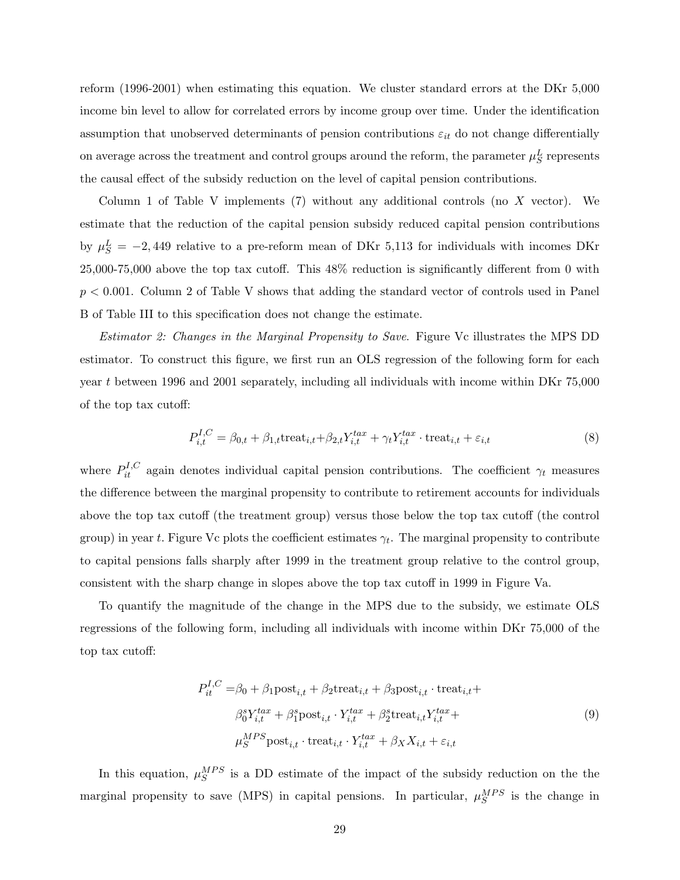reform (1996-2001) when estimating this equation. We cluster standard errors at the DKr 5,000 income bin level to allow for correlated errors by income group over time. Under the identification assumption that unobserved determinants of pension contributions  $\varepsilon_{it}$  do not change differentially on average across the treatment and control groups around the reform, the parameter  $\mu_S^L$  represents the causal effect of the subsidy reduction on the level of capital pension contributions.

Column 1 of Table V implements (7) without any additional controls (no X vector). We estimate that the reduction of the capital pension subsidy reduced capital pension contributions by  $\mu_S^L = -2,449$  relative to a pre-reform mean of DKr 5,113 for individuals with incomes DKr 25,000-75,000 above the top tax cutoff. This 48% reduction is significantly different from 0 with  $p < 0.001$ . Column 2 of Table V shows that adding the standard vector of controls used in Panel B of Table III to this specification does not change the estimate.

Estimator 2: Changes in the Marginal Propensity to Save. Figure Vc illustrates the MPS DD estimator. To construct this figure, we first run an OLS regression of the following form for each year t between 1996 and 2001 separately, including all individuals with income within DKr 75,000 of the top tax cutoff:

$$
P_{i,t}^{I,C} = \beta_{0,t} + \beta_{1,t} \text{treat}_{i,t} + \beta_{2,t} Y_{i,t}^{tax} + \gamma_t Y_{i,t}^{tax} \cdot \text{treat}_{i,t} + \varepsilon_{i,t}
$$
(8)

where  $P_{it}^{I,C}$  again denotes individual capital pension contributions. The coefficient  $\gamma_t$  measures the difference between the marginal propensity to contribute to retirement accounts for individuals above the top tax cutoff (the treatment group) versus those below the top tax cutoff (the control group) in year t. Figure Vc plots the coefficient estimates  $\gamma_t$ . The marginal propensity to contribute to capital pensions falls sharply after 1999 in the treatment group relative to the control group, consistent with the sharp change in slopes above the top tax cutoff in 1999 in Figure Va.

To quantify the magnitude of the change in the MPS due to the subsidy, we estimate OLS regressions of the following form, including all individuals with income within DKr 75,000 of the top tax cutoff:

$$
P_{it}^{I,C} = \beta_0 + \beta_1 \text{post}_{i,t} + \beta_2 \text{treat}_{i,t} + \beta_3 \text{post}_{i,t} \cdot \text{treat}_{i,t} + \n\beta_0^s Y_{i,t}^{tax} + \beta_1^s \text{post}_{i,t} \cdot Y_{i,t}^{tax} + \beta_2^s \text{treat}_{i,t} Y_{i,t}^{tax} + \n\mu_S^{MPS} \text{post}_{i,t} \cdot \text{treat}_{i,t} \cdot Y_{i,t}^{tax} + \beta_X X_{i,t} + \varepsilon_{i,t}
$$
\n(9)

In this equation,  $\mu_S^{MPS}$  is a DD estimate of the impact of the subsidy reduction on the the marginal propensity to save (MPS) in capital pensions. In particular,  $\mu_S^{MPS}$  is the change in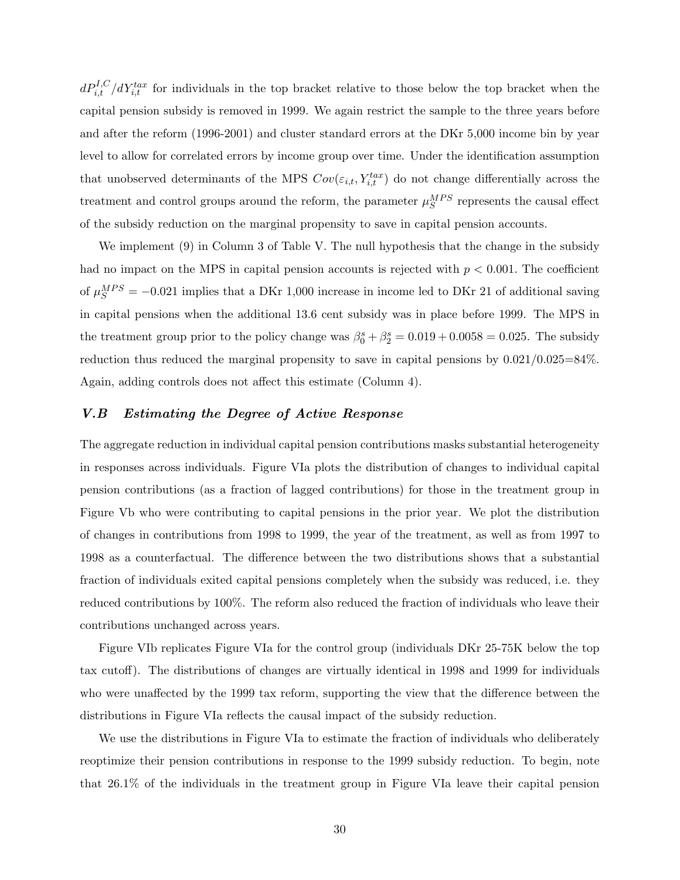$dP_{i,t}^{I,C}/dY_{i,t}^{tax}$  for individuals in the top bracket relative to those below the top bracket when the capital pension subsidy is removed in 1999. We again restrict the sample to the three years before and after the reform (1996-2001) and cluster standard errors at the DKr 5,000 income bin by year level to allow for correlated errors by income group over time. Under the identification assumption that unobserved determinants of the MPS  $Cov(\varepsilon_{i,t}, Y_{i,t}^{tax})$  do not change differentially across the treatment and control groups around the reform, the parameter  $\mu_S^{MPS}$  represents the causal effect of the subsidy reduction on the marginal propensity to save in capital pension accounts.

We implement (9) in Column 3 of Table V. The null hypothesis that the change in the subsidy had no impact on the MPS in capital pension accounts is rejected with  $p < 0.001$ . The coefficient of  $\mu_S^{MPS} = -0.021$  implies that a DKr 1,000 increase in income led to DKr 21 of additional saving in capital pensions when the additional 13.6 cent subsidy was in place before 1999. The MPS in the treatment group prior to the policy change was  $\beta_0^s + \beta_2^s = 0.019 + 0.0058 = 0.025$ . The subsidy reduction thus reduced the marginal propensity to save in capital pensions by 0.021/0.025=84%. Again, adding controls does not affect this estimate (Column 4).

### V.B Estimating the Degree of Active Response

The aggregate reduction in individual capital pension contributions masks substantial heterogeneity in responses across individuals. Figure VIa plots the distribution of changes to individual capital pension contributions (as a fraction of lagged contributions) for those in the treatment group in Figure Vb who were contributing to capital pensions in the prior year. We plot the distribution of changes in contributions from 1998 to 1999, the year of the treatment, as well as from 1997 to 1998 as a counterfactual. The difference between the two distributions shows that a substantial fraction of individuals exited capital pensions completely when the subsidy was reduced, i.e. they reduced contributions by 100%. The reform also reduced the fraction of individuals who leave their contributions unchanged across years.

Figure VIb replicates Figure VIa for the control group (individuals DKr 25-75K below the top tax cutoff). The distributions of changes are virtually identical in 1998 and 1999 for individuals who were unaffected by the 1999 tax reform, supporting the view that the difference between the distributions in Figure VIa reflects the causal impact of the subsidy reduction.

We use the distributions in Figure VIa to estimate the fraction of individuals who deliberately reoptimize their pension contributions in response to the 1999 subsidy reduction. To begin, note that 26.1% of the individuals in the treatment group in Figure VIa leave their capital pension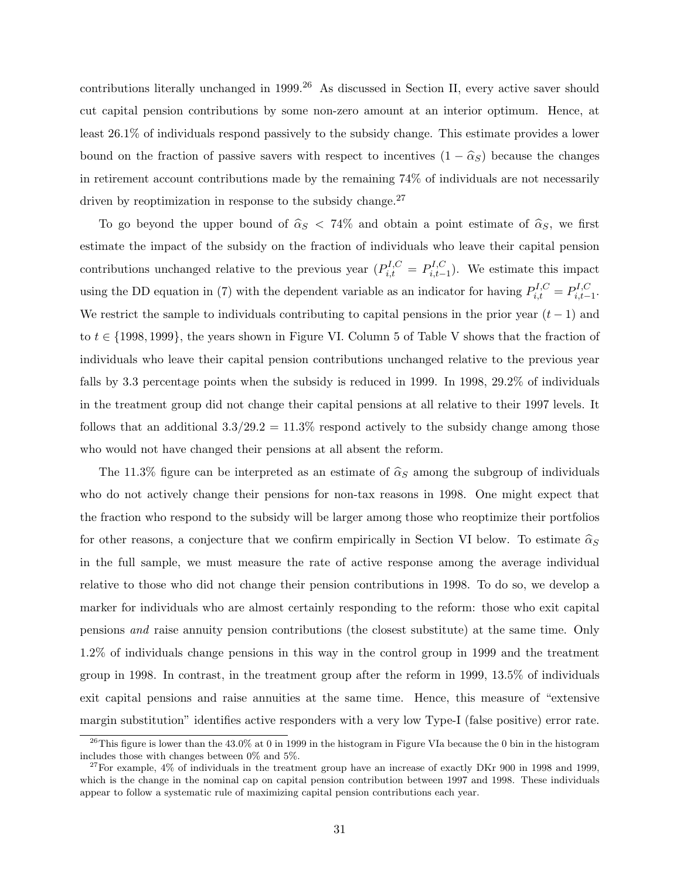contributions literally unchanged in 1999.<sup>26</sup> As discussed in Section II, every active saver should cut capital pension contributions by some non-zero amount at an interior optimum. Hence, at least 26.1% of individuals respond passively to the subsidy change. This estimate provides a lower bound on the fraction of passive savers with respect to incentives  $(1 - \hat{\alpha}_S)$  because the changes in retirement account contributions made by the remaining 74% of individuals are not necessarily driven by reoptimization in response to the subsidy change.<sup>27</sup>

To go beyond the upper bound of  $\hat{\alpha}_S < 74\%$  and obtain a point estimate of  $\hat{\alpha}_S$ , we first estimate the impact of the subsidy on the fraction of individuals who leave their capital pension contributions unchanged relative to the previous year  $(P_{i,t}^{I,C} = P_{i,t-}^{I,C})$  $i_{i,t-1}^{I,C}$ ). We estimate this impact using the DD equation in (7) with the dependent variable as an indicator for having  $P_{i,t}^{I,C} = P_{i,t-}^{I,C}$  $\sum_{i,t-1}^{I,\cup}$ . We restrict the sample to individuals contributing to capital pensions in the prior year  $(t-1)$  and to  $t \in \{1998, 1999\}$ , the years shown in Figure VI. Column 5 of Table V shows that the fraction of individuals who leave their capital pension contributions unchanged relative to the previous year falls by 3.3 percentage points when the subsidy is reduced in 1999. In 1998, 29.2% of individuals in the treatment group did not change their capital pensions at all relative to their 1997 levels. It follows that an additional  $3.3/29.2 = 11.3\%$  respond actively to the subsidy change among those who would not have changed their pensions at all absent the reform.

The 11.3% figure can be interpreted as an estimate of  $\hat{\alpha}_S$  among the subgroup of individuals who do not actively change their pensions for non-tax reasons in 1998. One might expect that the fraction who respond to the subsidy will be larger among those who reoptimize their portfolios for other reasons, a conjecture that we confirm empirically in Section VI below. To estimate  $\hat{\alpha}_S$ in the full sample, we must measure the rate of active response among the average individual relative to those who did not change their pension contributions in 1998. To do so, we develop a marker for individuals who are almost certainly responding to the reform: those who exit capital pensions and raise annuity pension contributions (the closest substitute) at the same time. Only 1.2% of individuals change pensions in this way in the control group in 1999 and the treatment group in 1998. In contrast, in the treatment group after the reform in 1999, 13.5% of individuals exit capital pensions and raise annuities at the same time. Hence, this measure of "extensive margin substitution" identifies active responders with a very low Type-I (false positive) error rate.

<sup>&</sup>lt;sup>26</sup>This figure is lower than the  $43.0\%$  at 0 in 1999 in the histogram in Figure VIa because the 0 bin in the histogram includes those with changes between 0% and 5%.

 $27$ For example,  $4\%$  of individuals in the treatment group have an increase of exactly DKr 900 in 1998 and 1999, which is the change in the nominal cap on capital pension contribution between 1997 and 1998. These individuals appear to follow a systematic rule of maximizing capital pension contributions each year.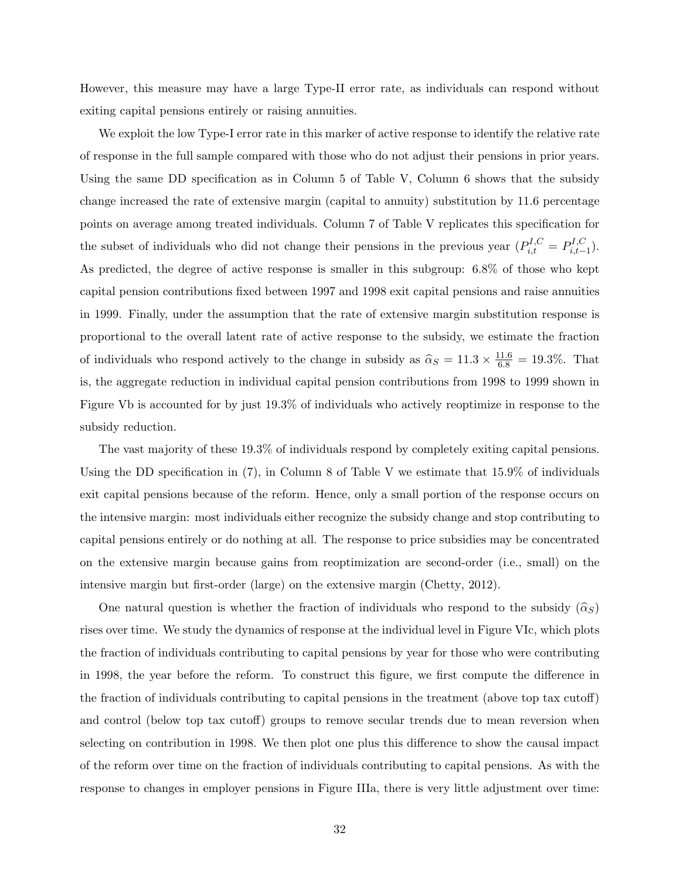However, this measure may have a large Type-II error rate, as individuals can respond without exiting capital pensions entirely or raising annuities.

We exploit the low Type-I error rate in this marker of active response to identify the relative rate of response in the full sample compared with those who do not adjust their pensions in prior years. Using the same DD specification as in Column 5 of Table V, Column 6 shows that the subsidy change increased the rate of extensive margin (capital to annuity) substitution by 11.6 percentage points on average among treated individuals. Column 7 of Table V replicates this specification for the subset of individuals who did not change their pensions in the previous year  $(P_{i,t}^{I,C} = P_{i,t-}^{I,C})$  $_{i,t-1}^{I,\cup}$ ). As predicted, the degree of active response is smaller in this subgroup: 6.8% of those who kept capital pension contributions fixed between 1997 and 1998 exit capital pensions and raise annuities in 1999. Finally, under the assumption that the rate of extensive margin substitution response is proportional to the overall latent rate of active response to the subsidy, we estimate the fraction of individuals who respond actively to the change in subsidy as  $\hat{\alpha}_S = 11.3 \times \frac{11.6}{6.8} = 19.3\%$ . That is, the aggregate reduction in individual capital pension contributions from 1998 to 1999 shown in Figure Vb is accounted for by just 19.3% of individuals who actively reoptimize in response to the subsidy reduction.

The vast majority of these 19.3% of individuals respond by completely exiting capital pensions. Using the DD specification in  $(7)$ , in Column 8 of Table V we estimate that 15.9% of individuals exit capital pensions because of the reform. Hence, only a small portion of the response occurs on the intensive margin: most individuals either recognize the subsidy change and stop contributing to capital pensions entirely or do nothing at all. The response to price subsidies may be concentrated on the extensive margin because gains from reoptimization are second-order (i.e., small) on the intensive margin but first-order (large) on the extensive margin (Chetty, 2012).

One natural question is whether the fraction of individuals who respond to the subsidy  $(\widehat{\alpha}_S)$ rises over time. We study the dynamics of response at the individual level in Figure VIc, which plots the fraction of individuals contributing to capital pensions by year for those who were contributing in 1998, the year before the reform. To construct this figure, we first compute the difference in the fraction of individuals contributing to capital pensions in the treatment (above top tax cutoff) and control (below top tax cutoff) groups to remove secular trends due to mean reversion when selecting on contribution in 1998. We then plot one plus this difference to show the causal impact of the reform over time on the fraction of individuals contributing to capital pensions. As with the response to changes in employer pensions in Figure IIIa, there is very little adjustment over time: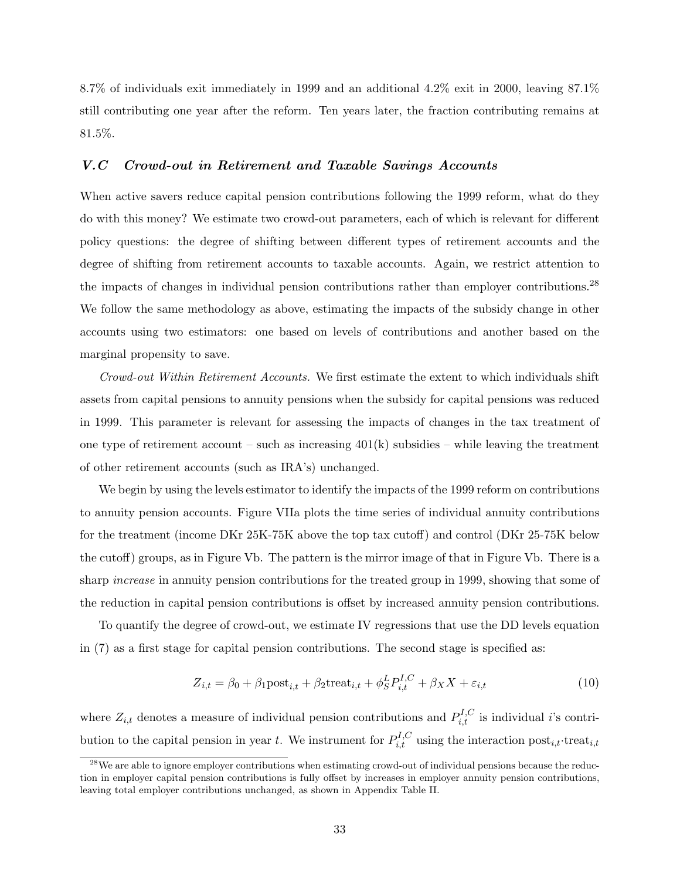8.7% of individuals exit immediately in 1999 and an additional 4.2% exit in 2000, leaving 87.1% still contributing one year after the reform. Ten years later, the fraction contributing remains at 81.5%.

### V.C Crowd-out in Retirement and Taxable Savings Accounts

When active savers reduce capital pension contributions following the 1999 reform, what do they do with this money? We estimate two crowd-out parameters, each of which is relevant for different policy questions: the degree of shifting between different types of retirement accounts and the degree of shifting from retirement accounts to taxable accounts. Again, we restrict attention to the impacts of changes in individual pension contributions rather than employer contributions.<sup>28</sup> We follow the same methodology as above, estimating the impacts of the subsidy change in other accounts using two estimators: one based on levels of contributions and another based on the marginal propensity to save.

Crowd-out Within Retirement Accounts. We first estimate the extent to which individuals shift assets from capital pensions to annuity pensions when the subsidy for capital pensions was reduced in 1999. This parameter is relevant for assessing the impacts of changes in the tax treatment of one type of retirement account – such as increasing  $401(k)$  subsidies – while leaving the treatment of other retirement accounts (such as IRA's) unchanged.

We begin by using the levels estimator to identify the impacts of the 1999 reform on contributions to annuity pension accounts. Figure VIIa plots the time series of individual annuity contributions for the treatment (income DKr 25K-75K above the top tax cutoff) and control (DKr 25-75K below the cutoff) groups, as in Figure Vb. The pattern is the mirror image of that in Figure Vb. There is a sharp *increase* in annuity pension contributions for the treated group in 1999, showing that some of the reduction in capital pension contributions is offset by increased annuity pension contributions.

To quantify the degree of crowd-out, we estimate IV regressions that use the DD levels equation in (7) as a first stage for capital pension contributions. The second stage is specified as:

$$
Z_{i,t} = \beta_0 + \beta_1 \text{post}_{i,t} + \beta_2 \text{treat}_{i,t} + \phi_S^L P_{i,t}^{I,C} + \beta_X X + \varepsilon_{i,t}
$$
\n
$$
\tag{10}
$$

where  $Z_{i,t}$  denotes a measure of individual pension contributions and  $P_{i,t}^{I,C}$  is individual *i*'s contribution to the capital pension in year t. We instrument for  $P_{i,t}^{I,C}$  using the interaction post<sub>i,t</sub>·treat<sub>i,t</sub>

<sup>&</sup>lt;sup>28</sup>We are able to ignore employer contributions when estimating crowd-out of individual pensions because the reduction in employer capital pension contributions is fully offset by increases in employer annuity pension contributions, leaving total employer contributions unchanged, as shown in Appendix Table II.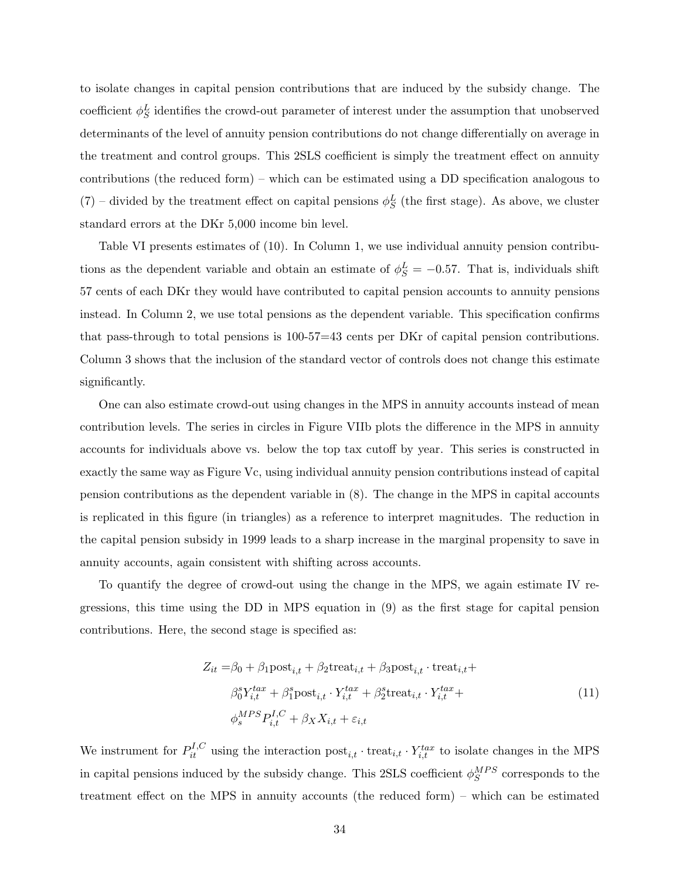to isolate changes in capital pension contributions that are induced by the subsidy change. The coefficient  $\phi_S^L$  identifies the crowd-out parameter of interest under the assumption that unobserved determinants of the level of annuity pension contributions do not change differentially on average in the treatment and control groups. This 2SLS coefficient is simply the treatment effect on annuity contributions (the reduced form) – which can be estimated using a DD specification analogous to  $(7)$  – divided by the treatment effect on capital pensions  $\phi_S^L$  (the first stage). As above, we cluster standard errors at the DKr 5,000 income bin level.

Table VI presents estimates of (10). In Column 1, we use individual annuity pension contributions as the dependent variable and obtain an estimate of  $\phi_S^L = -0.57$ . That is, individuals shift 57 cents of each DKr they would have contributed to capital pension accounts to annuity pensions instead. In Column 2, we use total pensions as the dependent variable. This specification confirms that pass-through to total pensions is 100-57=43 cents per DKr of capital pension contributions. Column 3 shows that the inclusion of the standard vector of controls does not change this estimate significantly.

One can also estimate crowd-out using changes in the MPS in annuity accounts instead of mean contribution levels. The series in circles in Figure VIIb plots the difference in the MPS in annuity accounts for individuals above vs. below the top tax cutoff by year. This series is constructed in exactly the same way as Figure Vc, using individual annuity pension contributions instead of capital pension contributions as the dependent variable in (8). The change in the MPS in capital accounts is replicated in this figure (in triangles) as a reference to interpret magnitudes. The reduction in the capital pension subsidy in 1999 leads to a sharp increase in the marginal propensity to save in annuity accounts, again consistent with shifting across accounts.

To quantify the degree of crowd-out using the change in the MPS, we again estimate IV regressions, this time using the DD in MPS equation in (9) as the first stage for capital pension contributions. Here, the second stage is specified as:

$$
Z_{it} = \beta_0 + \beta_1 \text{post}_{i,t} + \beta_2 \text{treat}_{i,t} + \beta_3 \text{post}_{i,t} \cdot \text{treat}_{i,t} +
$$
  
\n
$$
\beta_0^s Y_{i,t}^{tax} + \beta_1^s \text{post}_{i,t} \cdot Y_{i,t}^{tax} + \beta_2^s \text{treat}_{i,t} \cdot Y_{i,t}^{tax} +
$$
  
\n
$$
\phi_s^{MPS} P_{i,t}^{I,C} + \beta_X X_{i,t} + \varepsilon_{i,t}
$$
\n(11)

We instrument for  $P_{it}^{I,C}$  using the interaction  $post_{i,t} \cdot treat_{i,t} \cdot Y_{i,t}^{tax}$  to isolate changes in the MPS in capital pensions induced by the subsidy change. This 2SLS coefficient  $\phi_S^{MPS}$  corresponds to the treatment effect on the MPS in annuity accounts (the reduced form) – which can be estimated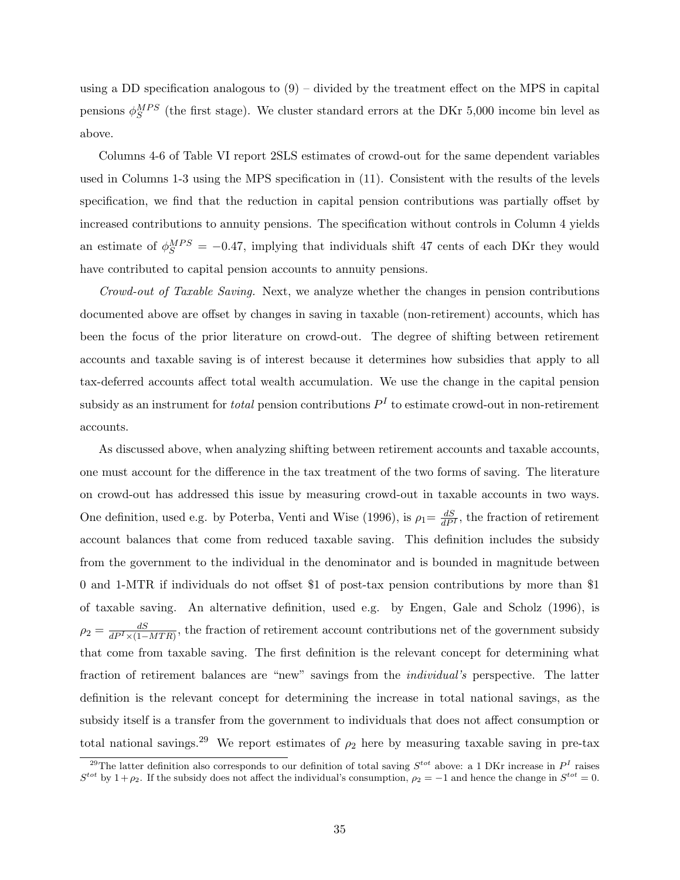using a DD specification analogous to  $(9)$  – divided by the treatment effect on the MPS in capital pensions  $\phi_S^{MPS}$  (the first stage). We cluster standard errors at the DKr 5,000 income bin level as above.

Columns 4-6 of Table VI report 2SLS estimates of crowd-out for the same dependent variables used in Columns 1-3 using the MPS specification in (11). Consistent with the results of the levels specification, we find that the reduction in capital pension contributions was partially offset by increased contributions to annuity pensions. The specification without controls in Column 4 yields an estimate of  $\phi_S^{MPS} = -0.47$ , implying that individuals shift 47 cents of each DKr they would have contributed to capital pension accounts to annuity pensions.

Crowd-out of Taxable Saving. Next, we analyze whether the changes in pension contributions documented above are offset by changes in saving in taxable (non-retirement) accounts, which has been the focus of the prior literature on crowd-out. The degree of shifting between retirement accounts and taxable saving is of interest because it determines how subsidies that apply to all tax-deferred accounts affect total wealth accumulation. We use the change in the capital pension subsidy as an instrument for *total* pension contributions  $P<sup>I</sup>$  to estimate crowd-out in non-retirement accounts.

As discussed above, when analyzing shifting between retirement accounts and taxable accounts, one must account for the difference in the tax treatment of the two forms of saving. The literature on crowd-out has addressed this issue by measuring crowd-out in taxable accounts in two ways. One definition, used e.g. by Poterba, Venti and Wise (1996), is  $\rho_1 = \frac{dS}{dP^I}$ , the fraction of retirement account balances that come from reduced taxable saving. This definition includes the subsidy from the government to the individual in the denominator and is bounded in magnitude between 0 and 1-MTR if individuals do not offset \$1 of post-tax pension contributions by more than \$1 of taxable saving. An alternative definition, used e.g. by Engen, Gale and Scholz (1996), is  $\rho_2 = \frac{dS}{dP^I \times (1-MTR)}$ , the fraction of retirement account contributions net of the government subsidy that come from taxable saving. The first definition is the relevant concept for determining what fraction of retirement balances are "new" savings from the individual's perspective. The latter definition is the relevant concept for determining the increase in total national savings, as the subsidy itself is a transfer from the government to individuals that does not affect consumption or total national savings.<sup>29</sup> We report estimates of  $\rho_2$  here by measuring taxable saving in pre-tax

<sup>&</sup>lt;sup>29</sup>The latter definition also corresponds to our definition of total saving  $S^{tot}$  above: a 1 DKr increase in  $P<sup>I</sup>$  raises  $S^{tot}$  by  $1+\rho_2$ . If the subsidy does not affect the individual's consumption,  $\rho_2=-1$  and hence the change in  $S^{tot}=0$ .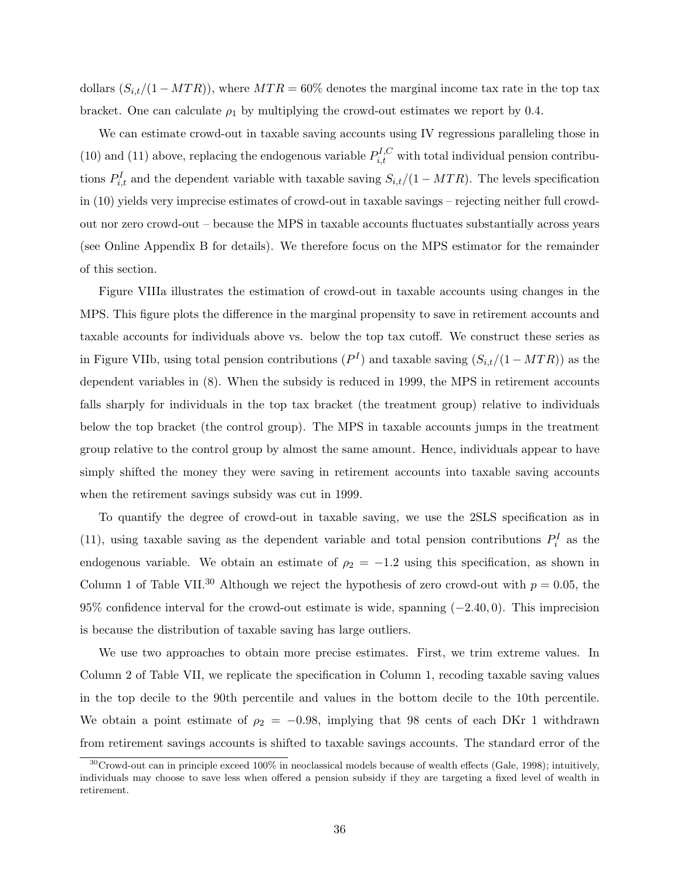dollars  $(S_{i,t}/(1-MTR))$ , where  $MTR = 60\%$  denotes the marginal income tax rate in the top tax bracket. One can calculate  $\rho_1$  by multiplying the crowd-out estimates we report by 0.4.

We can estimate crowd-out in taxable saving accounts using IV regressions paralleling those in (10) and (11) above, replacing the endogenous variable  $P_{i,t}^{I,C}$  with total individual pension contributions  $P_{i,t}^I$  and the dependent variable with taxable saving  $S_{i,t}/(1 - MTR)$ . The levels specification in (10) yields very imprecise estimates of crowd-out in taxable savings – rejecting neither full crowdout nor zero crowd-out – because the MPS in taxable accounts fluctuates substantially across years (see Online Appendix B for details). We therefore focus on the MPS estimator for the remainder of this section.

Figure VIIIa illustrates the estimation of crowd-out in taxable accounts using changes in the MPS. This figure plots the difference in the marginal propensity to save in retirement accounts and taxable accounts for individuals above vs. below the top tax cutoff. We construct these series as in Figure VIIb, using total pension contributions  $(P<sup>I</sup>)$  and taxable saving  $(S_{i,t}/(1-MTR))$  as the dependent variables in (8). When the subsidy is reduced in 1999, the MPS in retirement accounts falls sharply for individuals in the top tax bracket (the treatment group) relative to individuals below the top bracket (the control group). The MPS in taxable accounts jumps in the treatment group relative to the control group by almost the same amount. Hence, individuals appear to have simply shifted the money they were saving in retirement accounts into taxable saving accounts when the retirement savings subsidy was cut in 1999.

To quantify the degree of crowd-out in taxable saving, we use the 2SLS specification as in (11), using taxable saving as the dependent variable and total pension contributions  $P_i^I$  as the endogenous variable. We obtain an estimate of  $\rho_2 = -1.2$  using this specification, as shown in Column 1 of Table VII.<sup>30</sup> Although we reject the hypothesis of zero crowd-out with  $p = 0.05$ , the 95% confidence interval for the crowd-out estimate is wide, spanning  $(-2.40, 0)$ . This imprecision is because the distribution of taxable saving has large outliers.

We use two approaches to obtain more precise estimates. First, we trim extreme values. In Column 2 of Table VII, we replicate the specification in Column 1, recoding taxable saving values in the top decile to the 90th percentile and values in the bottom decile to the 10th percentile. We obtain a point estimate of  $\rho_2 = -0.98$ , implying that 98 cents of each DKr 1 withdrawn from retirement savings accounts is shifted to taxable savings accounts. The standard error of the

 $30C$ rowd-out can in principle exceed 100% in neoclassical models because of wealth effects (Gale, 1998); intuitively, individuals may choose to save less when offered a pension subsidy if they are targeting a fixed level of wealth in retirement.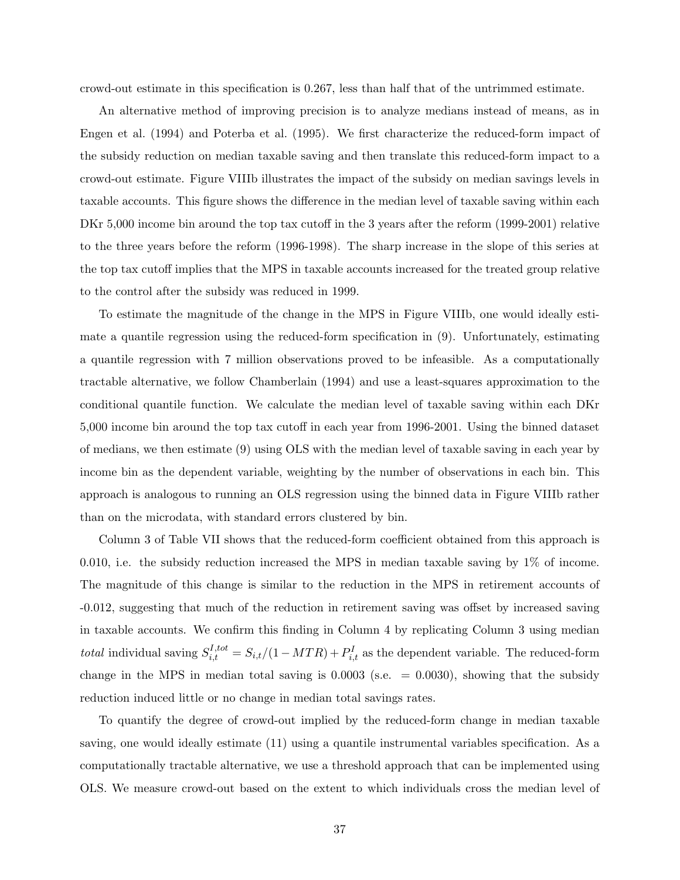crowd-out estimate in this specification is 0.267, less than half that of the untrimmed estimate.

An alternative method of improving precision is to analyze medians instead of means, as in Engen et al. (1994) and Poterba et al. (1995). We first characterize the reduced-form impact of the subsidy reduction on median taxable saving and then translate this reduced-form impact to a crowd-out estimate. Figure VIIIb illustrates the impact of the subsidy on median savings levels in taxable accounts. This figure shows the difference in the median level of taxable saving within each DKr 5,000 income bin around the top tax cutoff in the 3 years after the reform (1999-2001) relative to the three years before the reform (1996-1998). The sharp increase in the slope of this series at the top tax cutoff implies that the MPS in taxable accounts increased for the treated group relative to the control after the subsidy was reduced in 1999.

To estimate the magnitude of the change in the MPS in Figure VIIIb, one would ideally estimate a quantile regression using the reduced-form specification in (9). Unfortunately, estimating a quantile regression with 7 million observations proved to be infeasible. As a computationally tractable alternative, we follow Chamberlain (1994) and use a least-squares approximation to the conditional quantile function. We calculate the median level of taxable saving within each DKr 5,000 income bin around the top tax cutoff in each year from 1996-2001. Using the binned dataset of medians, we then estimate (9) using OLS with the median level of taxable saving in each year by income bin as the dependent variable, weighting by the number of observations in each bin. This approach is analogous to running an OLS regression using the binned data in Figure VIIIb rather than on the microdata, with standard errors clustered by bin.

Column 3 of Table VII shows that the reduced-form coefficient obtained from this approach is 0.010, i.e. the subsidy reduction increased the MPS in median taxable saving by 1% of income. The magnitude of this change is similar to the reduction in the MPS in retirement accounts of -0.012, suggesting that much of the reduction in retirement saving was offset by increased saving in taxable accounts. We confirm this finding in Column 4 by replicating Column 3 using median total individual saving  $S_{i,t}^{I,tot} = S_{i,t}/(1-MTR) + P_{i,t}^I$  as the dependent variable. The reduced-form change in the MPS in median total saving is  $0.0003$  (s.e.  $= 0.0030$ ), showing that the subsidy reduction induced little or no change in median total savings rates.

To quantify the degree of crowd-out implied by the reduced-form change in median taxable saving, one would ideally estimate (11) using a quantile instrumental variables specification. As a computationally tractable alternative, we use a threshold approach that can be implemented using OLS. We measure crowd-out based on the extent to which individuals cross the median level of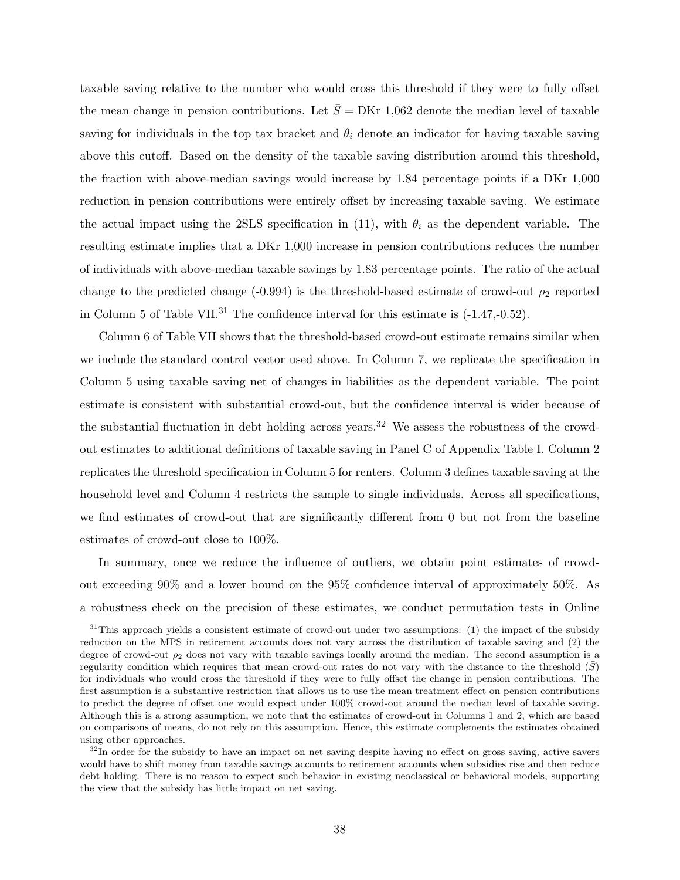taxable saving relative to the number who would cross this threshold if they were to fully offset the mean change in pension contributions. Let  $\bar{S} = DKr$  1,062 denote the median level of taxable saving for individuals in the top tax bracket and  $\theta_i$  denote an indicator for having taxable saving above this cutoff. Based on the density of the taxable saving distribution around this threshold, the fraction with above-median savings would increase by 1.84 percentage points if a DKr 1,000 reduction in pension contributions were entirely offset by increasing taxable saving. We estimate the actual impact using the 2SLS specification in (11), with  $\theta_i$  as the dependent variable. The resulting estimate implies that a DKr 1,000 increase in pension contributions reduces the number of individuals with above-median taxable savings by 1.83 percentage points. The ratio of the actual change to the predicted change (-0.994) is the threshold-based estimate of crowd-out  $\rho_2$  reported in Column 5 of Table VII.<sup>31</sup> The confidence interval for this estimate is  $(-1.47,-0.52)$ .

Column 6 of Table VII shows that the threshold-based crowd-out estimate remains similar when we include the standard control vector used above. In Column 7, we replicate the specification in Column 5 using taxable saving net of changes in liabilities as the dependent variable. The point estimate is consistent with substantial crowd-out, but the confidence interval is wider because of the substantial fluctuation in debt holding across years.<sup>32</sup> We assess the robustness of the crowdout estimates to additional definitions of taxable saving in Panel C of Appendix Table I. Column 2 replicates the threshold specification in Column 5 for renters. Column 3 defines taxable saving at the household level and Column 4 restricts the sample to single individuals. Across all specifications, we find estimates of crowd-out that are significantly different from 0 but not from the baseline estimates of crowd-out close to 100%.

In summary, once we reduce the influence of outliers, we obtain point estimates of crowdout exceeding 90% and a lower bound on the 95% confidence interval of approximately 50%. As a robustness check on the precision of these estimates, we conduct permutation tests in Online

 $31$ This approach yields a consistent estimate of crowd-out under two assumptions: (1) the impact of the subsidy reduction on the MPS in retirement accounts does not vary across the distribution of taxable saving and (2) the degree of crowd-out  $\rho_2$  does not vary with taxable savings locally around the median. The second assumption is a regularity condition which requires that mean crowd-out rates do not vary with the distance to the threshold  $(\bar{S})$ for individuals who would cross the threshold if they were to fully offset the change in pension contributions. The first assumption is a substantive restriction that allows us to use the mean treatment effect on pension contributions to predict the degree of offset one would expect under 100% crowd-out around the median level of taxable saving. Although this is a strong assumption, we note that the estimates of crowd-out in Columns 1 and 2, which are based on comparisons of means, do not rely on this assumption. Hence, this estimate complements the estimates obtained using other approaches.

 $32$ In order for the subsidy to have an impact on net saving despite having no effect on gross saving, active savers would have to shift money from taxable savings accounts to retirement accounts when subsidies rise and then reduce debt holding. There is no reason to expect such behavior in existing neoclassical or behavioral models, supporting the view that the subsidy has little impact on net saving.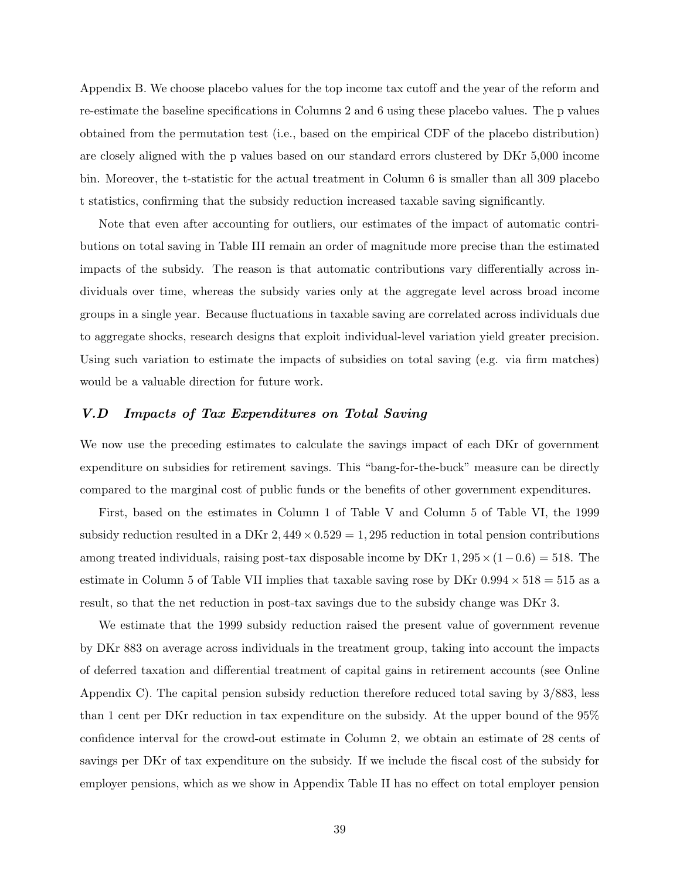Appendix B. We choose placebo values for the top income tax cutoff and the year of the reform and re-estimate the baseline specifications in Columns 2 and 6 using these placebo values. The p values obtained from the permutation test (i.e., based on the empirical CDF of the placebo distribution) are closely aligned with the p values based on our standard errors clustered by DKr 5,000 income bin. Moreover, the t-statistic for the actual treatment in Column 6 is smaller than all 309 placebo t statistics, confirming that the subsidy reduction increased taxable saving significantly.

Note that even after accounting for outliers, our estimates of the impact of automatic contributions on total saving in Table III remain an order of magnitude more precise than the estimated impacts of the subsidy. The reason is that automatic contributions vary differentially across individuals over time, whereas the subsidy varies only at the aggregate level across broad income groups in a single year. Because fluctuations in taxable saving are correlated across individuals due to aggregate shocks, research designs that exploit individual-level variation yield greater precision. Using such variation to estimate the impacts of subsidies on total saving (e.g. via firm matches) would be a valuable direction for future work.

#### V.D Impacts of Tax Expenditures on Total Saving

We now use the preceding estimates to calculate the savings impact of each DKr of government expenditure on subsidies for retirement savings. This "bang-for-the-buck" measure can be directly compared to the marginal cost of public funds or the benefits of other government expenditures.

First, based on the estimates in Column 1 of Table V and Column 5 of Table VI, the 1999 subsidy reduction resulted in a DKr  $2,449 \times 0.529 = 1,295$  reduction in total pension contributions among treated individuals, raising post-tax disposable income by DKr  $1, 295 \times (1-0.6) = 518$ . The estimate in Column 5 of Table VII implies that taxable saving rose by DKr  $0.994 \times 518 = 515$  as a result, so that the net reduction in post-tax savings due to the subsidy change was DKr 3.

We estimate that the 1999 subsidy reduction raised the present value of government revenue by DKr 883 on average across individuals in the treatment group, taking into account the impacts of deferred taxation and differential treatment of capital gains in retirement accounts (see Online Appendix C). The capital pension subsidy reduction therefore reduced total saving by  $3/883$ , less than 1 cent per DKr reduction in tax expenditure on the subsidy. At the upper bound of the 95% confidence interval for the crowd-out estimate in Column 2, we obtain an estimate of 28 cents of savings per DKr of tax expenditure on the subsidy. If we include the fiscal cost of the subsidy for employer pensions, which as we show in Appendix Table II has no effect on total employer pension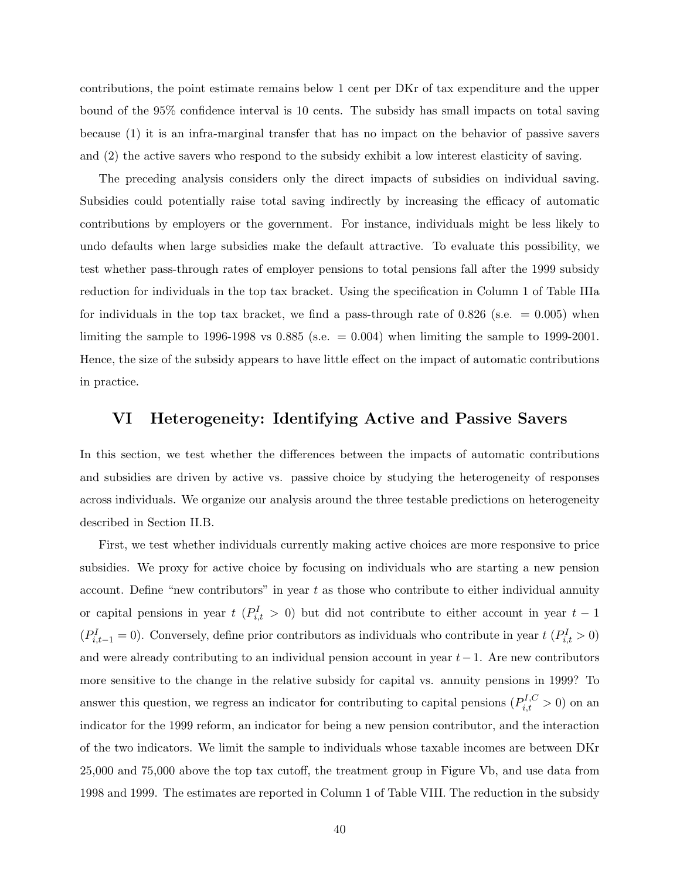contributions, the point estimate remains below 1 cent per DKr of tax expenditure and the upper bound of the 95% confidence interval is 10 cents. The subsidy has small impacts on total saving because (1) it is an infra-marginal transfer that has no impact on the behavior of passive savers and (2) the active savers who respond to the subsidy exhibit a low interest elasticity of saving.

The preceding analysis considers only the direct impacts of subsidies on individual saving. Subsidies could potentially raise total saving indirectly by increasing the efficacy of automatic contributions by employers or the government. For instance, individuals might be less likely to undo defaults when large subsidies make the default attractive. To evaluate this possibility, we test whether pass-through rates of employer pensions to total pensions fall after the 1999 subsidy reduction for individuals in the top tax bracket. Using the specification in Column 1 of Table IIIa for individuals in the top tax bracket, we find a pass-through rate of  $0.826$  (s.e.  $= 0.005$ ) when limiting the sample to 1996-1998 vs  $0.885$  (s.e.  $= 0.004$ ) when limiting the sample to 1999-2001. Hence, the size of the subsidy appears to have little effect on the impact of automatic contributions in practice.

#### VI Heterogeneity: Identifying Active and Passive Savers

In this section, we test whether the differences between the impacts of automatic contributions and subsidies are driven by active vs. passive choice by studying the heterogeneity of responses across individuals. We organize our analysis around the three testable predictions on heterogeneity described in Section II.B.

First, we test whether individuals currently making active choices are more responsive to price subsidies. We proxy for active choice by focusing on individuals who are starting a new pension account. Define "new contributors" in year  $t$  as those who contribute to either individual annuity or capital pensions in year  $t$  ( $P_{i,t}^I > 0$ ) but did not contribute to either account in year  $t-1$  $(P_{i,t-1}^I=0)$ . Conversely, define prior contributors as individuals who contribute in year  $t$  ( $P_{i,t}^I>0$ ) and were already contributing to an individual pension account in year  $t-1$ . Are new contributors more sensitive to the change in the relative subsidy for capital vs. annuity pensions in 1999? To answer this question, we regress an indicator for contributing to capital pensions  $(P_{i,t}^{I,C} > 0)$  on an indicator for the 1999 reform, an indicator for being a new pension contributor, and the interaction of the two indicators. We limit the sample to individuals whose taxable incomes are between DKr 25,000 and 75,000 above the top tax cutoff, the treatment group in Figure Vb, and use data from 1998 and 1999. The estimates are reported in Column 1 of Table VIII. The reduction in the subsidy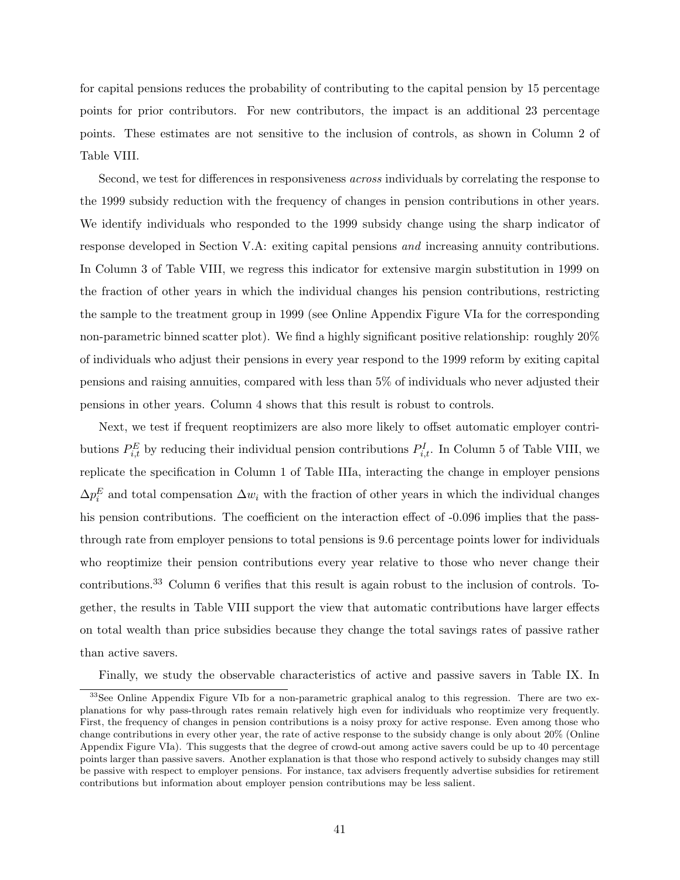for capital pensions reduces the probability of contributing to the capital pension by 15 percentage points for prior contributors. For new contributors, the impact is an additional 23 percentage points. These estimates are not sensitive to the inclusion of controls, as shown in Column 2 of Table VIII.

Second, we test for differences in responsiveness across individuals by correlating the response to the 1999 subsidy reduction with the frequency of changes in pension contributions in other years. We identify individuals who responded to the 1999 subsidy change using the sharp indicator of response developed in Section V.A: exiting capital pensions and increasing annuity contributions. In Column 3 of Table VIII, we regress this indicator for extensive margin substitution in 1999 on the fraction of other years in which the individual changes his pension contributions, restricting the sample to the treatment group in 1999 (see Online Appendix Figure VIa for the corresponding non-parametric binned scatter plot). We find a highly significant positive relationship: roughly 20% of individuals who adjust their pensions in every year respond to the 1999 reform by exiting capital pensions and raising annuities, compared with less than 5% of individuals who never adjusted their pensions in other years. Column 4 shows that this result is robust to controls.

Next, we test if frequent reoptimizers are also more likely to offset automatic employer contributions  $P_{i,t}^E$  by reducing their individual pension contributions  $P_{i,t}^I$ . In Column 5 of Table VIII, we replicate the specification in Column 1 of Table IIIa, interacting the change in employer pensions  $\Delta p_i^E$  and total compensation  $\Delta w_i$  with the fraction of other years in which the individual changes his pension contributions. The coefficient on the interaction effect of  $-0.096$  implies that the passthrough rate from employer pensions to total pensions is 9.6 percentage points lower for individuals who reoptimize their pension contributions every year relative to those who never change their contributions.<sup>33</sup> Column 6 verifies that this result is again robust to the inclusion of controls. Together, the results in Table VIII support the view that automatic contributions have larger effects on total wealth than price subsidies because they change the total savings rates of passive rather than active savers.

Finally, we study the observable characteristics of active and passive savers in Table IX. In

<sup>&</sup>lt;sup>33</sup>See Online Appendix Figure VIb for a non-parametric graphical analog to this regression. There are two explanations for why pass-through rates remain relatively high even for individuals who reoptimize very frequently. First, the frequency of changes in pension contributions is a noisy proxy for active response. Even among those who change contributions in every other year, the rate of active response to the subsidy change is only about 20% (Online Appendix Figure VIa). This suggests that the degree of crowd-out among active savers could be up to 40 percentage points larger than passive savers. Another explanation is that those who respond actively to subsidy changes may still be passive with respect to employer pensions. For instance, tax advisers frequently advertise subsidies for retirement contributions but information about employer pension contributions may be less salient.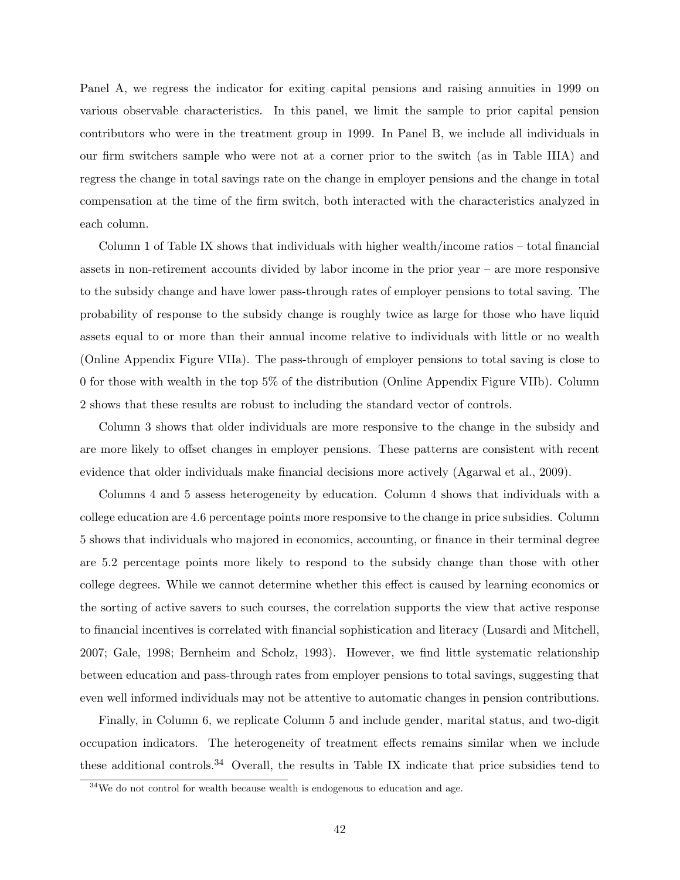Panel A, we regress the indicator for exiting capital pensions and raising annuities in 1999 on various observable characteristics. In this panel, we limit the sample to prior capital pension contributors who were in the treatment group in 1999. In Panel B, we include all individuals in our firm switchers sample who were not at a corner prior to the switch (as in Table IIIA) and regress the change in total savings rate on the change in employer pensions and the change in total compensation at the time of the firm switch, both interacted with the characteristics analyzed in each column.

Column 1 of Table IX shows that individuals with higher wealth/income ratios – total financial assets in non-retirement accounts divided by labor income in the prior year – are more responsive to the subsidy change and have lower pass-through rates of employer pensions to total saving. The probability of response to the subsidy change is roughly twice as large for those who have liquid assets equal to or more than their annual income relative to individuals with little or no wealth (Online Appendix Figure VIIa). The pass-through of employer pensions to total saving is close to 0 for those with wealth in the top 5% of the distribution (Online Appendix Figure VIIb). Column 2 shows that these results are robust to including the standard vector of controls.

Column 3 shows that older individuals are more responsive to the change in the subsidy and are more likely to offset changes in employer pensions. These patterns are consistent with recent evidence that older individuals make financial decisions more actively (Agarwal et al., 2009).

Columns 4 and 5 assess heterogeneity by education. Column 4 shows that individuals with a college education are 4.6 percentage points more responsive to the change in price subsidies. Column 5 shows that individuals who majored in economics, accounting, or finance in their terminal degree are 5.2 percentage points more likely to respond to the subsidy change than those with other college degrees. While we cannot determine whether this effect is caused by learning economics or the sorting of active savers to such courses, the correlation supports the view that active response to financial incentives is correlated with financial sophistication and literacy (Lusardi and Mitchell, 2007; Gale, 1998; Bernheim and Scholz, 1993). However, we find little systematic relationship between education and pass-through rates from employer pensions to total savings, suggesting that even well informed individuals may not be attentive to automatic changes in pension contributions.

Finally, in Column 6, we replicate Column 5 and include gender, marital status, and two-digit occupation indicators. The heterogeneity of treatment effects remains similar when we include these additional controls.<sup>34</sup> Overall, the results in Table IX indicate that price subsidies tend to

 $34$ We do not control for wealth because wealth is endogenous to education and age.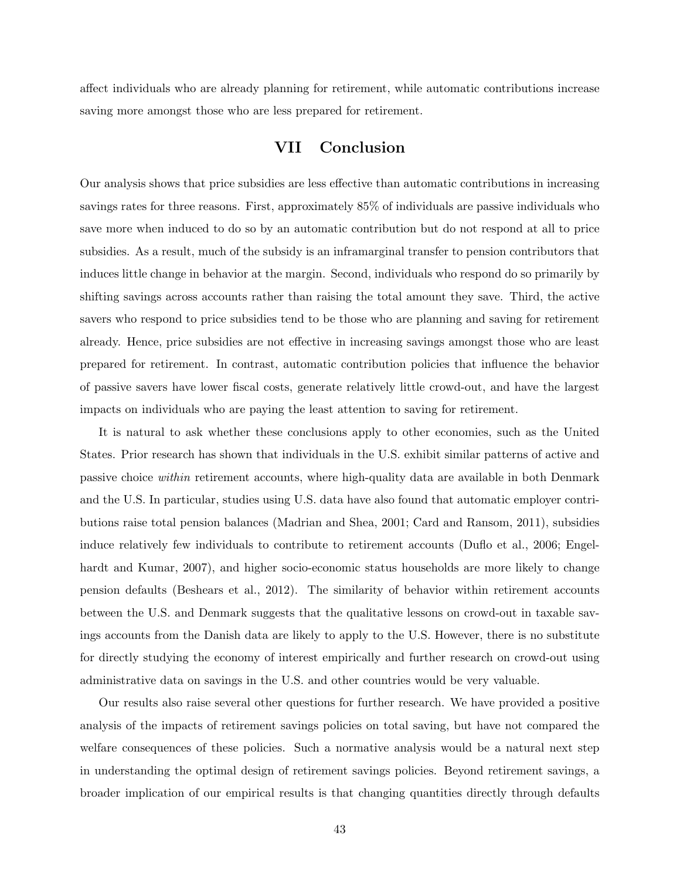affect individuals who are already planning for retirement, while automatic contributions increase saving more amongst those who are less prepared for retirement.

### VII Conclusion

Our analysis shows that price subsidies are less effective than automatic contributions in increasing savings rates for three reasons. First, approximately 85% of individuals are passive individuals who save more when induced to do so by an automatic contribution but do not respond at all to price subsidies. As a result, much of the subsidy is an inframarginal transfer to pension contributors that induces little change in behavior at the margin. Second, individuals who respond do so primarily by shifting savings across accounts rather than raising the total amount they save. Third, the active savers who respond to price subsidies tend to be those who are planning and saving for retirement already. Hence, price subsidies are not effective in increasing savings amongst those who are least prepared for retirement. In contrast, automatic contribution policies that influence the behavior of passive savers have lower fiscal costs, generate relatively little crowd-out, and have the largest impacts on individuals who are paying the least attention to saving for retirement.

It is natural to ask whether these conclusions apply to other economies, such as the United States. Prior research has shown that individuals in the U.S. exhibit similar patterns of active and passive choice within retirement accounts, where high-quality data are available in both Denmark and the U.S. In particular, studies using U.S. data have also found that automatic employer contributions raise total pension balances (Madrian and Shea, 2001; Card and Ransom, 2011), subsidies induce relatively few individuals to contribute to retirement accounts (Duflo et al., 2006; Engelhardt and Kumar, 2007), and higher socio-economic status households are more likely to change pension defaults (Beshears et al., 2012). The similarity of behavior within retirement accounts between the U.S. and Denmark suggests that the qualitative lessons on crowd-out in taxable savings accounts from the Danish data are likely to apply to the U.S. However, there is no substitute for directly studying the economy of interest empirically and further research on crowd-out using administrative data on savings in the U.S. and other countries would be very valuable.

Our results also raise several other questions for further research. We have provided a positive analysis of the impacts of retirement savings policies on total saving, but have not compared the welfare consequences of these policies. Such a normative analysis would be a natural next step in understanding the optimal design of retirement savings policies. Beyond retirement savings, a broader implication of our empirical results is that changing quantities directly through defaults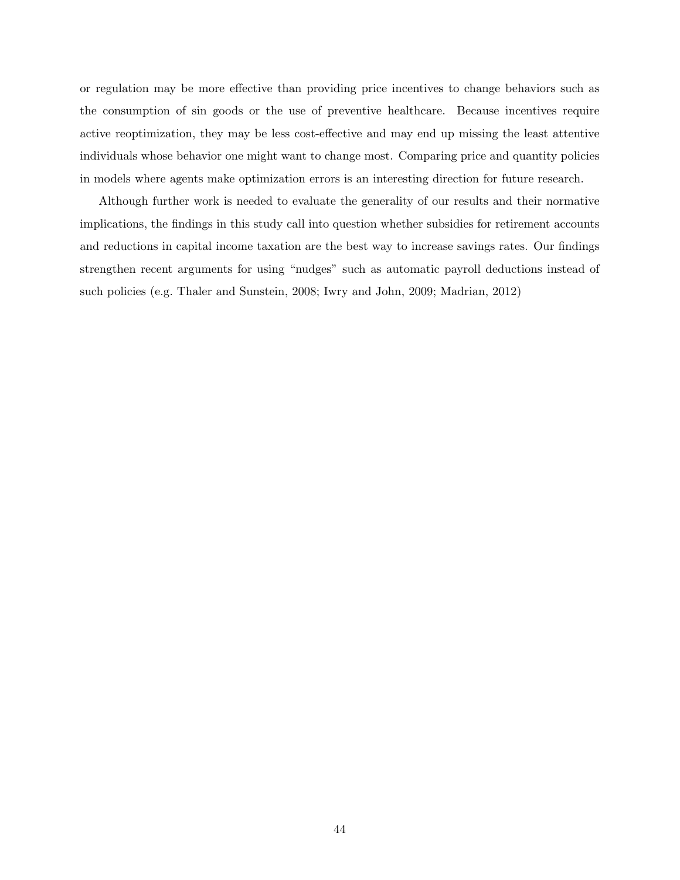or regulation may be more effective than providing price incentives to change behaviors such as the consumption of sin goods or the use of preventive healthcare. Because incentives require active reoptimization, they may be less cost-effective and may end up missing the least attentive individuals whose behavior one might want to change most. Comparing price and quantity policies in models where agents make optimization errors is an interesting direction for future research.

Although further work is needed to evaluate the generality of our results and their normative implications, the findings in this study call into question whether subsidies for retirement accounts and reductions in capital income taxation are the best way to increase savings rates. Our findings strengthen recent arguments for using "nudges" such as automatic payroll deductions instead of such policies (e.g. Thaler and Sunstein, 2008; Iwry and John, 2009; Madrian, 2012)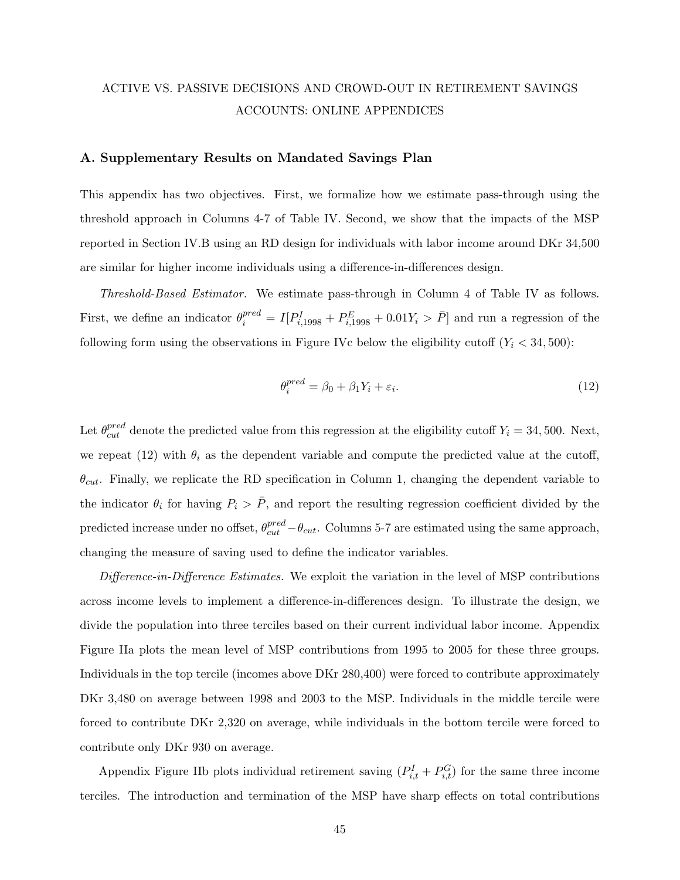# ACTIVE VS. PASSIVE DECISIONS AND CROWD-OUT IN RETIREMENT SAVINGS ACCOUNTS: ONLINE APPENDICES

#### A. Supplementary Results on Mandated Savings Plan

This appendix has two objectives. First, we formalize how we estimate pass-through using the threshold approach in Columns 4-7 of Table IV. Second, we show that the impacts of the MSP reported in Section IV.B using an RD design for individuals with labor income around DKr 34,500 are similar for higher income individuals using a difference-in-differences design.

Threshold-Based Estimator. We estimate pass-through in Column 4 of Table IV as follows. First, we define an indicator  $\theta_i^{pred} = I[P_{i,1998}^I + P_{i,1998}^E + 0.01Y_i > \bar{P}]$  and run a regression of the following form using the observations in Figure IVc below the eligibility cutoff  $(Y_i < 34, 500)$ :

$$
\theta_i^{pred} = \beta_0 + \beta_1 Y_i + \varepsilon_i. \tag{12}
$$

Let  $\theta_{cut}^{pred}$  denote the predicted value from this regression at the eligibility cutoff  $Y_i = 34,500$ . Next, we repeat (12) with  $\theta_i$  as the dependent variable and compute the predicted value at the cutoff,  $\theta_{cut}$ . Finally, we replicate the RD specification in Column 1, changing the dependent variable to the indicator  $\theta_i$  for having  $P_i > \overline{P}$ , and report the resulting regression coefficient divided by the predicted increase under no offset,  $\theta_{cut}^{pred} - \theta_{cut}$ . Columns 5-7 are estimated using the same approach, changing the measure of saving used to define the indicator variables.

Difference-in-Difference Estimates. We exploit the variation in the level of MSP contributions across income levels to implement a difference-in-differences design. To illustrate the design, we divide the population into three terciles based on their current individual labor income. Appendix Figure IIa plots the mean level of MSP contributions from 1995 to 2005 for these three groups. Individuals in the top tercile (incomes above DKr 280,400) were forced to contribute approximately DKr 3,480 on average between 1998 and 2003 to the MSP. Individuals in the middle tercile were forced to contribute DKr 2,320 on average, while individuals in the bottom tercile were forced to contribute only DKr 930 on average.

Appendix Figure IIb plots individual retirement saving  $(P_{i,t}^I + P_{i,t}^G)$  for the same three income terciles. The introduction and termination of the MSP have sharp effects on total contributions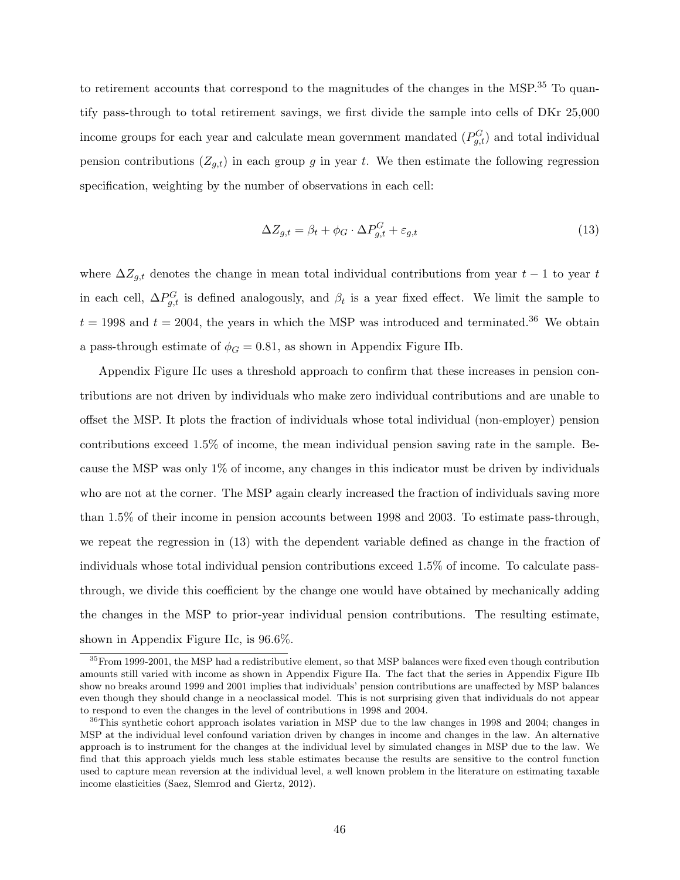to retirement accounts that correspond to the magnitudes of the changes in the MSP. $35$  To quantify pass-through to total retirement savings, we first divide the sample into cells of DKr 25,000 income groups for each year and calculate mean government mandated  $(P_{g,t}^G)$  and total individual pension contributions  $(Z_{g,t})$  in each group g in year t. We then estimate the following regression specification, weighting by the number of observations in each cell:

$$
\Delta Z_{g,t} = \beta_t + \phi_G \cdot \Delta P_{g,t}^G + \varepsilon_{g,t} \tag{13}
$$

where  $\Delta Z_{g,t}$  denotes the change in mean total individual contributions from year  $t-1$  to year t in each cell,  $\Delta P_{g,t}^G$  is defined analogously, and  $\beta_t$  is a year fixed effect. We limit the sample to  $t = 1998$  and  $t = 2004$ , the years in which the MSP was introduced and terminated.<sup>36</sup> We obtain a pass-through estimate of  $\phi_G = 0.81$ , as shown in Appendix Figure IIb.

Appendix Figure IIc uses a threshold approach to confirm that these increases in pension contributions are not driven by individuals who make zero individual contributions and are unable to offset the MSP. It plots the fraction of individuals whose total individual (non-employer) pension contributions exceed 1.5% of income, the mean individual pension saving rate in the sample. Because the MSP was only 1% of income, any changes in this indicator must be driven by individuals who are not at the corner. The MSP again clearly increased the fraction of individuals saving more than 1.5% of their income in pension accounts between 1998 and 2003. To estimate pass-through, we repeat the regression in (13) with the dependent variable defined as change in the fraction of individuals whose total individual pension contributions exceed 1.5% of income. To calculate passthrough, we divide this coefficient by the change one would have obtained by mechanically adding the changes in the MSP to prior-year individual pension contributions. The resulting estimate, shown in Appendix Figure IIc, is 96.6%.

<sup>&</sup>lt;sup>35</sup>From 1999-2001, the MSP had a redistributive element, so that MSP balances were fixed even though contribution amounts still varied with income as shown in Appendix Figure IIa. The fact that the series in Appendix Figure IIb show no breaks around 1999 and 2001 implies that individuals' pension contributions are unaffected by MSP balances even though they should change in a neoclassical model. This is not surprising given that individuals do not appear to respond to even the changes in the level of contributions in 1998 and 2004.

<sup>&</sup>lt;sup>36</sup>This synthetic cohort approach isolates variation in MSP due to the law changes in 1998 and 2004; changes in MSP at the individual level confound variation driven by changes in income and changes in the law. An alternative approach is to instrument for the changes at the individual level by simulated changes in MSP due to the law. We find that this approach yields much less stable estimates because the results are sensitive to the control function used to capture mean reversion at the individual level, a well known problem in the literature on estimating taxable income elasticities (Saez, Slemrod and Giertz, 2012).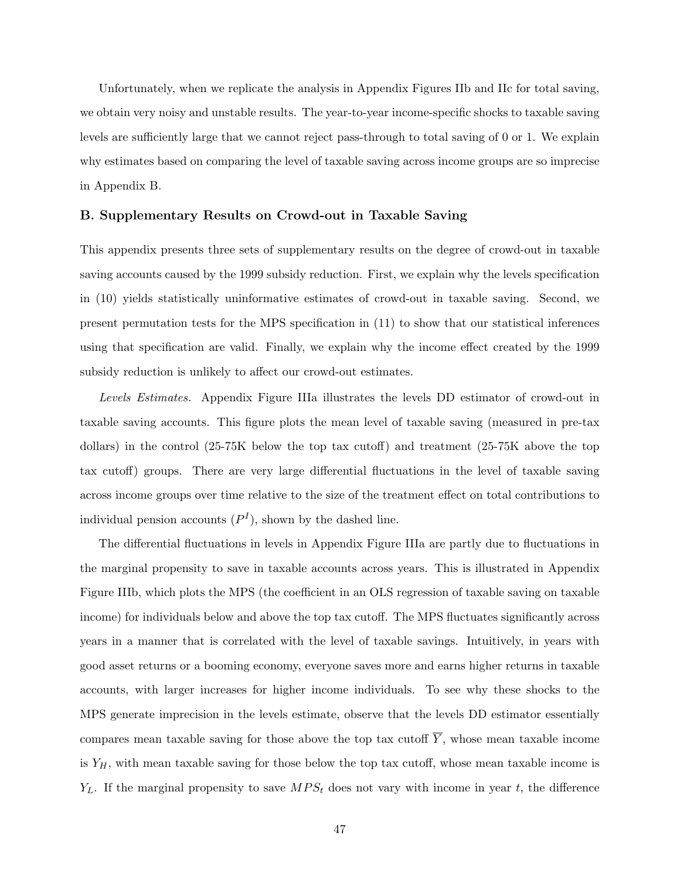Unfortunately, when we replicate the analysis in Appendix Figures IIb and IIc for total saving, we obtain very noisy and unstable results. The year-to-year income-specific shocks to taxable saving levels are sufficiently large that we cannot reject pass-through to total saving of 0 or 1. We explain why estimates based on comparing the level of taxable saving across income groups are so imprecise in Appendix B.

#### B. Supplementary Results on Crowd-out in Taxable Saving

This appendix presents three sets of supplementary results on the degree of crowd-out in taxable saving accounts caused by the 1999 subsidy reduction. First, we explain why the levels specification in (10) yields statistically uninformative estimates of crowd-out in taxable saving. Second, we present permutation tests for the MPS specification in (11) to show that our statistical inferences using that specification are valid. Finally, we explain why the income effect created by the 1999 subsidy reduction is unlikely to affect our crowd-out estimates.

Levels Estimates. Appendix Figure IIIa illustrates the levels DD estimator of crowd-out in taxable saving accounts. This figure plots the mean level of taxable saving (measured in pre-tax dollars) in the control (25-75K below the top tax cutoff) and treatment (25-75K above the top tax cutoff) groups. There are very large differential fluctuations in the level of taxable saving across income groups over time relative to the size of the treatment effect on total contributions to individual pension accounts  $(P<sup>I</sup>)$ , shown by the dashed line.

The differential fluctuations in levels in Appendix Figure IIIa are partly due to fluctuations in the marginal propensity to save in taxable accounts across years. This is illustrated in Appendix Figure IIIb, which plots the MPS (the coefficient in an OLS regression of taxable saving on taxable income) for individuals below and above the top tax cutoff. The MPS fluctuates significantly across years in a manner that is correlated with the level of taxable savings. Intuitively, in years with good asset returns or a booming economy, everyone saves more and earns higher returns in taxable accounts, with larger increases for higher income individuals. To see why these shocks to the MPS generate imprecision in the levels estimate, observe that the levels DD estimator essentially compares mean taxable saving for those above the top tax cutoff  $\overline{Y}$ , whose mean taxable income is  $Y_H$ , with mean taxable saving for those below the top tax cutoff, whose mean taxable income is  $Y_L$ . If the marginal propensity to save  $MPS_t$  does not vary with income in year t, the difference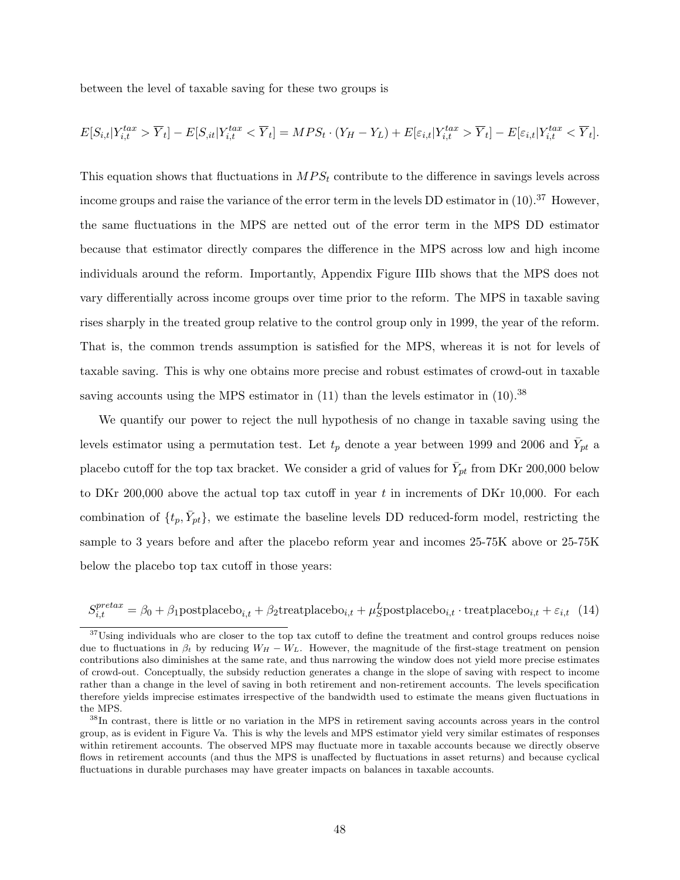between the level of taxable saving for these two groups is

$$
E[S_{i,t}|Y_{i,t}^{tax} > \overline{Y}_t] - E[S_{i,t}|Y_{i,t}^{tax} < \overline{Y}_t] = MPS_t \cdot (Y_H - Y_L) + E[\varepsilon_{i,t}|Y_{i,t}^{tax} > \overline{Y}_t] - E[\varepsilon_{i,t}|Y_{i,t}^{tax} < \overline{Y}_t].
$$

This equation shows that fluctuations in  $MPS_t$  contribute to the difference in savings levels across income groups and raise the variance of the error term in the levels DD estimator in  $(10).^{37}$  However, the same fluctuations in the MPS are netted out of the error term in the MPS DD estimator because that estimator directly compares the difference in the MPS across low and high income individuals around the reform. Importantly, Appendix Figure IIIb shows that the MPS does not vary differentially across income groups over time prior to the reform. The MPS in taxable saving rises sharply in the treated group relative to the control group only in 1999, the year of the reform. That is, the common trends assumption is satisfied for the MPS, whereas it is not for levels of taxable saving. This is why one obtains more precise and robust estimates of crowd-out in taxable saving accounts using the MPS estimator in  $(11)$  than the levels estimator in  $(10).^{38}$ 

We quantify our power to reject the null hypothesis of no change in taxable saving using the levels estimator using a permutation test. Let  $t_p$  denote a year between 1999 and 2006 and  $\bar{Y}_{pt}$  a placebo cutoff for the top tax bracket. We consider a grid of values for  $\bar{Y}_{pt}$  from DKr 200,000 below to DKr 200,000 above the actual top tax cutoff in year t in increments of DKr 10,000. For each combination of  $\{t_p, \bar{Y}_{pt}\},$  we estimate the baseline levels DD reduced-form model, restricting the sample to 3 years before and after the placebo reform year and incomes 25-75K above or 25-75K below the placebo top tax cutoff in those years:

$$
S_{i,t}^{pretax} = \beta_0 + \beta_1 \text{postplacebo}_{i,t} + \beta_2 \text{treatplacebo}_{i,t} + \mu_S^L \text{postplacebo}_{i,t} \cdot \text{treatplacebo}_{i,t} + \varepsilon_{i,t} \tag{14}
$$

<sup>&</sup>lt;sup>37</sup>Using individuals who are closer to the top tax cutoff to define the treatment and control groups reduces noise due to fluctuations in  $\beta_t$  by reducing  $W_H - W_L$ . However, the magnitude of the first-stage treatment on pension contributions also diminishes at the same rate, and thus narrowing the window does not yield more precise estimates of crowd-out. Conceptually, the subsidy reduction generates a change in the slope of saving with respect to income rather than a change in the level of saving in both retirement and non-retirement accounts. The levels specification therefore yields imprecise estimates irrespective of the bandwidth used to estimate the means given fluctuations in the MPS.

<sup>38</sup>In contrast, there is little or no variation in the MPS in retirement saving accounts across years in the control group, as is evident in Figure Va. This is why the levels and MPS estimator yield very similar estimates of responses within retirement accounts. The observed MPS may fluctuate more in taxable accounts because we directly observe flows in retirement accounts (and thus the MPS is unaffected by fluctuations in asset returns) and because cyclical fluctuations in durable purchases may have greater impacts on balances in taxable accounts.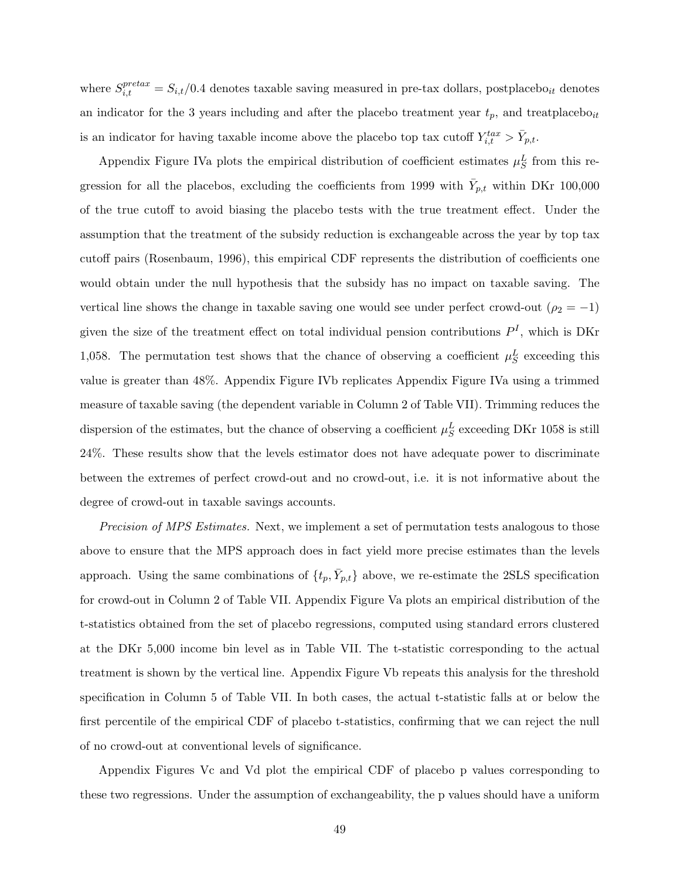where  $S_{i,t}^{pretax} = S_{i,t}/0.4$  denotes taxable saving measured in pre-tax dollars, postplacebo<sub>it</sub> denotes an indicator for the 3 years including and after the placebo treatment year  $t_p$ , and treatplacebo<sub>it</sub> is an indicator for having taxable income above the placebo top tax cutoff  $Y_{i,t}^{tax} > \bar{Y}_{p,t}$ .

Appendix Figure IVa plots the empirical distribution of coefficient estimates  $\mu_S^L$  from this regression for all the placebos, excluding the coefficients from 1999 with  $\bar{Y}_{p,t}$  within DKr 100,000 of the true cutoff to avoid biasing the placebo tests with the true treatment effect. Under the assumption that the treatment of the subsidy reduction is exchangeable across the year by top tax cutoff pairs (Rosenbaum, 1996), this empirical CDF represents the distribution of coefficients one would obtain under the null hypothesis that the subsidy has no impact on taxable saving. The vertical line shows the change in taxable saving one would see under perfect crowd-out ( $\rho_2 = -1$ ) given the size of the treatment effect on total individual pension contributions  $P<sup>I</sup>$ , which is DKr 1,058. The permutation test shows that the chance of observing a coefficient  $\mu_S^L$  exceeding this value is greater than 48%. Appendix Figure IVb replicates Appendix Figure IVa using a trimmed measure of taxable saving (the dependent variable in Column 2 of Table VII). Trimming reduces the dispersion of the estimates, but the chance of observing a coefficient  $\mu_S^L$  exceeding DKr 1058 is still 24%. These results show that the levels estimator does not have adequate power to discriminate between the extremes of perfect crowd-out and no crowd-out, i.e. it is not informative about the degree of crowd-out in taxable savings accounts.

Precision of MPS Estimates. Next, we implement a set of permutation tests analogous to those above to ensure that the MPS approach does in fact yield more precise estimates than the levels approach. Using the same combinations of  $\{t_p, \bar{Y}_{p,t}\}$  above, we re-estimate the 2SLS specification for crowd-out in Column 2 of Table VII. Appendix Figure Va plots an empirical distribution of the t-statistics obtained from the set of placebo regressions, computed using standard errors clustered at the DKr 5,000 income bin level as in Table VII. The t-statistic corresponding to the actual treatment is shown by the vertical line. Appendix Figure Vb repeats this analysis for the threshold specification in Column 5 of Table VII. In both cases, the actual t-statistic falls at or below the first percentile of the empirical CDF of placebo t-statistics, confirming that we can reject the null of no crowd-out at conventional levels of significance.

Appendix Figures Vc and Vd plot the empirical CDF of placebo p values corresponding to these two regressions. Under the assumption of exchangeability, the p values should have a uniform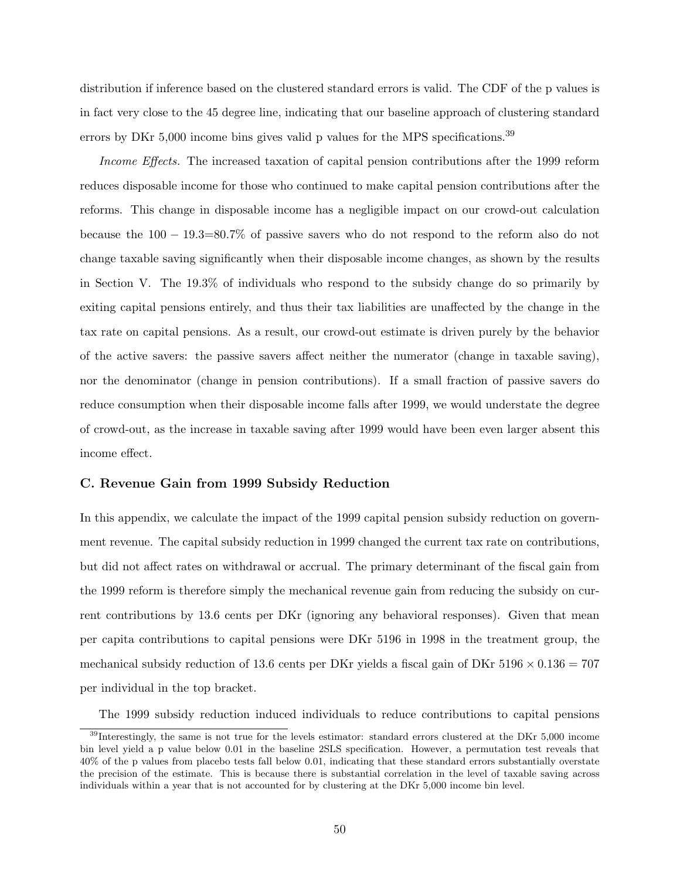distribution if inference based on the clustered standard errors is valid. The CDF of the p values is in fact very close to the 45 degree line, indicating that our baseline approach of clustering standard errors by DKr 5,000 income bins gives valid p values for the MPS specifications.<sup>39</sup>

Income Effects. The increased taxation of capital pension contributions after the 1999 reform reduces disposable income for those who continued to make capital pension contributions after the reforms. This change in disposable income has a negligible impact on our crowd-out calculation because the 100 − 19.3=80.7% of passive savers who do not respond to the reform also do not change taxable saving significantly when their disposable income changes, as shown by the results in Section V. The 19.3% of individuals who respond to the subsidy change do so primarily by exiting capital pensions entirely, and thus their tax liabilities are unaffected by the change in the tax rate on capital pensions. As a result, our crowd-out estimate is driven purely by the behavior of the active savers: the passive savers affect neither the numerator (change in taxable saving), nor the denominator (change in pension contributions). If a small fraction of passive savers do reduce consumption when their disposable income falls after 1999, we would understate the degree of crowd-out, as the increase in taxable saving after 1999 would have been even larger absent this income effect.

#### C. Revenue Gain from 1999 Subsidy Reduction

In this appendix, we calculate the impact of the 1999 capital pension subsidy reduction on government revenue. The capital subsidy reduction in 1999 changed the current tax rate on contributions, but did not affect rates on withdrawal or accrual. The primary determinant of the fiscal gain from the 1999 reform is therefore simply the mechanical revenue gain from reducing the subsidy on current contributions by 13.6 cents per DKr (ignoring any behavioral responses). Given that mean per capita contributions to capital pensions were DKr 5196 in 1998 in the treatment group, the mechanical subsidy reduction of 13.6 cents per DKr yields a fiscal gain of DKr  $5196 \times 0.136 = 707$ per individual in the top bracket.

The 1999 subsidy reduction induced individuals to reduce contributions to capital pensions

 $39$ Interestingly, the same is not true for the levels estimator: standard errors clustered at the DKr  $5,000$  income bin level yield a p value below 0.01 in the baseline 2SLS specification. However, a permutation test reveals that 40% of the p values from placebo tests fall below 0.01, indicating that these standard errors substantially overstate the precision of the estimate. This is because there is substantial correlation in the level of taxable saving across individuals within a year that is not accounted for by clustering at the DKr 5,000 income bin level.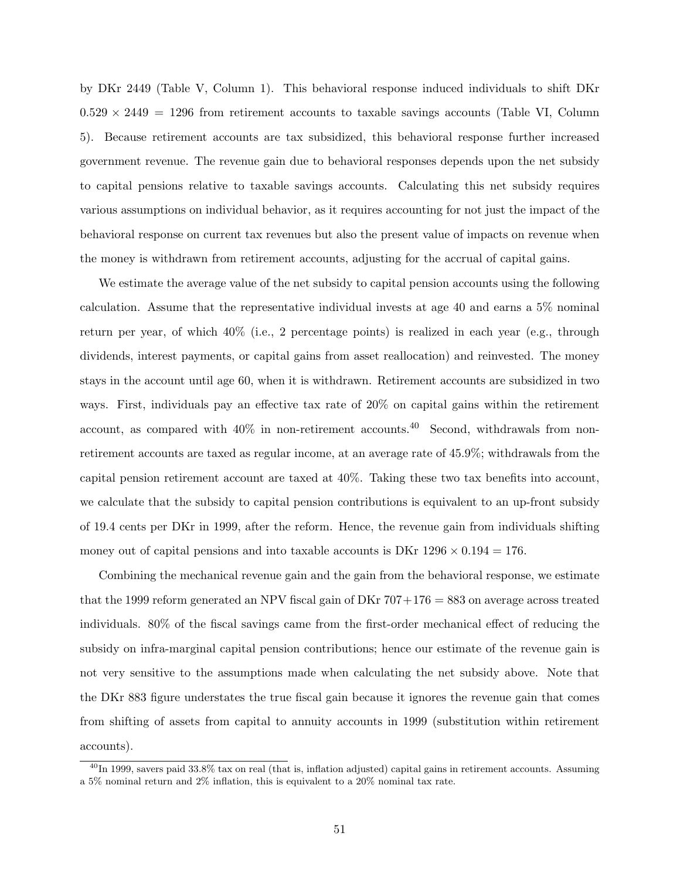by DKr 2449 (Table V, Column 1). This behavioral response induced individuals to shift DKr  $0.529 \times 2449 = 1296$  from retirement accounts to taxable savings accounts (Table VI, Column 5). Because retirement accounts are tax subsidized, this behavioral response further increased government revenue. The revenue gain due to behavioral responses depends upon the net subsidy to capital pensions relative to taxable savings accounts. Calculating this net subsidy requires various assumptions on individual behavior, as it requires accounting for not just the impact of the behavioral response on current tax revenues but also the present value of impacts on revenue when the money is withdrawn from retirement accounts, adjusting for the accrual of capital gains.

We estimate the average value of the net subsidy to capital pension accounts using the following calculation. Assume that the representative individual invests at age 40 and earns a 5% nominal return per year, of which 40% (i.e., 2 percentage points) is realized in each year (e.g., through dividends, interest payments, or capital gains from asset reallocation) and reinvested. The money stays in the account until age 60, when it is withdrawn. Retirement accounts are subsidized in two ways. First, individuals pay an effective tax rate of 20% on capital gains within the retirement account, as compared with  $40\%$  in non-retirement accounts.<sup>40</sup> Second, withdrawals from nonretirement accounts are taxed as regular income, at an average rate of 45.9%; withdrawals from the capital pension retirement account are taxed at 40%. Taking these two tax benefits into account, we calculate that the subsidy to capital pension contributions is equivalent to an up-front subsidy of 19.4 cents per DKr in 1999, after the reform. Hence, the revenue gain from individuals shifting money out of capital pensions and into taxable accounts is DKr  $1296 \times 0.194 = 176$ .

Combining the mechanical revenue gain and the gain from the behavioral response, we estimate that the 1999 reform generated an NPV fiscal gain of DKr  $707+176 = 883$  on average across treated individuals. 80% of the fiscal savings came from the first-order mechanical effect of reducing the subsidy on infra-marginal capital pension contributions; hence our estimate of the revenue gain is not very sensitive to the assumptions made when calculating the net subsidy above. Note that the DKr 883 figure understates the true fiscal gain because it ignores the revenue gain that comes from shifting of assets from capital to annuity accounts in 1999 (substitution within retirement accounts).

 $^{40}$ In 1999, savers paid 33.8% tax on real (that is, inflation adjusted) capital gains in retirement accounts. Assuming a 5% nominal return and 2% inflation, this is equivalent to a 20% nominal tax rate.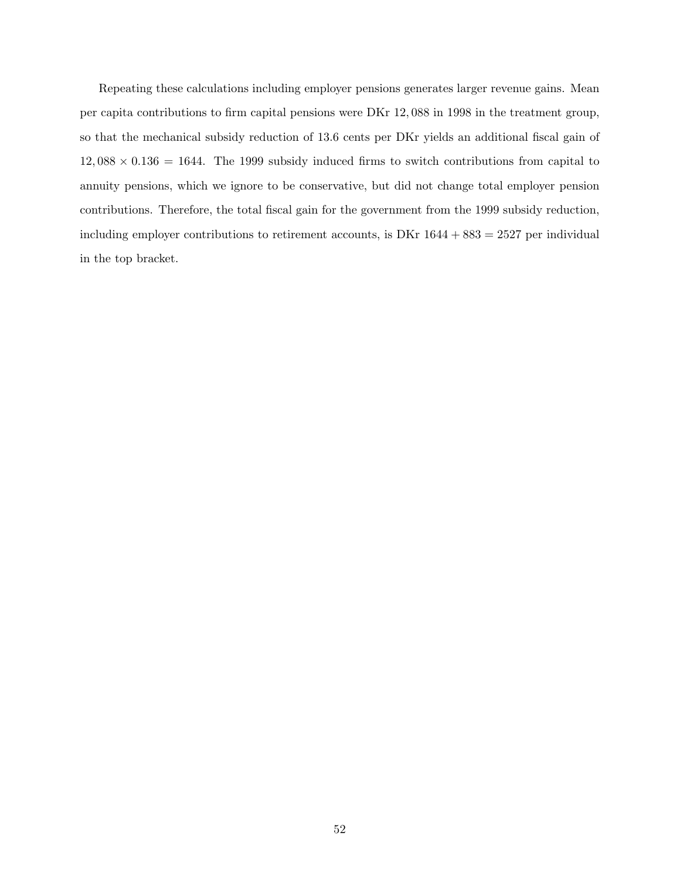Repeating these calculations including employer pensions generates larger revenue gains. Mean per capita contributions to firm capital pensions were DKr 12, 088 in 1998 in the treatment group, so that the mechanical subsidy reduction of 13.6 cents per DKr yields an additional fiscal gain of  $12,088 \times 0.136 = 1644$ . The 1999 subsidy induced firms to switch contributions from capital to annuity pensions, which we ignore to be conservative, but did not change total employer pension contributions. Therefore, the total fiscal gain for the government from the 1999 subsidy reduction, including employer contributions to retirement accounts, is  $DKr 1644 + 883 = 2527$  per individual in the top bracket.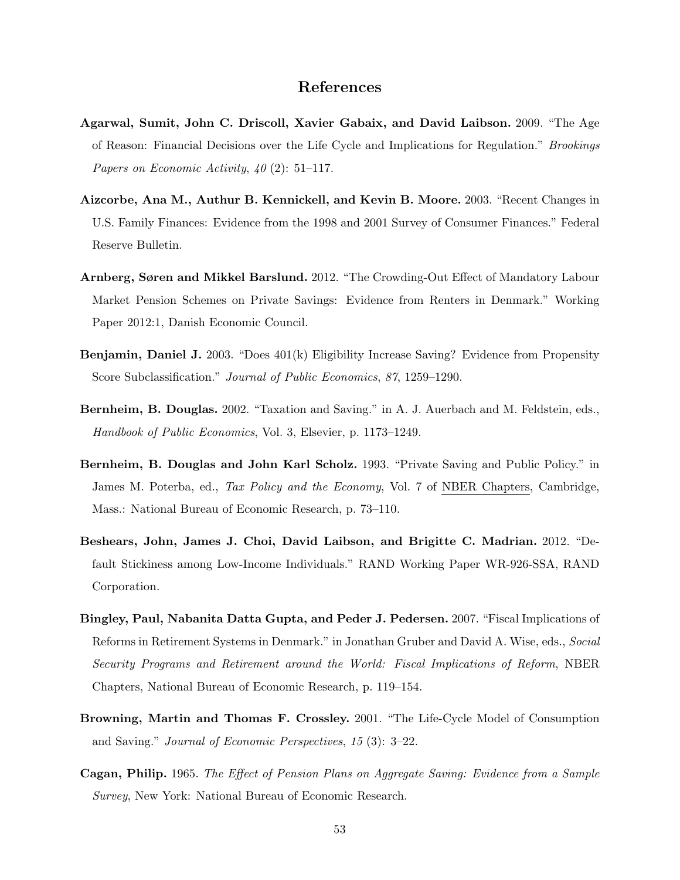### References

- Agarwal, Sumit, John C. Driscoll, Xavier Gabaix, and David Laibson. 2009. "The Age of Reason: Financial Decisions over the Life Cycle and Implications for Regulation." Brookings Papers on Economic Activity,  $40(2)$ : 51–117.
- Aizcorbe, Ana M., Authur B. Kennickell, and Kevin B. Moore. 2003. "Recent Changes in U.S. Family Finances: Evidence from the 1998 and 2001 Survey of Consumer Finances." Federal Reserve Bulletin.
- Arnberg, Søren and Mikkel Barslund. 2012. "The Crowding-Out Effect of Mandatory Labour Market Pension Schemes on Private Savings: Evidence from Renters in Denmark." Working Paper 2012:1, Danish Economic Council.
- Benjamin, Daniel J. 2003. "Does 401(k) Eligibility Increase Saving? Evidence from Propensity Score Subclassification." Journal of Public Economics, 87, 1259–1290.
- Bernheim, B. Douglas. 2002. "Taxation and Saving." in A. J. Auerbach and M. Feldstein, eds., Handbook of Public Economics, Vol. 3, Elsevier, p. 1173–1249.
- Bernheim, B. Douglas and John Karl Scholz. 1993. "Private Saving and Public Policy." in James M. Poterba, ed., Tax Policy and the Economy, Vol. 7 of NBER Chapters, Cambridge, Mass.: National Bureau of Economic Research, p. 73–110.
- Beshears, John, James J. Choi, David Laibson, and Brigitte C. Madrian. 2012. "Default Stickiness among Low-Income Individuals." RAND Working Paper WR-926-SSA, RAND Corporation.
- Bingley, Paul, Nabanita Datta Gupta, and Peder J. Pedersen. 2007. "Fiscal Implications of Reforms in Retirement Systems in Denmark." in Jonathan Gruber and David A. Wise, eds., Social Security Programs and Retirement around the World: Fiscal Implications of Reform, NBER Chapters, National Bureau of Economic Research, p. 119–154.
- Browning, Martin and Thomas F. Crossley. 2001. "The Life-Cycle Model of Consumption and Saving." Journal of Economic Perspectives, 15 (3): 3–22.
- Cagan, Philip. 1965. The Effect of Pension Plans on Aggregate Saving: Evidence from a Sample Survey, New York: National Bureau of Economic Research.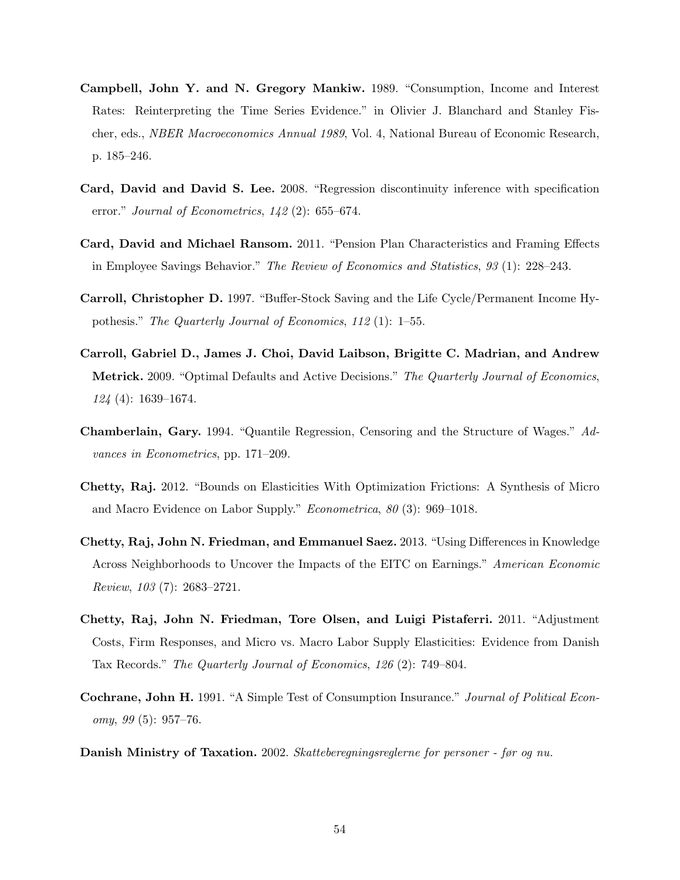- Campbell, John Y. and N. Gregory Mankiw. 1989. "Consumption, Income and Interest Rates: Reinterpreting the Time Series Evidence." in Olivier J. Blanchard and Stanley Fischer, eds., NBER Macroeconomics Annual 1989, Vol. 4, National Bureau of Economic Research, p. 185–246.
- Card, David and David S. Lee. 2008. "Regression discontinuity inference with specification error." Journal of Econometrics,  $142$  (2): 655–674.
- Card, David and Michael Ransom. 2011. "Pension Plan Characteristics and Framing Effects in Employee Savings Behavior." The Review of Economics and Statistics, 93 (1): 228–243.
- Carroll, Christopher D. 1997. "Buffer-Stock Saving and the Life Cycle/Permanent Income Hypothesis." The Quarterly Journal of Economics, 112 (1): 1–55.
- Carroll, Gabriel D., James J. Choi, David Laibson, Brigitte C. Madrian, and Andrew Metrick. 2009. "Optimal Defaults and Active Decisions." The Quarterly Journal of Economics, 124 (4): 1639–1674.
- Chamberlain, Gary. 1994. "Quantile Regression, Censoring and the Structure of Wages." Advances in Econometrics, pp. 171–209.
- Chetty, Raj. 2012. "Bounds on Elasticities With Optimization Frictions: A Synthesis of Micro and Macro Evidence on Labor Supply." Econometrica, 80 (3): 969–1018.
- Chetty, Raj, John N. Friedman, and Emmanuel Saez. 2013. "Using Differences in Knowledge Across Neighborhoods to Uncover the Impacts of the EITC on Earnings." American Economic Review, 103 (7): 2683–2721.
- Chetty, Raj, John N. Friedman, Tore Olsen, and Luigi Pistaferri. 2011. "Adjustment Costs, Firm Responses, and Micro vs. Macro Labor Supply Elasticities: Evidence from Danish Tax Records." The Quarterly Journal of Economics, 126 (2): 749–804.
- Cochrane, John H. 1991. "A Simple Test of Consumption Insurance." Journal of Political Econ $omy, 99(5): 957-76.$
- Danish Ministry of Taxation. 2002. Skatteberegningsreglerne for personer før og nu.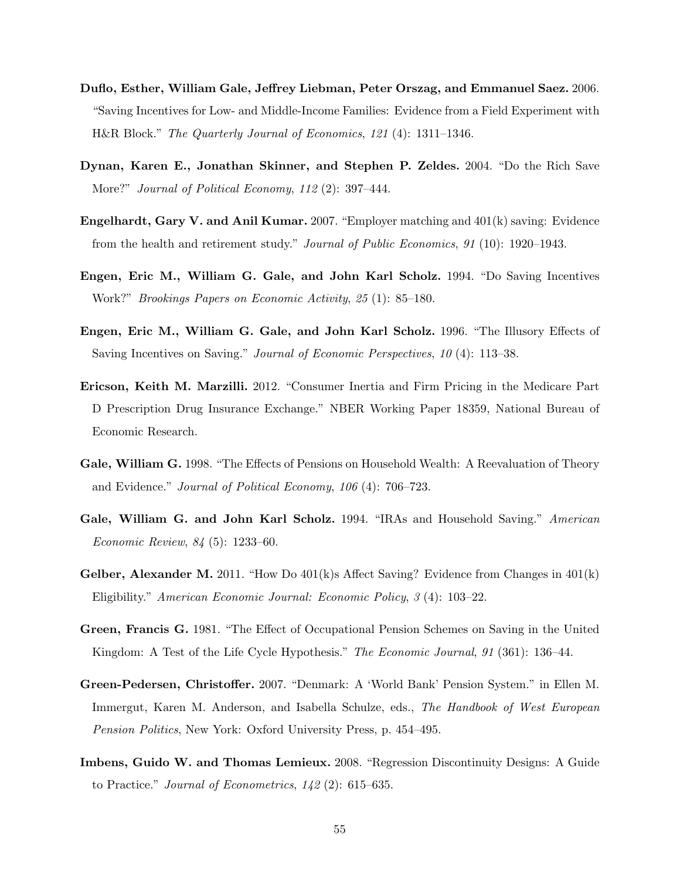- Duflo, Esther, William Gale, Jeffrey Liebman, Peter Orszag, and Emmanuel Saez. 2006. "Saving Incentives for Low- and Middle-Income Families: Evidence from a Field Experiment with H&R Block." The Quarterly Journal of Economics, 121 (4): 1311–1346.
- Dynan, Karen E., Jonathan Skinner, and Stephen P. Zeldes. 2004. "Do the Rich Save More?" Journal of Political Economy, 112 (2): 397–444.
- Engelhardt, Gary V. and Anil Kumar. 2007. "Employer matching and 401(k) saving: Evidence from the health and retirement study." Journal of Public Economics, 91 (10): 1920–1943.
- Engen, Eric M., William G. Gale, and John Karl Scholz. 1994. "Do Saving Incentives Work?" Brookings Papers on Economic Activity, 25 (1): 85–180.
- Engen, Eric M., William G. Gale, and John Karl Scholz. 1996. "The Illusory Effects of Saving Incentives on Saving." Journal of Economic Perspectives, 10 (4): 113–38.
- Ericson, Keith M. Marzilli. 2012. "Consumer Inertia and Firm Pricing in the Medicare Part D Prescription Drug Insurance Exchange." NBER Working Paper 18359, National Bureau of Economic Research.
- Gale, William G. 1998. "The Effects of Pensions on Household Wealth: A Reevaluation of Theory and Evidence." Journal of Political Economy, 106 (4): 706–723.
- Gale, William G. and John Karl Scholz. 1994. "IRAs and Household Saving." American Economic Review, 84 (5): 1233–60.
- Gelber, Alexander M. 2011. "How Do  $401(k)$ s Affect Saving? Evidence from Changes in  $401(k)$ Eligibility." American Economic Journal: Economic Policy, 3 (4): 103–22.
- Green, Francis G. 1981. "The Effect of Occupational Pension Schemes on Saving in the United Kingdom: A Test of the Life Cycle Hypothesis." The Economic Journal, 91 (361): 136–44.
- Green-Pedersen, Christoffer. 2007. "Denmark: A 'World Bank' Pension System." in Ellen M. Immergut, Karen M. Anderson, and Isabella Schulze, eds., The Handbook of West European Pension Politics, New York: Oxford University Press, p. 454–495.
- Imbens, Guido W. and Thomas Lemieux. 2008. "Regression Discontinuity Designs: A Guide to Practice." Journal of Econometrics, 142 (2): 615–635.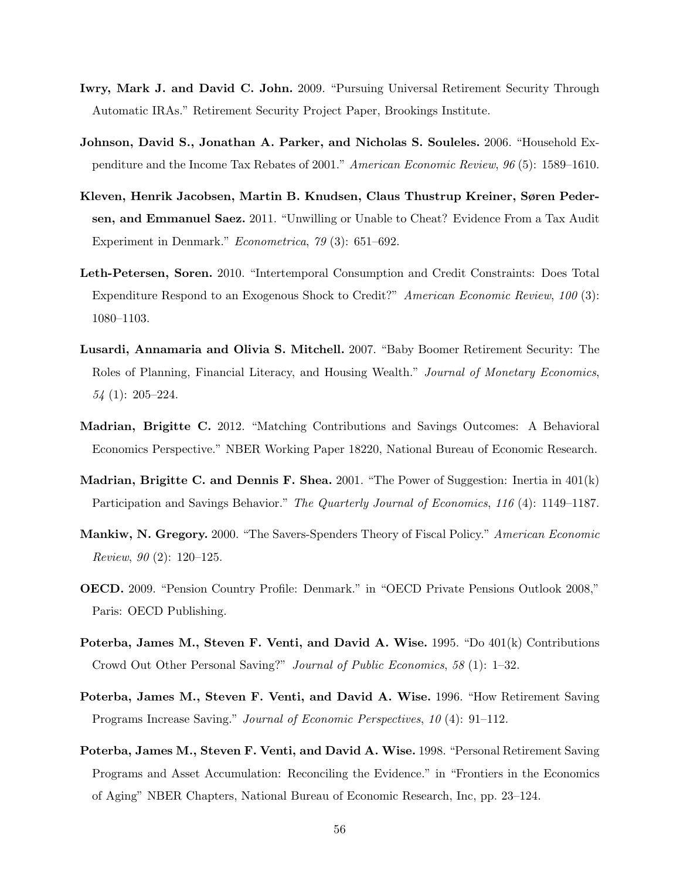- Iwry, Mark J. and David C. John. 2009. "Pursuing Universal Retirement Security Through Automatic IRAs." Retirement Security Project Paper, Brookings Institute.
- Johnson, David S., Jonathan A. Parker, and Nicholas S. Souleles. 2006. "Household Expenditure and the Income Tax Rebates of 2001." American Economic Review, 96 (5): 1589–1610.
- Kleven, Henrik Jacobsen, Martin B. Knudsen, Claus Thustrup Kreiner, Søren Pedersen, and Emmanuel Saez. 2011. "Unwilling or Unable to Cheat? Evidence From a Tax Audit Experiment in Denmark." Econometrica, 79 (3): 651–692.
- Leth-Petersen, Soren. 2010. "Intertemporal Consumption and Credit Constraints: Does Total Expenditure Respond to an Exogenous Shock to Credit?" American Economic Review, 100 (3): 1080–1103.
- Lusardi, Annamaria and Olivia S. Mitchell. 2007. "Baby Boomer Retirement Security: The Roles of Planning, Financial Literacy, and Housing Wealth." Journal of Monetary Economics,  $54$  (1):  $205-224$ .
- Madrian, Brigitte C. 2012. "Matching Contributions and Savings Outcomes: A Behavioral Economics Perspective." NBER Working Paper 18220, National Bureau of Economic Research.
- **Madrian, Brigitte C. and Dennis F. Shea.** 2001. "The Power of Suggestion: Inertia in  $401(k)$ Participation and Savings Behavior." The Quarterly Journal of Economics, 116 (4): 1149–1187.
- Mankiw, N. Gregory. 2000. "The Savers-Spenders Theory of Fiscal Policy." American Economic *Review, 90* (2):  $120-125$ .
- OECD. 2009. "Pension Country Profile: Denmark." in "OECD Private Pensions Outlook 2008," Paris: OECD Publishing.
- Poterba, James M., Steven F. Venti, and David A. Wise. 1995. "Do 401(k) Contributions Crowd Out Other Personal Saving?" Journal of Public Economics, 58 (1): 1–32.
- Poterba, James M., Steven F. Venti, and David A. Wise. 1996. "How Retirement Saving Programs Increase Saving." Journal of Economic Perspectives, 10 (4): 91–112.
- Poterba, James M., Steven F. Venti, and David A. Wise. 1998. "Personal Retirement Saving Programs and Asset Accumulation: Reconciling the Evidence." in "Frontiers in the Economics of Aging" NBER Chapters, National Bureau of Economic Research, Inc, pp. 23–124.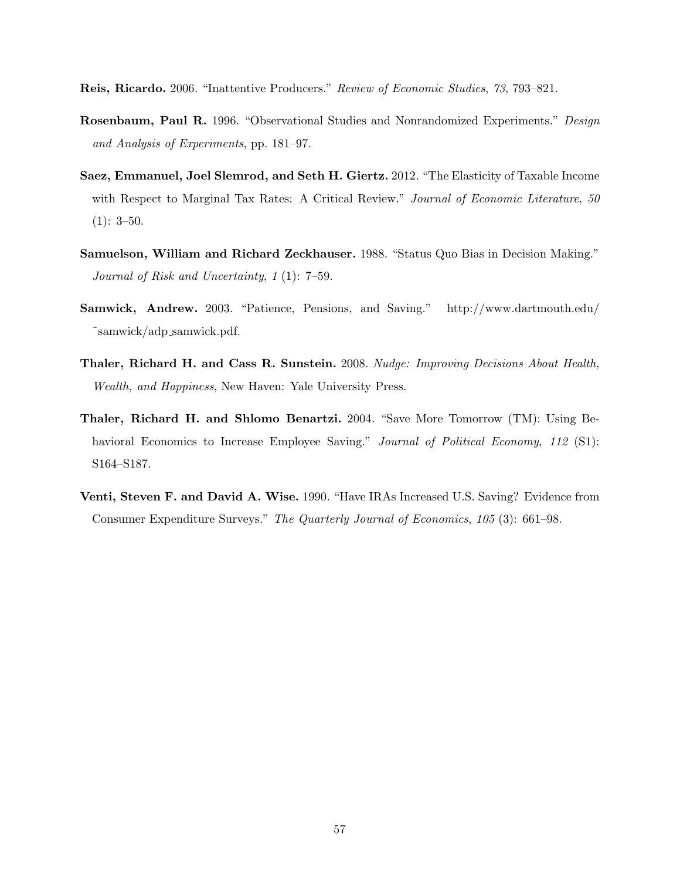Reis, Ricardo. 2006. "Inattentive Producers." Review of Economic Studies, 73, 793–821.

- Rosenbaum, Paul R. 1996. "Observational Studies and Nonrandomized Experiments." Design and Analysis of Experiments, pp. 181–97.
- Saez, Emmanuel, Joel Slemrod, and Seth H. Giertz. 2012. "The Elasticity of Taxable Income with Respect to Marginal Tax Rates: A Critical Review." Journal of Economic Literature, 50  $(1): 3-50.$
- Samuelson, William and Richard Zeckhauser. 1988. "Status Quo Bias in Decision Making." Journal of Risk and Uncertainty, 1 (1): 7–59.
- Samwick, Andrew. 2003. "Patience, Pensions, and Saving." http://www.dartmouth.edu/ ˜samwick/adp samwick.pdf.
- Thaler, Richard H. and Cass R. Sunstein. 2008. Nudge: Improving Decisions About Health, Wealth, and Happiness, New Haven: Yale University Press.
- Thaler, Richard H. and Shlomo Benartzi. 2004. "Save More Tomorrow (TM): Using Behavioral Economics to Increase Employee Saving." Journal of Political Economy, 112 (S1): S164–S187.
- Venti, Steven F. and David A. Wise. 1990. "Have IRAs Increased U.S. Saving? Evidence from Consumer Expenditure Surveys." The Quarterly Journal of Economics, 105 (3): 661–98.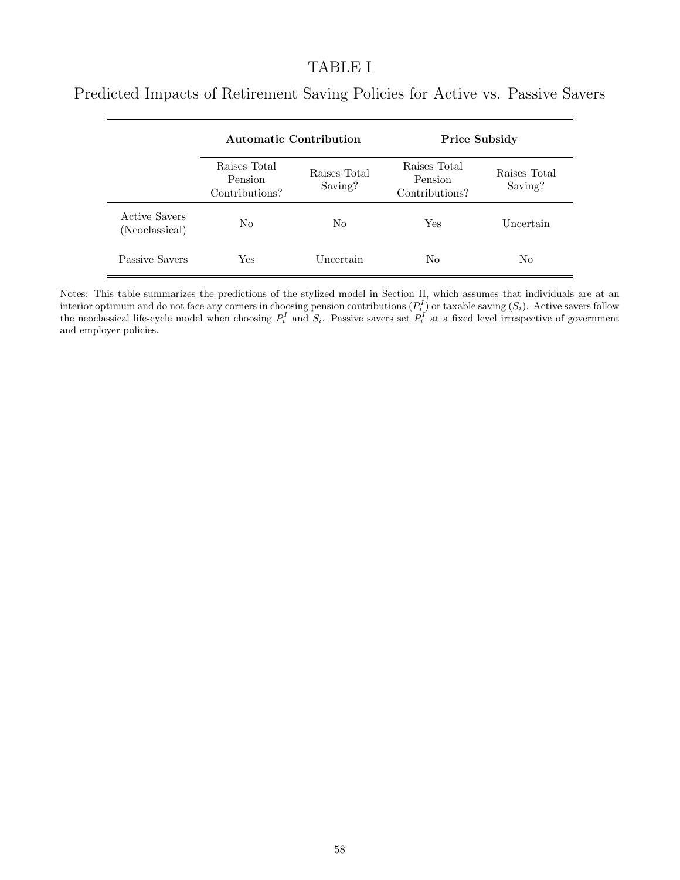### TABLE I

|                                 | <b>Automatic Contribution</b>             |                         | <b>Price Subsidy</b>                      |                         |  |
|---------------------------------|-------------------------------------------|-------------------------|-------------------------------------------|-------------------------|--|
|                                 | Raises Total<br>Pension<br>Contributions? | Raises Total<br>Saving? | Raises Total<br>Pension<br>Contributions? | Raises Total<br>Saving? |  |
| Active Savers<br>(Neoclassical) | N <sub>0</sub>                            | No                      | Yes                                       | Uncertain               |  |
| Passive Savers                  | Yes                                       | Uncertain               | No                                        | N <sub>0</sub>          |  |

Predicted Impacts of Retirement Saving Policies for Active vs. Passive Savers

Notes: This table summarizes the predictions of the stylized model in Section II, which assumes that individuals are at an interior optimum and do not face any corners in choosing pension contributions  $(P_i^I)$  or taxable saving  $(S_i)$ . Active savers follow the neoclassical life-cycle model when choosing  $P_i^I$  and  $S_i$ . Passive savers set  $P_i^I$  at a fixed level irrespective of government and employer policies.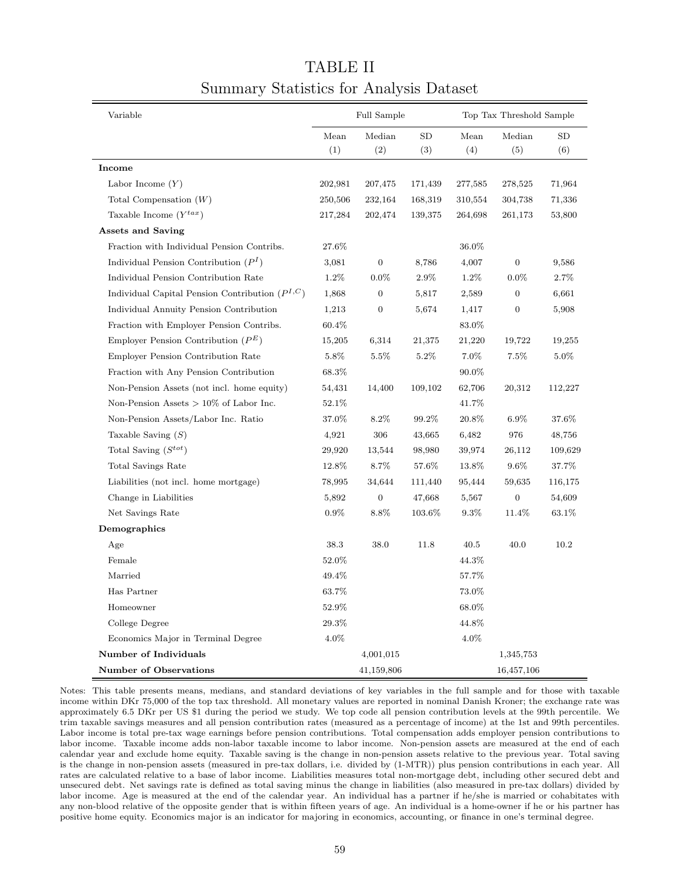| Variable                                            | Full Sample |                  |           | Top Tax Threshold Sample |                  |         |  |
|-----------------------------------------------------|-------------|------------------|-----------|--------------------------|------------------|---------|--|
|                                                     | Mean        | Median           | SD        | Mean                     | Median           | SD      |  |
|                                                     | (1)         | (2)              | (3)       | (4)                      | (5)              | (6)     |  |
| Income                                              |             |                  |           |                          |                  |         |  |
| Labor Income $(Y)$                                  | 202,981     | 207,475          | 171,439   | 277,585                  | 278,525          | 71,964  |  |
| Total Compensation $(W)$                            | 250,506     | 232,164          | 168,319   | 310,554                  | 304,738          | 71,336  |  |
| Taxable Income $(Y^{tax})$                          | 217,284     | 202,474          | 139,375   | 264,698                  | 261,173          | 53,800  |  |
| <b>Assets and Saving</b>                            |             |                  |           |                          |                  |         |  |
| Fraction with Individual Pension Contribs.          | 27.6%       |                  |           | 36.0%                    |                  |         |  |
| Individual Pension Contribution $(PI)$              | 3,081       | $\boldsymbol{0}$ | 8,786     | 4,007                    | $\boldsymbol{0}$ | 9,586   |  |
| Individual Pension Contribution Rate                | 1.2%        | $0.0\%$          | 2.9%      | 1.2%                     | $0.0\%$          | 2.7%    |  |
| Individual Capital Pension Contribution $(P^{I,C})$ | 1,868       | $\boldsymbol{0}$ | 5,817     | 2,589                    | $\boldsymbol{0}$ | 6,661   |  |
| Individual Annuity Pension Contribution             | 1,213       | $\boldsymbol{0}$ | 5,674     | 1,417                    | 0                | 5,908   |  |
| Fraction with Employer Pension Contribs.            | 60.4%       |                  |           | 83.0%                    |                  |         |  |
| Employer Pension Contribution $(P^E)$               | 15,205      | 6,314            | 21,375    | 21,220                   | 19,722           | 19,255  |  |
| Employer Pension Contribution Rate                  | 5.8%        | 5.5%             | 5.2%      | 7.0%                     | $7.5\%$          | 5.0%    |  |
| Fraction with Any Pension Contribution              | 68.3%       |                  |           | 90.0%                    |                  |         |  |
| Non-Pension Assets (not incl. home equity)          | 54,431      | 14,400           | 109,102   | 62,706                   | 20,312           | 112,227 |  |
| Non-Pension Assets $> 10\%$ of Labor Inc.           | 52.1%       |                  |           | 41.7%                    |                  |         |  |
| Non-Pension Assets/Labor Inc. Ratio                 | 37.0%       | 8.2%             | 99.2%     | 20.8%                    | 6.9%             | 37.6%   |  |
| Taxable Saving $(S)$                                | 4,921       | 306              | 43,665    | 6,482                    | 976              | 48,756  |  |
| Total Saving $(S^{tot})$                            | 29,920      | 13,544           | 98,980    | 39,974                   | 26,112           | 109,629 |  |
| Total Savings Rate                                  | 12.8%       | $8.7\%$          | 57.6%     | 13.8%                    | $9.6\%$          | 37.7%   |  |
| Liabilities (not incl. home mortgage)               | 78,995      | 34,644           | 111,440   | 95,444                   | 59,635           | 116,175 |  |
| Change in Liabilities                               | 5,892       | $\boldsymbol{0}$ | 47,668    | 5,567                    | $\boldsymbol{0}$ | 54,609  |  |
| Net Savings Rate                                    | $0.9\%$     | 8.8%             | $103.6\%$ | $9.3\%$                  | 11.4%            | 63.1%   |  |
| Demographics                                        |             |                  |           |                          |                  |         |  |
| Age                                                 | 38.3        | 38.0             | 11.8      | 40.5                     | 40.0             | 10.2    |  |
| Female                                              | 52.0%       |                  |           | 44.3%                    |                  |         |  |
| Married                                             | 49.4%       |                  |           | 57.7%                    |                  |         |  |
| Has Partner                                         | 63.7%       |                  |           | 73.0%                    |                  |         |  |
| Homeowner                                           | 52.9%       |                  |           | 68.0%                    |                  |         |  |
| College Degree                                      | 29.3%       |                  |           | 44.8%                    |                  |         |  |
| Economics Major in Terminal Degree                  | 4.0%        |                  |           | 4.0%                     |                  |         |  |
| Number of Individuals                               |             | 4,001,015        |           |                          | 1,345,753        |         |  |
| Number of Observations                              |             | 41,159,806       |           |                          | 16,457,106       |         |  |

# TABLE II Summary Statistics for Analysis Dataset

Notes: This table presents means, medians, and standard deviations of key variables in the full sample and for those with taxable income within DKr 75,000 of the top tax threshold. All monetary values are reported in nominal Danish Kroner; the exchange rate was approximately 6.5 DKr per US \$1 during the period we study. We top code all pension contribution levels at the 99th percentile. We trim taxable savings measures and all pension contribution rates (measured as a percentage of income) at the 1st and 99th percentiles. Labor income is total pre-tax wage earnings before pension contributions. Total compensation adds employer pension contributions to labor income. Taxable income adds non-labor taxable income to labor income. Non-pension assets are measured at the end of each calendar year and exclude home equity. Taxable saving is the change in non-pension assets relative to the previous year. Total saving is the change in non-pension assets (measured in pre-tax dollars, i.e. divided by (1-MTR)) plus pension contributions in each year. All rates are calculated relative to a base of labor income. Liabilities measures total non-mortgage debt, including other secured debt and unsecured debt. Net savings rate is defined as total saving minus the change in liabilities (also measured in pre-tax dollars) divided by labor income. Age is measured at the end of the calendar year. An individual has a partner if he/she is married or cohabitates with any non-blood relative of the opposite gender that is within fifteen years of age. An individual is a home-owner if he or his partner has positive home equity. Economics major is an indicator for majoring in economics, accounting, or finance in one's terminal degree.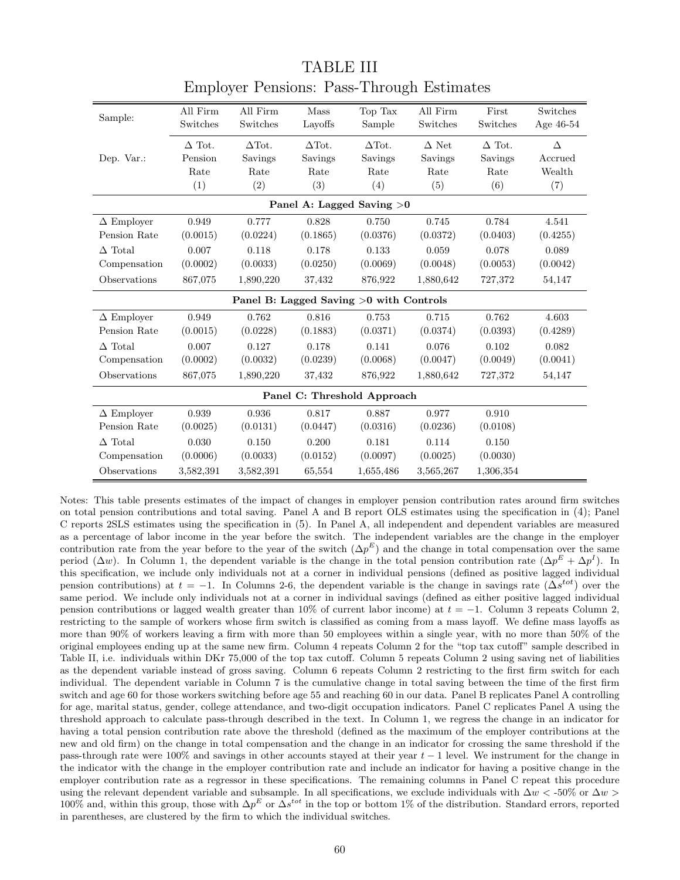| Sample:                     | All Firm      | All Firm      | Mass          | Top Tax                                 | All Firm     | First         | Switches    |  |  |  |
|-----------------------------|---------------|---------------|---------------|-----------------------------------------|--------------|---------------|-------------|--|--|--|
|                             | Switches      | Switches      | Layoffs       | Sample                                  | Switches     | Switches      | Age $46-54$ |  |  |  |
| Dep. Var.:                  | $\Delta$ Tot. | $\Delta$ Tot. | $\Delta$ Tot. | $\Delta$ Tot.                           | $\Delta$ Net | $\Delta$ Tot. | Δ           |  |  |  |
|                             | Pension       | Savings       | Savings       | Savings                                 | Savings      | Savings       | Accrued     |  |  |  |
|                             | Rate          | Rate          | Rate          | Rate                                    | Rate         | Rate          | Wealth      |  |  |  |
|                             | (1)           | (2)           | (3)           | (4)                                     | (5)          | (6)           | (7)         |  |  |  |
| Panel A: Lagged Saving $>0$ |               |               |               |                                         |              |               |             |  |  |  |
| $\Delta$ Employer           | 0.949         | 0.777         | 0.828         | 0.750                                   | 0.745        | 0.784         | 4.541       |  |  |  |
| Pension Rate                | (0.0015)      | (0.0224)      | (0.1865)      | (0.0376)                                | (0.0372)     | (0.0403)      | (0.4255)    |  |  |  |
| $\Delta$ Total              | 0.007         | 0.118         | 0.178         | 0.133                                   | 0.059        | 0.078         | 0.089       |  |  |  |
| Compensation                | (0.0002)      | (0.0033)      | (0.0250)      | (0.0069)                                | (0.0048)     | (0.0053)      | (0.0042)    |  |  |  |
| Observations                | 867,075       | 1,890,220     | 37,432        | 876,922                                 | 1,880,642    | 727,372       | 54,147      |  |  |  |
|                             |               |               |               | Panel B: Lagged Saving >0 with Controls |              |               |             |  |  |  |
| $\Delta$ Employer           | 0.949         | 0.762         | 0.816         | 0.753                                   | 0.715        | 0.762         | 4.603       |  |  |  |
| Pension Rate                | (0.0015)      | (0.0228)      | (0.1883)      | (0.0371)                                | (0.0374)     | (0.0393)      | (0.4289)    |  |  |  |
| $\Delta$ Total              | 0.007         | 0.127         | 0.178         | 0.141                                   | 0.076        | 0.102         | 0.082       |  |  |  |
| Compensation                | (0.0002)      | (0.0032)      | (0.0239)      | (0.0068)                                | (0.0047)     | (0.0049)      | (0.0041)    |  |  |  |
| Observations                | 867,075       | 1,890,220     | 37,432        | 876,922                                 | 1,880,642    | 727,372       | 54,147      |  |  |  |
| Panel C: Threshold Approach |               |               |               |                                         |              |               |             |  |  |  |
| $\Delta$ Employer           | 0.939         | 0.936         | 0.817         | 0.887                                   | 0.977        | 0.910         |             |  |  |  |
| Pension Rate                | (0.0025)      | (0.0131)      | (0.0447)      | (0.0316)                                | (0.0236)     | (0.0108)      |             |  |  |  |
| $\Delta$ Total              | 0.030         | 0.150         | 0.200         | 0.181                                   | 0.114        | 0.150         |             |  |  |  |
| Compensation                | (0.0006)      | (0.0033)      | (0.0152)      | (0.0097)                                | (0.0025)     | (0.0030)      |             |  |  |  |
| Observations                | 3,582,391     | 3,582,391     | 65,554        | 1,655,486                               | 3,565,267    | 1,306,354     |             |  |  |  |

TABLE III Employer Pensions: Pass-Through Estimates

Notes: This table presents estimates of the impact of changes in employer pension contribution rates around firm switches on total pension contributions and total saving. Panel A and B report OLS estimates using the specification in (4); Panel C reports 2SLS estimates using the specification in (5). In Panel A, all independent and dependent variables are measured as a percentage of labor income in the year before the switch. The independent variables are the change in the employer contribution rate from the year before to the year of the switch  $(\Delta p^E)$  and the change in total compensation over the same period  $(\Delta w)$ . In Column 1, the dependent variable is the change in the total pension contribution rate  $(\Delta p^E + \Delta p^I)$ . In this specification, we include only individuals not at a corner in individual pensions (defined as positive lagged individual pension contributions) at  $t = -1$ . In Columns 2-6, the dependent variable is the change in savings rate ( $\Delta s^{tot}$ ) over the same period. We include only individuals not at a corner in individual savings (defined as either positive lagged individual pension contributions or lagged wealth greater than 10% of current labor income) at  $t = -1$ . Column 3 repeats Column 2, restricting to the sample of workers whose firm switch is classified as coming from a mass layoff. We define mass layoffs as more than 90% of workers leaving a firm with more than 50 employees within a single year, with no more than 50% of the original employees ending up at the same new firm. Column 4 repeats Column 2 for the "top tax cutoff" sample described in Table II, i.e. individuals within DKr 75,000 of the top tax cutoff. Column 5 repeats Column 2 using saving net of liabilities as the dependent variable instead of gross saving. Column 6 repeats Column 2 restricting to the first firm switch for each individual. The dependent variable in Column 7 is the cumulative change in total saving between the time of the first firm switch and age 60 for those workers switching before age 55 and reaching 60 in our data. Panel B replicates Panel A controlling for age, marital status, gender, college attendance, and two-digit occupation indicators. Panel C replicates Panel A using the threshold approach to calculate pass-through described in the text. In Column 1, we regress the change in an indicator for having a total pension contribution rate above the threshold (defined as the maximum of the employer contributions at the new and old firm) on the change in total compensation and the change in an indicator for crossing the same threshold if the pass-through rate were 100% and savings in other accounts stayed at their year  $t - 1$  level. We instrument for the change in the indicator with the change in the employer contribution rate and include an indicator for having a positive change in the employer contribution rate as a regressor in these specifications. The remaining columns in Panel C repeat this procedure using the relevant dependent variable and subsample. In all specifications, we exclude individuals with  $\Delta w < 0.50\%$  or  $\Delta w > 0$ 100% and, within this group, those with  $\Delta p^E$  or  $\Delta s^{tot}$  in the top or bottom 1% of the distribution. Standard errors, reported in parentheses, are clustered by the firm to which the individual switches.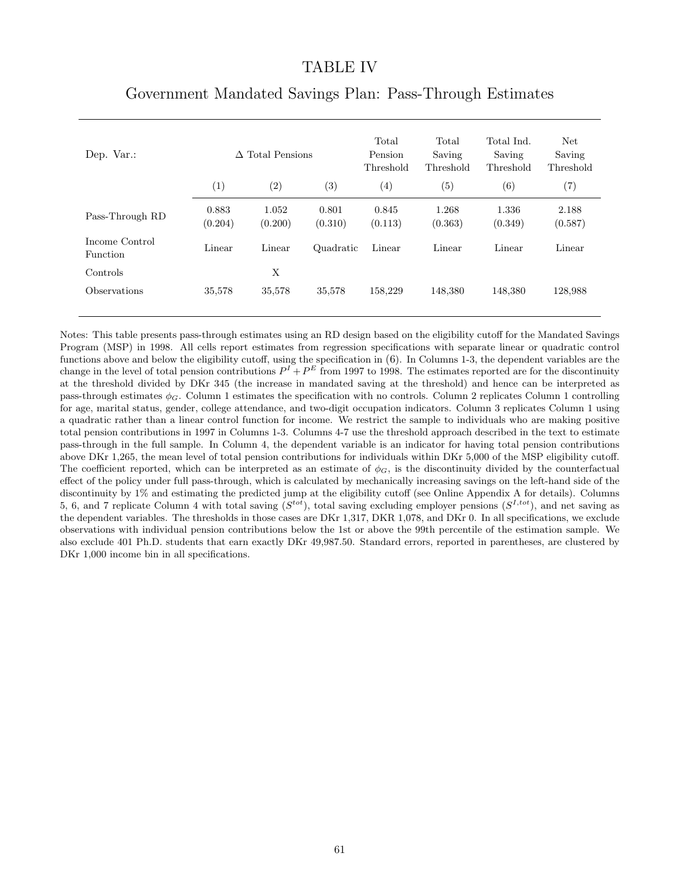#### TABLE IV

| Dep. Var.:                        | $\Delta$ Total Pensions |                  | Total<br>Pension<br>Threshold | Total<br>Saving<br>Threshold | Total Ind.<br>Saving<br>Threshold | Net<br>Saving<br>Threshold |                  |
|-----------------------------------|-------------------------|------------------|-------------------------------|------------------------------|-----------------------------------|----------------------------|------------------|
|                                   | (1)                     | (2)              | (3)                           | $\left( 4\right)$            | (5)                               | (6)                        | (7)              |
| Pass-Through RD                   | 0.883<br>(0.204)        | 1.052<br>(0.200) | 0.801<br>(0.310)              | 0.845<br>(0.113)             | 1.268<br>(0.363)                  | 1.336<br>(0.349)           | 2.188<br>(0.587) |
| Income Control<br><b>Function</b> | Linear                  | Linear           | Quadratic                     | Linear                       | Linear                            | Linear                     | Linear           |
| Controls                          |                         | X                |                               |                              |                                   |                            |                  |
| <b>Observations</b>               | 35,578                  | 35,578           | 35,578                        | 158,229                      | 148,380                           | 148,380                    | 128,988          |

### Government Mandated Savings Plan: Pass-Through Estimates

Notes: This table presents pass-through estimates using an RD design based on the eligibility cutoff for the Mandated Savings Program (MSP) in 1998. All cells report estimates from regression specifications with separate linear or quadratic control functions above and below the eligibility cutoff, using the specification in (6). In Columns 1-3, the dependent variables are the change in the level of total pension contributions  $P^I + P^E$  from 1997 to 1998. The estimates reported are for the discontinuity at the threshold divided by DKr 345 (the increase in mandated saving at the threshold) and hence can be interpreted as pass-through estimates  $\phi_G$ . Column 1 estimates the specification with no controls. Column 2 replicates Column 1 controlling for age, marital status, gender, college attendance, and two-digit occupation indicators. Column 3 replicates Column 1 using a quadratic rather than a linear control function for income. We restrict the sample to individuals who are making positive total pension contributions in 1997 in Columns 1-3. Columns 4-7 use the threshold approach described in the text to estimate pass-through in the full sample. In Column 4, the dependent variable is an indicator for having total pension contributions above DKr 1,265, the mean level of total pension contributions for individuals within DKr 5,000 of the MSP eligibility cutoff. The coefficient reported, which can be interpreted as an estimate of  $\phi_G$ , is the discontinuity divided by the counterfactual effect of the policy under full pass-through, which is calculated by mechanically increasing savings on the left-hand side of the discontinuity by 1% and estimating the predicted jump at the eligibility cutoff (see Online Appendix A for details). Columns 5, 6, and 7 replicate Column 4 with total saving  $(S^{tot})$ , total saving excluding employer pensions  $(S^{I,tot})$ , and net saving as the dependent variables. The thresholds in those cases are DKr 1,317, DKR 1,078, and DKr 0. In all specifications, we exclude observations with individual pension contributions below the 1st or above the 99th percentile of the estimation sample. We also exclude 401 Ph.D. students that earn exactly DKr 49,987.50. Standard errors, reported in parentheses, are clustered by DKr 1,000 income bin in all specifications.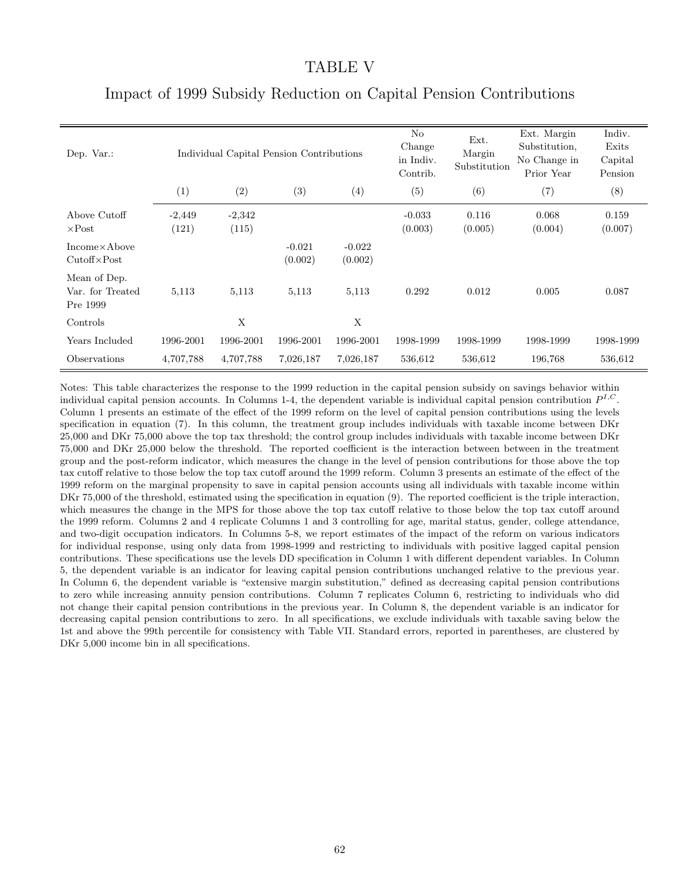#### TABLE V

| Dep. Var.:                                   |                   | Individual Capital Pension Contributions |                     | $\rm No$<br>Change<br>in Indiv.<br>Contrib. | Ext.<br>Margin<br>Substitution | Ext. Margin<br>Substitution,<br>No Change in<br>Prior Year | Indiv.<br>Exits<br>Capital<br>Pension |                  |
|----------------------------------------------|-------------------|------------------------------------------|---------------------|---------------------------------------------|--------------------------------|------------------------------------------------------------|---------------------------------------|------------------|
|                                              | (1)               | (2)                                      | (3)                 | (4)                                         | (5)                            | (6)                                                        | (7)                                   | (8)              |
| Above Cutoff<br>$\times$ Post                | $-2,449$<br>(121) | $-2,342$<br>(115)                        |                     |                                             | $-0.033$<br>(0.003)            | 0.116<br>(0.005)                                           | 0.068<br>(0.004)                      | 0.159<br>(0.007) |
| $Income\times Above$<br>$Cutoff \times Post$ |                   |                                          | $-0.021$<br>(0.002) | $-0.022$<br>(0.002)                         |                                |                                                            |                                       |                  |
| Mean of Dep.<br>Var. for Treated<br>Pre 1999 | 5,113             | 5,113                                    | 5,113               | 5,113                                       | 0.292                          | 0.012                                                      | 0.005                                 | 0.087            |
| Controls                                     |                   | X                                        |                     | X                                           |                                |                                                            |                                       |                  |
| Years Included                               | 1996-2001         | 1996-2001                                | 1996-2001           | 1996-2001                                   | 1998-1999                      | 1998-1999                                                  | 1998-1999                             | 1998-1999        |
| Observations                                 | 4,707,788         | 4,707,788                                | 7,026,187           | 7,026,187                                   | 536,612                        | 536,612                                                    | 196,768                               | 536,612          |

## Impact of 1999 Subsidy Reduction on Capital Pension Contributions

Notes: This table characterizes the response to the 1999 reduction in the capital pension subsidy on savings behavior within individual capital pension accounts. In Columns 1-4, the dependent variable is individual capital pension contribution  $P^{I,C}$ . Column 1 presents an estimate of the effect of the 1999 reform on the level of capital pension contributions using the levels specification in equation (7). In this column, the treatment group includes individuals with taxable income between DKr 25,000 and DKr 75,000 above the top tax threshold; the control group includes individuals with taxable income between DKr 75,000 and DKr 25,000 below the threshold. The reported coefficient is the interaction between between in the treatment group and the post-reform indicator, which measures the change in the level of pension contributions for those above the top tax cutoff relative to those below the top tax cutoff around the 1999 reform. Column 3 presents an estimate of the effect of the 1999 reform on the marginal propensity to save in capital pension accounts using all individuals with taxable income within DKr 75,000 of the threshold, estimated using the specification in equation (9). The reported coefficient is the triple interaction, which measures the change in the MPS for those above the top tax cutoff relative to those below the top tax cutoff around the 1999 reform. Columns 2 and 4 replicate Columns 1 and 3 controlling for age, marital status, gender, college attendance, and two-digit occupation indicators. In Columns 5-8, we report estimates of the impact of the reform on various indicators for individual response, using only data from 1998-1999 and restricting to individuals with positive lagged capital pension contributions. These specifications use the levels DD specification in Column 1 with different dependent variables. In Column 5, the dependent variable is an indicator for leaving capital pension contributions unchanged relative to the previous year. In Column 6, the dependent variable is "extensive margin substitution," defined as decreasing capital pension contributions to zero while increasing annuity pension contributions. Column 7 replicates Column 6, restricting to individuals who did not change their capital pension contributions in the previous year. In Column 8, the dependent variable is an indicator for decreasing capital pension contributions to zero. In all specifications, we exclude individuals with taxable saving below the 1st and above the 99th percentile for consistency with Table VII. Standard errors, reported in parentheses, are clustered by DKr 5,000 income bin in all specifications.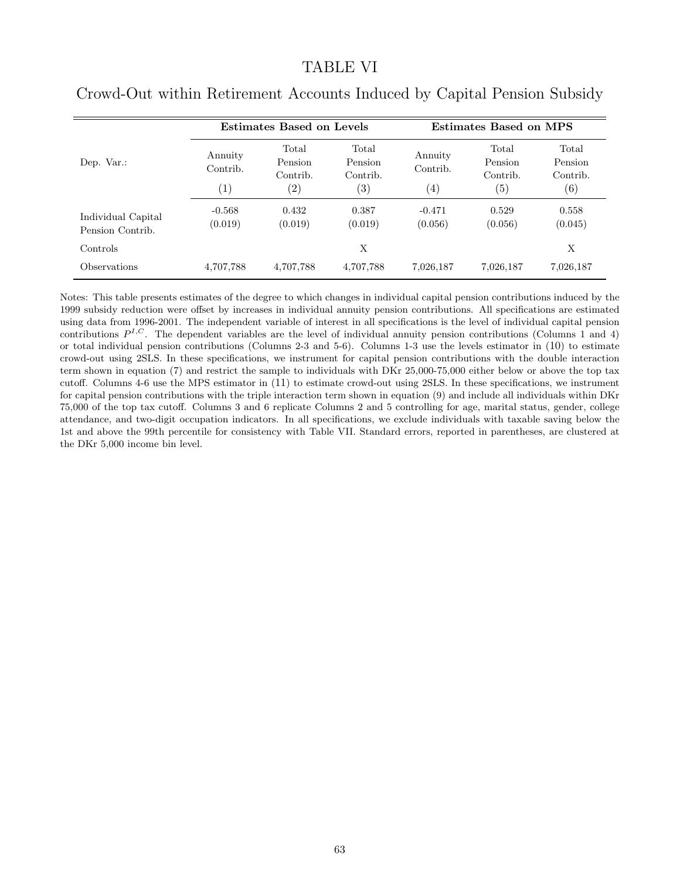#### TABLE VI

|                                        |                            | Estimates Based on Levels                         |                                                   | Estimates Based on MPS                   |                                     |                                                   |  |
|----------------------------------------|----------------------------|---------------------------------------------------|---------------------------------------------------|------------------------------------------|-------------------------------------|---------------------------------------------------|--|
| Dep. Var.:                             | Annuity<br>Contrib.<br>(1) | Total<br>Pension<br>Contrib.<br>$\left( 2\right)$ | Total<br>Pension<br>Contrib.<br>$\left( 3\right)$ | Annuity<br>Contrib.<br>$\left( 4\right)$ | Total<br>Pension<br>Contrib.<br>(5) | Total<br>Pension<br>Contrib.<br>$\left( 6\right)$ |  |
| Individual Capital<br>Pension Contrib. | $-0.568$<br>(0.019)        | 0.432<br>(0.019)                                  | 0.387<br>(0.019)                                  | $-0.471$<br>(0.056)                      | 0.529<br>(0.056)                    | 0.558<br>(0.045)                                  |  |
| Controls                               |                            |                                                   | X                                                 |                                          |                                     | X                                                 |  |
| Observations                           | 4,707,788                  | 4,707,788                                         | 4,707,788                                         | 7,026,187                                | 7,026,187                           | 7,026,187                                         |  |

### Crowd-Out within Retirement Accounts Induced by Capital Pension Subsidy

Notes: This table presents estimates of the degree to which changes in individual capital pension contributions induced by the 1999 subsidy reduction were offset by increases in individual annuity pension contributions. All specifications are estimated using data from 1996-2001. The independent variable of interest in all specifications is the level of individual capital pension contributions  $P^{I,C}$ . The dependent variables are the level of individual annuity pension contributions (Columns 1 and 4) or total individual pension contributions (Columns 2-3 and 5-6). Columns 1-3 use the levels estimator in (10) to estimate crowd-out using 2SLS. In these specifications, we instrument for capital pension contributions with the double interaction term shown in equation (7) and restrict the sample to individuals with DKr 25,000-75,000 either below or above the top tax cutoff. Columns 4-6 use the MPS estimator in (11) to estimate crowd-out using 2SLS. In these specifications, we instrument for capital pension contributions with the triple interaction term shown in equation (9) and include all individuals within DKr 75,000 of the top tax cutoff. Columns 3 and 6 replicate Columns 2 and 5 controlling for age, marital status, gender, college attendance, and two-digit occupation indicators. In all specifications, we exclude individuals with taxable saving below the 1st and above the 99th percentile for consistency with Table VII. Standard errors, reported in parentheses, are clustered at the DKr 5,000 income bin level.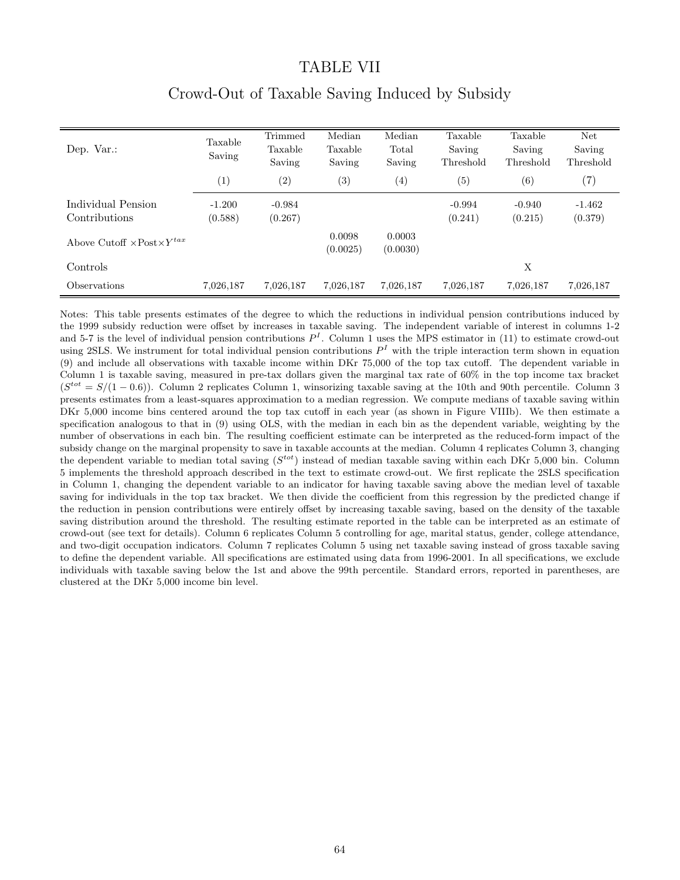#### TABLE VII

| Dep. Var.:                                           | Taxable<br>Saving   | <b>Trimmed</b><br>Taxable<br>Saving | Median<br>Taxable<br>Saving | Median<br>Total<br>Saving | Taxable<br>Saving<br>Threshold | Taxable<br>Saving<br>Threshold | <b>Net</b><br>Saving<br>Threshold |
|------------------------------------------------------|---------------------|-------------------------------------|-----------------------------|---------------------------|--------------------------------|--------------------------------|-----------------------------------|
|                                                      | (1)                 | (2)                                 | (3)                         | (4)                       | (5)                            | (6)                            | (7)                               |
| Individual Pension<br>Contributions                  | $-1.200$<br>(0.588) | $-0.984$<br>(0.267)                 |                             |                           | $-0.994$<br>(0.241)            | $-0.940$<br>(0.215)            | $-1.462$<br>(0.379)               |
| Above Cutoff $\times$ Post $\times$ Y <sup>tax</sup> |                     |                                     | 0.0098<br>(0.0025)          | 0.0003<br>(0.0030)        |                                |                                |                                   |
| Controls                                             |                     |                                     |                             |                           |                                | Х                              |                                   |
| <b>Observations</b>                                  | 7,026,187           | 7,026,187                           | 7,026,187                   | 7,026,187                 | 7,026,187                      | 7,026,187                      | 7,026,187                         |

# Crowd-Out of Taxable Saving Induced by Subsidy

Notes: This table presents estimates of the degree to which the reductions in individual pension contributions induced by the 1999 subsidy reduction were offset by increases in taxable saving. The independent variable of interest in columns 1-2 and 5-7 is the level of individual pension contributions  $P<sup>I</sup>$ . Column 1 uses the MPS estimator in (11) to estimate crowd-out using 2SLS. We instrument for total individual pension contributions  $P<sup>I</sup>$  with the triple interaction term shown in equation (9) and include all observations with taxable income within DKr 75,000 of the top tax cutoff. The dependent variable in Column 1 is taxable saving, measured in pre-tax dollars given the marginal tax rate of 60% in the top income tax bracket  $(S<sup>tot</sup> = S/(1 - 0.6))$ . Column 2 replicates Column 1, winsorizing taxable saving at the 10th and 90th percentile. Column 3 presents estimates from a least-squares approximation to a median regression. We compute medians of taxable saving within DKr 5,000 income bins centered around the top tax cutoff in each year (as shown in Figure VIIIb). We then estimate a specification analogous to that in (9) using OLS, with the median in each bin as the dependent variable, weighting by the number of observations in each bin. The resulting coefficient estimate can be interpreted as the reduced-form impact of the subsidy change on the marginal propensity to save in taxable accounts at the median. Column 4 replicates Column 3, changing the dependent variable to median total saving  $(S^{tot})$  instead of median taxable saving within each DKr 5,000 bin. Column 5 implements the threshold approach described in the text to estimate crowd-out. We first replicate the 2SLS specification in Column 1, changing the dependent variable to an indicator for having taxable saving above the median level of taxable saving for individuals in the top tax bracket. We then divide the coefficient from this regression by the predicted change if the reduction in pension contributions were entirely offset by increasing taxable saving, based on the density of the taxable saving distribution around the threshold. The resulting estimate reported in the table can be interpreted as an estimate of crowd-out (see text for details). Column 6 replicates Column 5 controlling for age, marital status, gender, college attendance, and two-digit occupation indicators. Column 7 replicates Column 5 using net taxable saving instead of gross taxable saving to define the dependent variable. All specifications are estimated using data from 1996-2001. In all specifications, we exclude individuals with taxable saving below the 1st and above the 99th percentile. Standard errors, reported in parentheses, are clustered at the DKr 5,000 income bin level.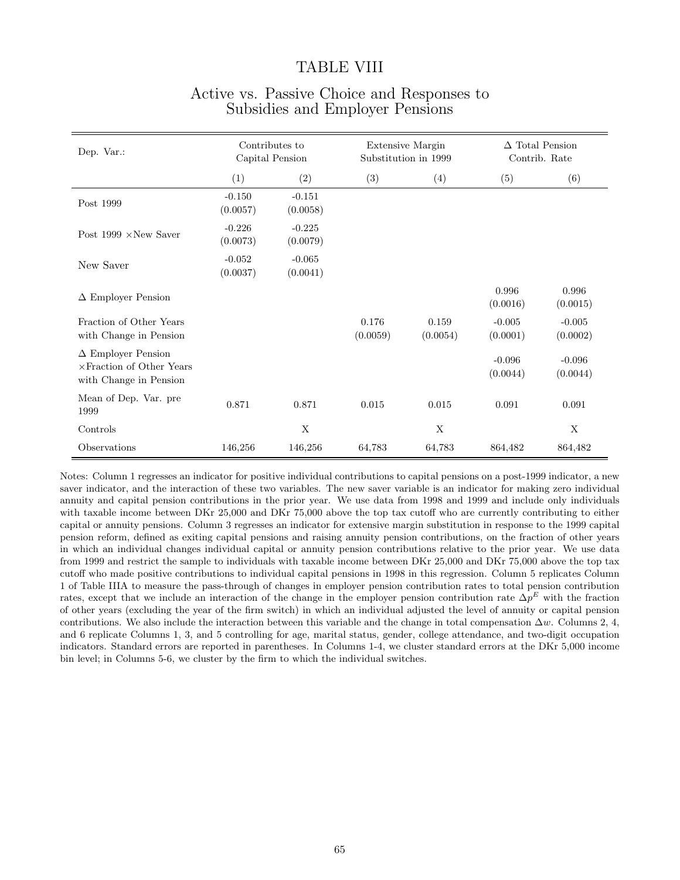#### TABLE VIII

| Dep. Var.:                                                                              | Contributes to<br>Capital Pension |                      |                   | Extensive Margin<br>Substitution in 1999 | $\Delta$ Total Pension<br>Contrib. Rate |                      |
|-----------------------------------------------------------------------------------------|-----------------------------------|----------------------|-------------------|------------------------------------------|-----------------------------------------|----------------------|
|                                                                                         | (1)                               | (2)                  | (3)               | (4)                                      | (5)                                     | (6)                  |
| Post 1999                                                                               | $-0.150$<br>(0.0057)              | $-0.151$<br>(0.0058) |                   |                                          |                                         |                      |
| Post $1999 \times New$ Saver                                                            | $-0.226$<br>(0.0073)              | $-0.225$<br>(0.0079) |                   |                                          |                                         |                      |
| New Saver                                                                               | $-0.052$<br>(0.0037)              | $-0.065$<br>(0.0041) |                   |                                          |                                         |                      |
| $\Delta$ Employer Pension                                                               |                                   |                      |                   |                                          | 0.996<br>(0.0016)                       | 0.996<br>(0.0015)    |
| Fraction of Other Years<br>with Change in Pension                                       |                                   |                      | 0.176<br>(0.0059) | 0.159<br>(0.0054)                        | $-0.005$<br>(0.0001)                    | $-0.005$<br>(0.0002) |
| $\Delta$ Employer Pension<br>$\times$ Fraction of Other Years<br>with Change in Pension |                                   |                      |                   |                                          | $-0.096$<br>(0.0044)                    | $-0.096$<br>(0.0044) |
| Mean of Dep. Var. pre<br>1999                                                           | 0.871                             | 0.871                | 0.015             | 0.015                                    | 0.091                                   | 0.091                |
| Controls                                                                                |                                   | X                    |                   | X                                        |                                         | X                    |
| Observations                                                                            | 146,256                           | 146,256              | 64,783            | 64,783                                   | 864,482                                 | 864,482              |

### Active vs. Passive Choice and Responses to Subsidies and Employer Pensions

Notes: Column 1 regresses an indicator for positive individual contributions to capital pensions on a post-1999 indicator, a new saver indicator, and the interaction of these two variables. The new saver variable is an indicator for making zero individual annuity and capital pension contributions in the prior year. We use data from 1998 and 1999 and include only individuals with taxable income between DKr 25,000 and DKr 75,000 above the top tax cutoff who are currently contributing to either capital or annuity pensions. Column 3 regresses an indicator for extensive margin substitution in response to the 1999 capital pension reform, defined as exiting capital pensions and raising annuity pension contributions, on the fraction of other years in which an individual changes individual capital or annuity pension contributions relative to the prior year. We use data from 1999 and restrict the sample to individuals with taxable income between DKr 25,000 and DKr 75,000 above the top tax cutoff who made positive contributions to individual capital pensions in 1998 in this regression. Column 5 replicates Column 1 of Table IIIA to measure the pass-through of changes in employer pension contribution rates to total pension contribution rates, except that we include an interaction of the change in the employer pension contribution rate  $\Delta p^E$  with the fraction of other years (excluding the year of the firm switch) in which an individual adjusted the level of annuity or capital pension contributions. We also include the interaction between this variable and the change in total compensation  $\Delta w$ . Columns 2, 4, and 6 replicate Columns 1, 3, and 5 controlling for age, marital status, gender, college attendance, and two-digit occupation indicators. Standard errors are reported in parentheses. In Columns 1-4, we cluster standard errors at the DKr 5,000 income bin level; in Columns 5-6, we cluster by the firm to which the individual switches.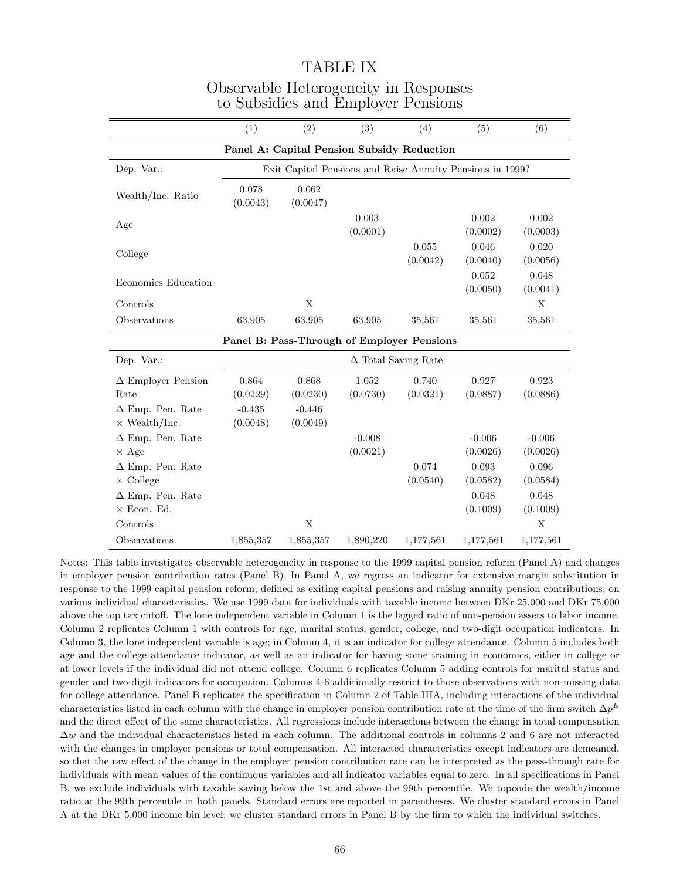|                                                 | (1)                                        | (2)                                                       | (3)                  | (4)                        | (5)                  | (6)                  |  |  |  |  |
|-------------------------------------------------|--------------------------------------------|-----------------------------------------------------------|----------------------|----------------------------|----------------------|----------------------|--|--|--|--|
| Panel A: Capital Pension Subsidy Reduction      |                                            |                                                           |                      |                            |                      |                      |  |  |  |  |
| Dep. Var.:                                      |                                            | Exit Capital Pensions and Raise Annuity Pensions in 1999? |                      |                            |                      |                      |  |  |  |  |
| Wealth/Inc. Ratio                               | 0.078<br>(0.0043)                          | 0.062<br>(0.0047)                                         |                      |                            |                      |                      |  |  |  |  |
| Age                                             |                                            |                                                           | 0.003<br>(0.0001)    |                            | 0.002<br>(0.0002)    | 0.002<br>(0.0003)    |  |  |  |  |
| College                                         |                                            |                                                           |                      | 0.055<br>(0.0042)          | 0.046<br>(0.0040)    | 0.020<br>(0.0056)    |  |  |  |  |
| Economics Education                             |                                            |                                                           |                      |                            | 0.052<br>(0.0050)    | 0.048<br>(0.0041)    |  |  |  |  |
| Controls                                        |                                            | X                                                         |                      |                            |                      | X                    |  |  |  |  |
| Observations                                    | 63,905                                     | 63,905                                                    | 63,905               | 35,561                     | 35,561               | 35,561               |  |  |  |  |
|                                                 | Panel B: Pass-Through of Employer Pensions |                                                           |                      |                            |                      |                      |  |  |  |  |
| Dep. Var.:                                      |                                            |                                                           |                      | $\Delta$ Total Saving Rate |                      |                      |  |  |  |  |
| $\Delta$ Employer Pension<br>Rate               | 0.864<br>(0.0229)                          | 0.868<br>(0.0230)                                         | 1.052<br>(0.0730)    | 0.740<br>(0.0321)          | 0.927<br>(0.0887)    | 0.923<br>(0.0886)    |  |  |  |  |
| $\Delta$ Emp. Pen. Rate<br>$\times$ Wealth/Inc. | $-0.435$<br>(0.0048)                       | $-0.446$<br>(0.0049)                                      |                      |                            |                      |                      |  |  |  |  |
| $\Delta$ Emp. Pen. Rate<br>$\times$ Age         |                                            |                                                           | $-0.008$<br>(0.0021) |                            | $-0.006$<br>(0.0026) | $-0.006$<br>(0.0026) |  |  |  |  |
| $\Delta$ Emp. Pen. Rate<br>$\times$ College     |                                            |                                                           |                      | 0.074<br>(0.0540)          | 0.093<br>(0.0582)    | 0.096<br>(0.0584)    |  |  |  |  |
| $\Delta$ Emp. Pen. Rate<br>$\times$ Econ. Ed.   |                                            |                                                           |                      |                            | 0.048<br>(0.1009)    | 0.048<br>(0.1009)    |  |  |  |  |
| Controls                                        |                                            | X                                                         |                      |                            |                      | X                    |  |  |  |  |
| Observations                                    | 1,855,357                                  | 1,855,357                                                 | 1,890,220            | 1,177,561                  | 1,177,561            | 1,177,561            |  |  |  |  |

### TABLE IX Observable Heterogeneity in Responses to Subsidies and Employer Pensions

Notes: This table investigates observable heterogeneity in response to the 1999 capital pension reform (Panel A) and changes in employer pension contribution rates (Panel B). In Panel A, we regress an indicator for extensive margin substitution in response to the 1999 capital pension reform, defined as exiting capital pensions and raising annuity pension contributions, on various individual characteristics. We use 1999 data for individuals with taxable income between DKr 25,000 and DKr 75,000 above the top tax cutoff. The lone independent variable in Column 1 is the lagged ratio of non-pension assets to labor income. Column 2 replicates Column 1 with controls for age, marital status, gender, college, and two-digit occupation indicators. In Column 3, the lone independent variable is age; in Column 4, it is an indicator for college attendance. Column 5 includes both age and the college attendance indicator, as well as an indicator for having some training in economics, either in college or at lower levels if the individual did not attend college. Column 6 replicates Column 5 adding controls for marital status and gender and two-digit indicators for occupation. Columns 4-6 additionally restrict to those observations with non-missing data for college attendance. Panel B replicates the specification in Column 2 of Table IIIA, including interactions of the individual characteristics listed in each column with the change in employer pension contribution rate at the time of the firm switch  $\Delta p^E$ and the direct effect of the same characteristics. All regressions include interactions between the change in total compensation  $\Delta w$  and the individual characteristics listed in each column. The additional controls in columns 2 and 6 are not interacted with the changes in employer pensions or total compensation. All interacted characteristics except indicators are demeaned, so that the raw effect of the change in the employer pension contribution rate can be interpreted as the pass-through rate for individuals with mean values of the continuous variables and all indicator variables equal to zero. In all specifications in Panel B, we exclude individuals with taxable saving below the 1st and above the 99th percentile. We topcode the wealth/income ratio at the 99th percentile in both panels. Standard errors are reported in parentheses. We cluster standard errors in Panel A at the DKr 5,000 income bin level; we cluster standard errors in Panel B by the firm to which the individual switches.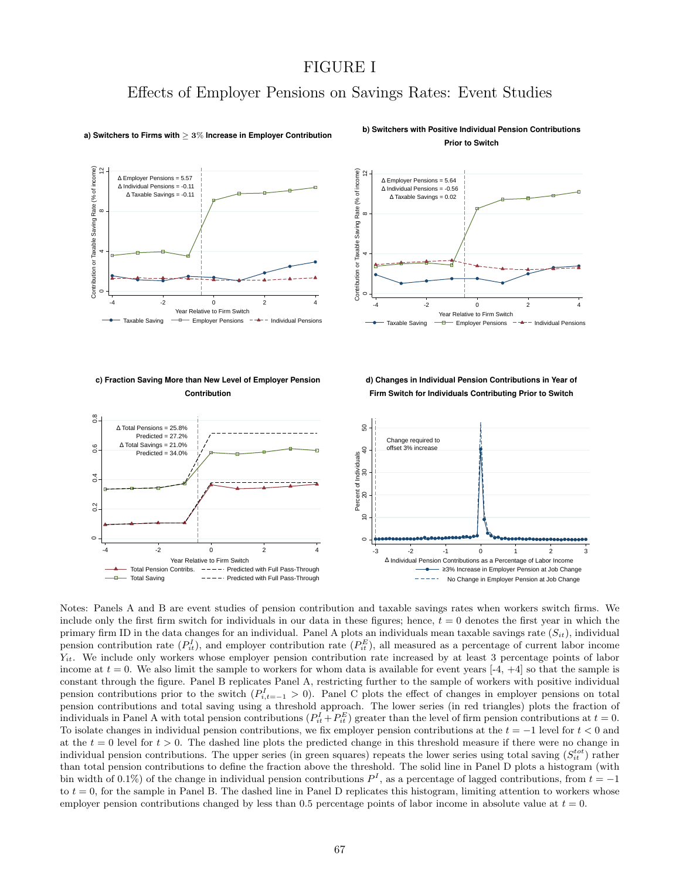### FIGURE I

### Effects of Employer Pensions on Savings Rates: Event Studies



#### **a) Switchers to Firms with** ≥ 3% **Increase in Employer Contribution**

**b) Switchers with Positive Individual Pension Contributions Prior to Switch**



### **c) Fraction Saving More than New Level of Employer Pension**

**Contribution**

**d) Changes in Individual Pension Contributions in Year of Firm Switch for Individuals Contributing Prior to Switch**



Notes: Panels A and B are event studies of pension contribution and taxable savings rates when workers switch firms. We include only the first firm switch for individuals in our data in these figures; hence,  $t = 0$  denotes the first year in which the primary firm ID in the data changes for an individual. Panel A plots an individuals mean taxable savings rate  $(S_{it})$ , individual pension contribution rate  $(P_{it}^I)$ , and employer contribution rate  $(P_{it}^E)$ , all measured as a percentage of current labor income  $Y_{it}$ . We include only workers whose employer pension contribution rate increased by at least 3 percentage points of labor income at  $t = 0$ . We also limit the sample to workers for whom data is available for event years [-4, +4] so that the sample is constant through the figure. Panel B replicates Panel A, restricting further to the sample of workers with positive individual pension contributions prior to the switch  $(P_{i,t=-1}^I > 0)$ . Panel C plots the effect of changes in employer pensions on total pension contributions and total saving using a threshold approach. The lower series (in red triangles) plots the fraction of individuals in Panel A with total pension contributions  $(P_{it}^I + P_{it}^E)$  greater than the level of firm pension contributions at  $t = 0$ . To isolate changes in individual pension contributions, we fix employer pension contributions at the  $t = -1$  level for  $t < 0$  and at the  $t = 0$  level for  $t > 0$ . The dashed line plots the predicted change in this threshold measure if there were no change in individual pension contributions. The upper series (in green squares) repeats the lower series using total saving  $(S_{it}^{tot})$  rather than total pension contributions to define the fraction above the threshold. The solid line in Panel D plots a histogram (with bin width of 0.1%) of the change in individual pension contributions  $P<sup>I</sup>$ , as a percentage of lagged contributions, from  $t = -1$ to  $t = 0$ , for the sample in Panel B. The dashed line in Panel D replicates this histogram, limiting attention to workers whose employer pension contributions changed by less than 0.5 percentage points of labor income in absolute value at  $t = 0$ .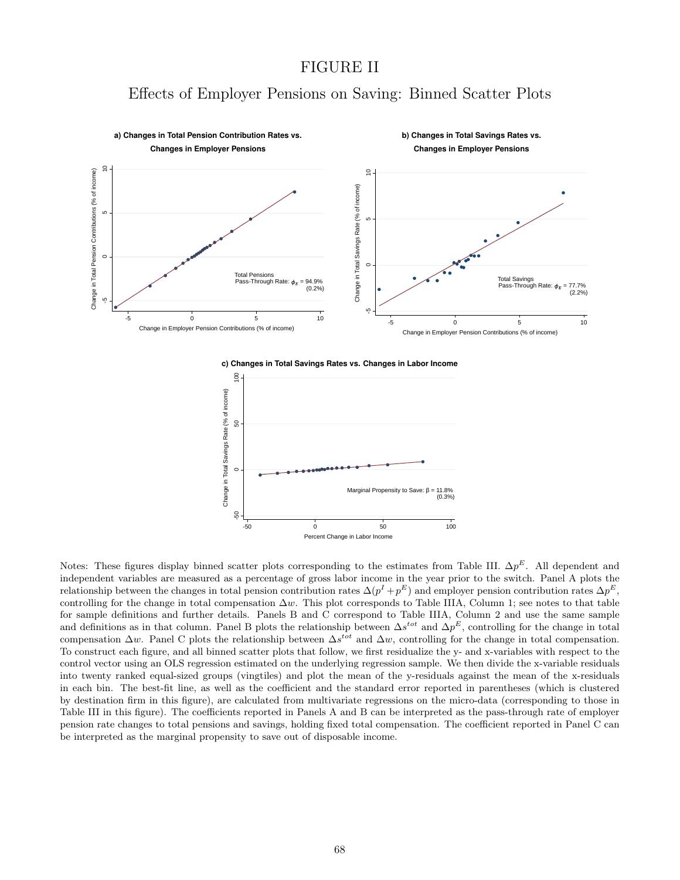### FIGURE II

### Effects of Employer Pensions on Saving: Binned Scatter Plots



**c) Changes in Total Savings Rates vs. Changes in Labor Income**



Notes: These figures display binned scatter plots corresponding to the estimates from Table III.  $\Delta p^E$ . All dependent and independent variables are measured as a percentage of gross labor income in the year prior to the switch. Panel A plots the relationship between the changes in total pension contribution rates  $\Delta(p^I + p^E)$  and employer pension contribution rates  $\Delta p^E$ , controlling for the change in total compensation  $\Delta w$ . This plot corresponds to Table IIIA, Column 1; see notes to that table for sample definitions and further details. Panels B and C correspond to Table IIIA, Column 2 and use the same sample and definitions as in that column. Panel B plots the relationship between  $\Delta s^{tot}$  and  $\Delta p^E$ , controlling for the change in total compensation  $\Delta w$ . Panel C plots the relationship between  $\Delta s^{tot}$  and  $\Delta w$ , controlling for the change in total compensation. To construct each figure, and all binned scatter plots that follow, we first residualize the y- and x-variables with respect to the control vector using an OLS regression estimated on the underlying regression sample. We then divide the x-variable residuals into twenty ranked equal-sized groups (vingtiles) and plot the mean of the y-residuals against the mean of the x-residuals in each bin. The best-fit line, as well as the coefficient and the standard error reported in parentheses (which is clustered by destination firm in this figure), are calculated from multivariate regressions on the micro-data (corresponding to those in Table III in this figure). The coefficients reported in Panels A and B can be interpreted as the pass-through rate of employer pension rate changes to total pensions and savings, holding fixed total compensation. The coefficient reported in Panel C can be interpreted as the marginal propensity to save out of disposable income.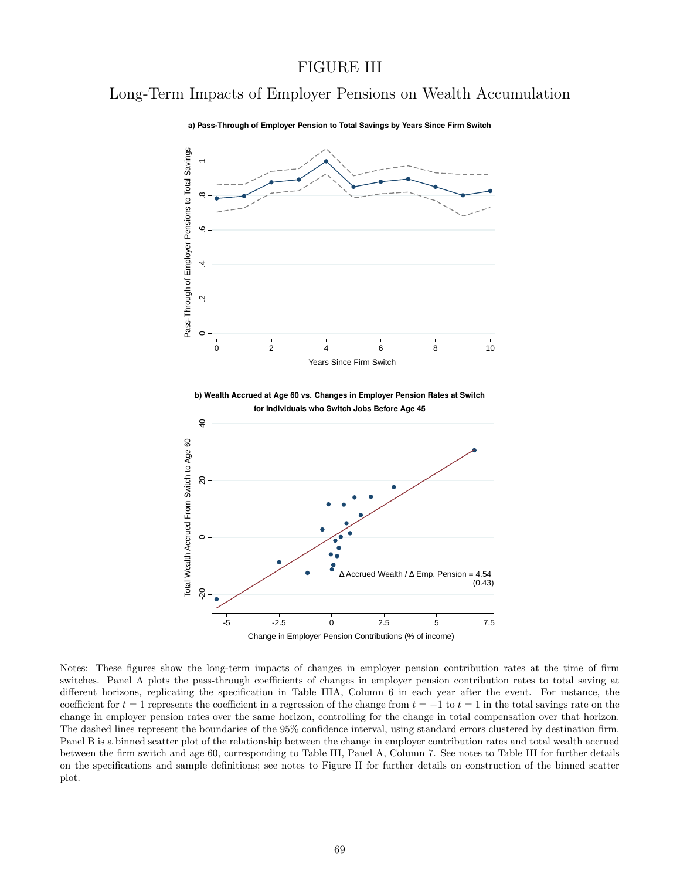### FIGURE III

# Long-Term Impacts of Employer Pensions on Wealth Accumulation



**a) Pass-Through of Employer Pension to Total Savings by Years Since Firm Switch**

Notes: These figures show the long-term impacts of changes in employer pension contribution rates at the time of firm switches. Panel A plots the pass-through coefficients of changes in employer pension contribution rates to total saving at different horizons, replicating the specification in Table IIIA, Column 6 in each year after the event. For instance, the coefficient for  $t = 1$  represents the coefficient in a regression of the change from  $t = -1$  to  $t = 1$  in the total savings rate on the change in employer pension rates over the same horizon, controlling for the change in total compensation over that horizon. The dashed lines represent the boundaries of the 95% confidence interval, using standard errors clustered by destination firm. Panel B is a binned scatter plot of the relationship between the change in employer contribution rates and total wealth accrued between the firm switch and age 60, corresponding to Table III, Panel A, Column 7. See notes to Table III for further details on the specifications and sample definitions; see notes to Figure II for further details on construction of the binned scatter plot.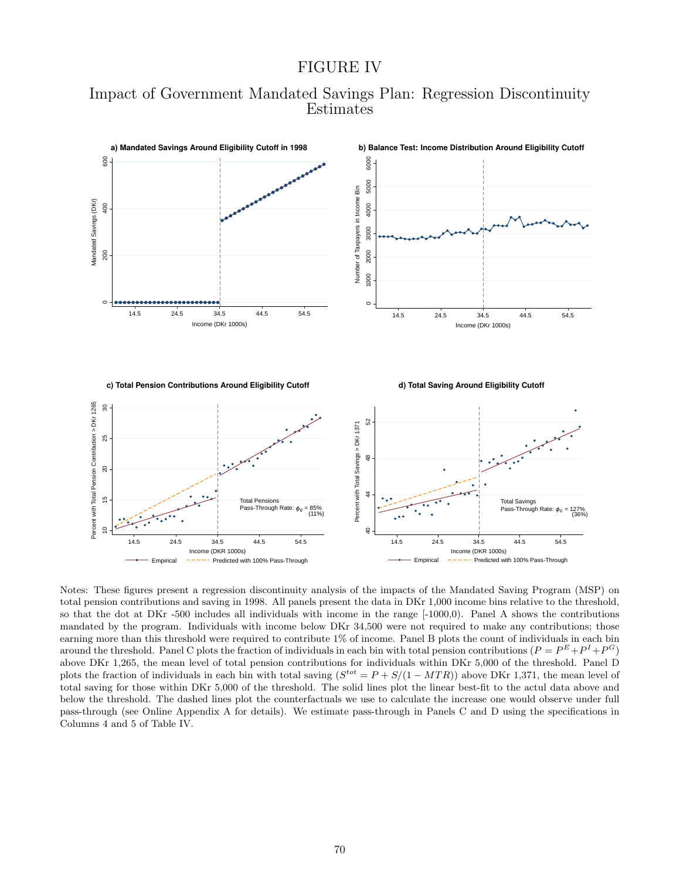#### FIGURE IV





Notes: These figures present a regression discontinuity analysis of the impacts of the Mandated Saving Program (MSP) on total pension contributions and saving in 1998. All panels present the data in DKr 1,000 income bins relative to the threshold, so that the dot at DKr -500 includes all individuals with income in the range [-1000,0). Panel A shows the contributions mandated by the program. Individuals with income below DKr 34,500 were not required to make any contributions; those earning more than this threshold were required to contribute 1% of income. Panel B plots the count of individuals in each bin around the threshold. Panel C plots the fraction of individuals in each bin with total pension contributions  $(P = P^E + P^I + P^G)$ above DKr 1,265, the mean level of total pension contributions for individuals within DKr 5,000 of the threshold. Panel D plots the fraction of individuals in each bin with total saving  $(S^{tot} = P + S/(1 - MTR))$  above DKr 1,371, the mean level of total saving for those within DKr 5,000 of the threshold. The solid lines plot the linear best-fit to the actul data above and below the threshold. The dashed lines plot the counterfactuals we use to calculate the increase one would observe under full pass-through (see Online Appendix A for details). We estimate pass-through in Panels C and D using the specifications in Columns 4 and 5 of Table IV.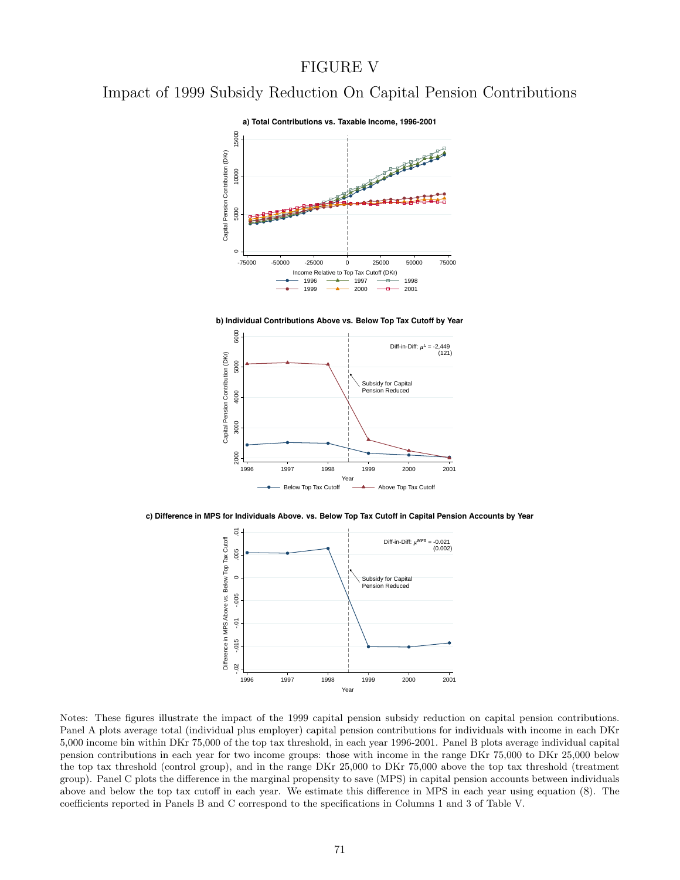### FIGURE V

# Impact of 1999 Subsidy Reduction On Capital Pension Contributions



**b) Individual Contributions Above vs. Below Top Tax Cutoff by Year**



**c) Difference in MPS for Individuals Above. vs. Below Top Tax Cutoff in Capital Pension Accounts by Year**



Notes: These figures illustrate the impact of the 1999 capital pension subsidy reduction on capital pension contributions. Panel A plots average total (individual plus employer) capital pension contributions for individuals with income in each DKr 5,000 income bin within DKr 75,000 of the top tax threshold, in each year 1996-2001. Panel B plots average individual capital pension contributions in each year for two income groups: those with income in the range DKr 75,000 to DKr 25,000 below the top tax threshold (control group), and in the range DKr 25,000 to DKr 75,000 above the top tax threshold (treatment group). Panel C plots the difference in the marginal propensity to save (MPS) in capital pension accounts between individuals above and below the top tax cutoff in each year. We estimate this difference in MPS in each year using equation (8). The coefficients reported in Panels B and C correspond to the specifications in Columns 1 and 3 of Table V.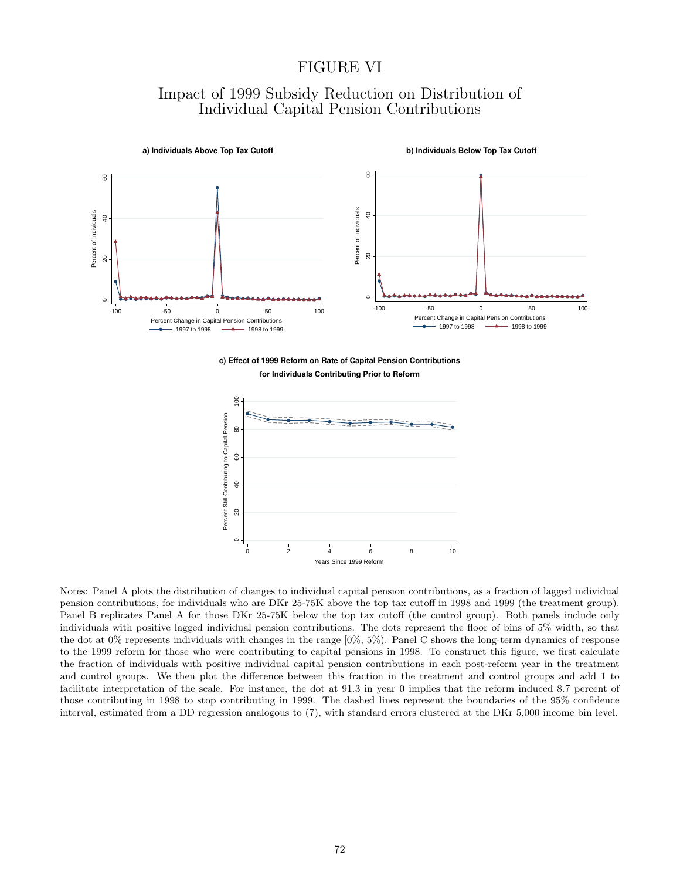### FIGURE VI

### Impact of 1999 Subsidy Reduction on Distribution of Individual Capital Pension Contributions



**c) Effect of 1999 Reform on Rate of Capital Pension Contributions for Individuals Contributing Prior to Reform**



Notes: Panel A plots the distribution of changes to individual capital pension contributions, as a fraction of lagged individual pension contributions, for individuals who are DKr 25-75K above the top tax cutoff in 1998 and 1999 (the treatment group). Panel B replicates Panel A for those DKr 25-75K below the top tax cutoff (the control group). Both panels include only individuals with positive lagged individual pension contributions. The dots represent the floor of bins of 5% width, so that the dot at 0% represents individuals with changes in the range [0%, 5%). Panel C shows the long-term dynamics of response to the 1999 reform for those who were contributing to capital pensions in 1998. To construct this figure, we first calculate the fraction of individuals with positive individual capital pension contributions in each post-reform year in the treatment and control groups. We then plot the difference between this fraction in the treatment and control groups and add 1 to facilitate interpretation of the scale. For instance, the dot at 91.3 in year 0 implies that the reform induced 8.7 percent of those contributing in 1998 to stop contributing in 1999. The dashed lines represent the boundaries of the 95% confidence interval, estimated from a DD regression analogous to (7), with standard errors clustered at the DKr 5,000 income bin level.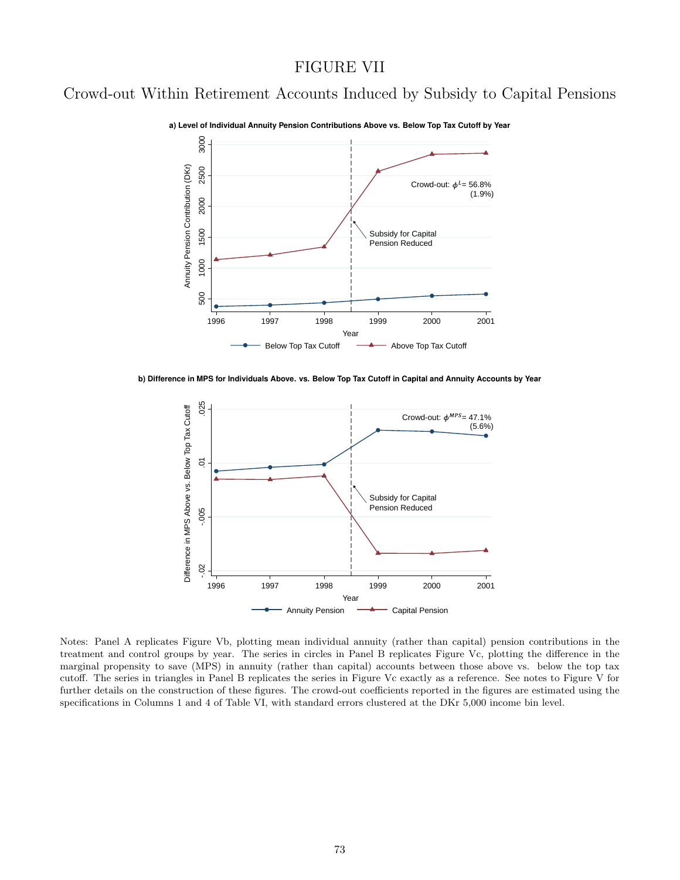#### FIGURE VII

# Crowd-out Within Retirement Accounts Induced by Subsidy to Capital Pensions



**a) Level of Individual Annuity Pension Contributions Above vs. Below Top Tax Cutoff by Year**

**b) Difference in MPS for Individuals Above. vs. Below Top Tax Cutoff in Capital and Annuity Accounts by Year**



Notes: Panel A replicates Figure Vb, plotting mean individual annuity (rather than capital) pension contributions in the treatment and control groups by year. The series in circles in Panel B replicates Figure Vc, plotting the difference in the marginal propensity to save (MPS) in annuity (rather than capital) accounts between those above vs. below the top tax cutoff. The series in triangles in Panel B replicates the series in Figure Vc exactly as a reference. See notes to Figure V for further details on the construction of these figures. The crowd-out coefficients reported in the figures are estimated using the specifications in Columns 1 and 4 of Table VI, with standard errors clustered at the DKr 5,000 income bin level.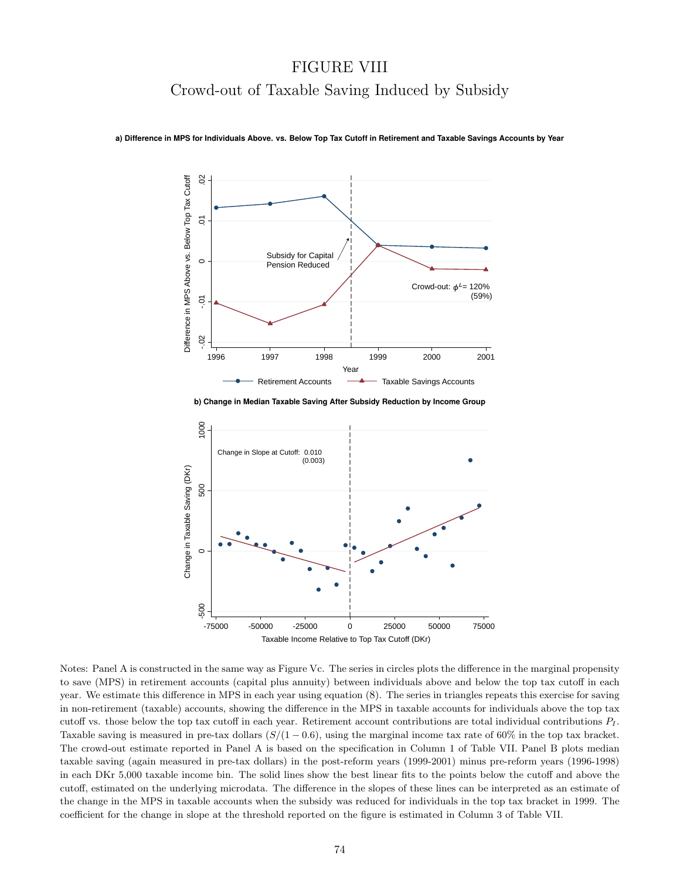# FIGURE VIII Crowd-out of Taxable Saving Induced by Subsidy



**a) Difference in MPS for Individuals Above. vs. Below Top Tax Cutoff in Retirement and Taxable Savings Accounts by Year**

**b) Change in Median Taxable Saving After Subsidy Reduction by Income Group**



Notes: Panel A is constructed in the same way as Figure Vc. The series in circles plots the difference in the marginal propensity to save (MPS) in retirement accounts (capital plus annuity) between individuals above and below the top tax cutoff in each year. We estimate this difference in MPS in each year using equation (8). The series in triangles repeats this exercise for saving in non-retirement (taxable) accounts, showing the difference in the MPS in taxable accounts for individuals above the top tax cutoff vs. those below the top tax cutoff in each year. Retirement account contributions are total individual contributions  $P_I$ . Taxable saving is measured in pre-tax dollars  $(S/(1 - 0.6))$ , using the marginal income tax rate of 60% in the top tax bracket. The crowd-out estimate reported in Panel A is based on the specification in Column 1 of Table VII. Panel B plots median taxable saving (again measured in pre-tax dollars) in the post-reform years (1999-2001) minus pre-reform years (1996-1998) in each DKr 5,000 taxable income bin. The solid lines show the best linear fits to the points below the cutoff and above the cutoff, estimated on the underlying microdata. The difference in the slopes of these lines can be interpreted as an estimate of the change in the MPS in taxable accounts when the subsidy was reduced for individuals in the top tax bracket in 1999. The coefficient for the change in slope at the threshold reported on the figure is estimated in Column 3 of Table VII.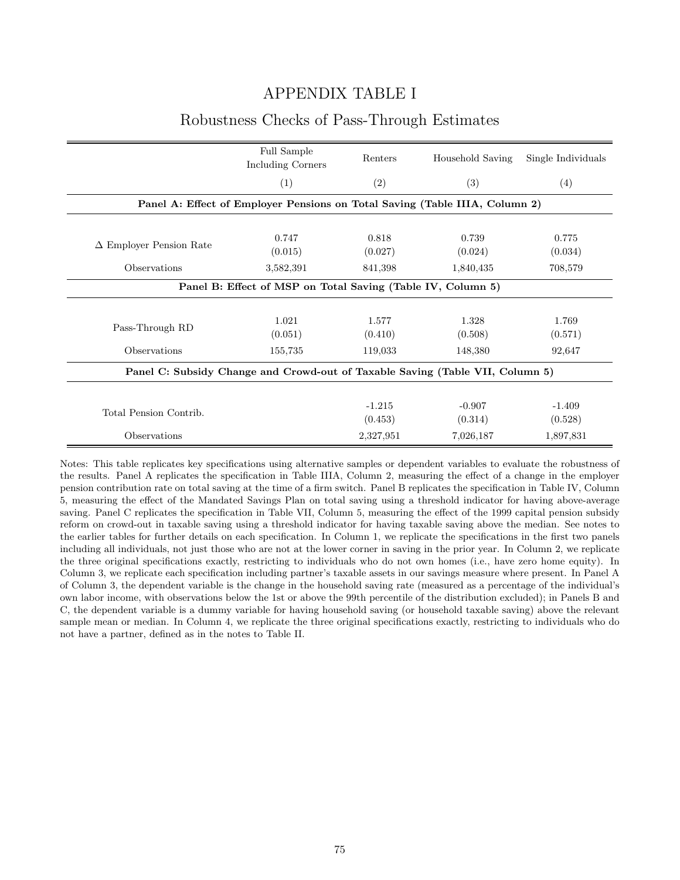### APPENDIX TABLE I

#### Robustness Checks of Pass-Through Estimates

|                                                                               | Full Sample<br>Including Corners | Renters             | Household Saving    | Single Individuals  |  |  |
|-------------------------------------------------------------------------------|----------------------------------|---------------------|---------------------|---------------------|--|--|
|                                                                               | (1)                              | (2)                 | (3)                 | (4)                 |  |  |
| Panel A: Effect of Employer Pensions on Total Saving (Table IIIA, Column 2)   |                                  |                     |                     |                     |  |  |
|                                                                               |                                  |                     |                     |                     |  |  |
| $\Delta$ Employer Pension Rate                                                | 0.747<br>(0.015)                 | 0.818<br>(0.027)    | 0.739<br>(0.024)    | 0.775<br>(0.034)    |  |  |
| Observations                                                                  | 3,582,391                        | 841,398             | 1,840,435           | 708,579             |  |  |
| Panel B: Effect of MSP on Total Saving (Table IV, Column 5)                   |                                  |                     |                     |                     |  |  |
|                                                                               |                                  |                     |                     |                     |  |  |
| Pass-Through RD                                                               | 1.021<br>(0.051)                 | 1.577<br>(0.410)    | 1.328<br>(0.508)    | 1.769<br>(0.571)    |  |  |
| Observations                                                                  | 155,735                          | 119,033             | 148,380             | 92,647              |  |  |
| Panel C: Subsidy Change and Crowd-out of Taxable Saving (Table VII, Column 5) |                                  |                     |                     |                     |  |  |
|                                                                               |                                  |                     |                     |                     |  |  |
| Total Pension Contrib.                                                        |                                  | $-1.215$<br>(0.453) | $-0.907$<br>(0.314) | $-1.409$<br>(0.528) |  |  |
| <b>Observations</b>                                                           |                                  | 2,327,951           | 7,026,187           | 1,897,831           |  |  |

Notes: This table replicates key specifications using alternative samples or dependent variables to evaluate the robustness of the results. Panel A replicates the specification in Table IIIA, Column 2, measuring the effect of a change in the employer pension contribution rate on total saving at the time of a firm switch. Panel B replicates the specification in Table IV, Column 5, measuring the effect of the Mandated Savings Plan on total saving using a threshold indicator for having above-average saving. Panel C replicates the specification in Table VII, Column 5, measuring the effect of the 1999 capital pension subsidy reform on crowd-out in taxable saving using a threshold indicator for having taxable saving above the median. See notes to the earlier tables for further details on each specification. In Column 1, we replicate the specifications in the first two panels including all individuals, not just those who are not at the lower corner in saving in the prior year. In Column 2, we replicate the three original specifications exactly, restricting to individuals who do not own homes (i.e., have zero home equity). In Column 3, we replicate each specification including partner's taxable assets in our savings measure where present. In Panel A of Column 3, the dependent variable is the change in the household saving rate (measured as a percentage of the individual's own labor income, with observations below the 1st or above the 99th percentile of the distribution excluded); in Panels B and C, the dependent variable is a dummy variable for having household saving (or household taxable saving) above the relevant sample mean or median. In Column 4, we replicate the three original specifications exactly, restricting to individuals who do not have a partner, defined as in the notes to Table II.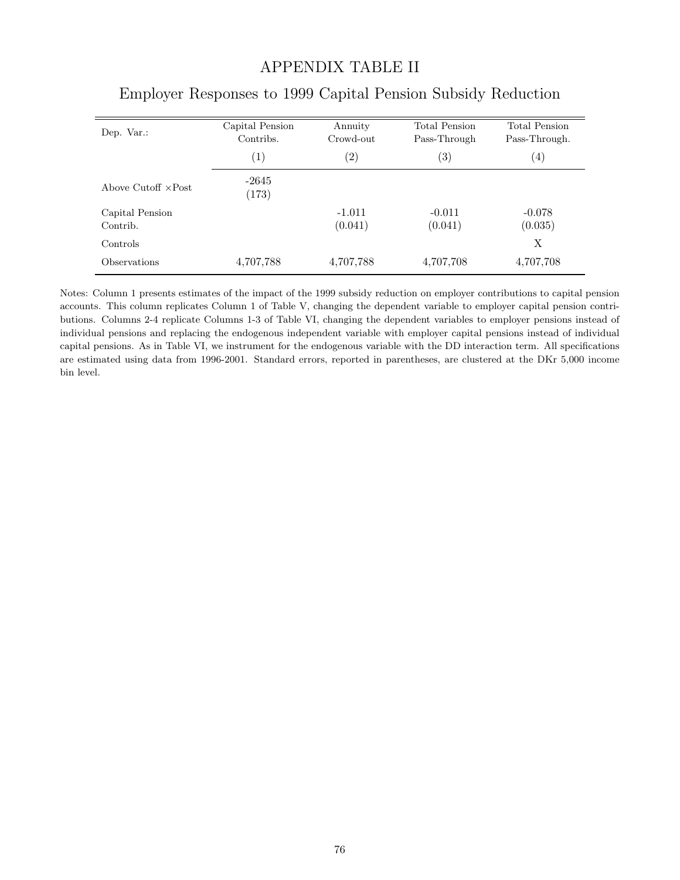### APPENDIX TABLE II

| Dep. Var.:                  | Capital Pension<br>Contribs. | Annuity<br>Crowd-out | <b>Total Pension</b><br>Pass-Through | <b>Total Pension</b><br>Pass-Through. |
|-----------------------------|------------------------------|----------------------|--------------------------------------|---------------------------------------|
|                             | (1)                          | $\left( 2\right)$    | $\left( 3\right)$                    | $\left( 4\right)$                     |
| Above Cutoff $\times$ Post  | $-2645$<br>(173)             |                      |                                      |                                       |
| Capital Pension<br>Contrib. |                              | $-1.011$<br>(0.041)  | $-0.011$<br>(0.041)                  | $-0.078$<br>(0.035)                   |
| Controls                    |                              |                      |                                      | X                                     |
| <i><b>Observations</b></i>  | 4,707,788                    | 4,707,788            | 4,707,708                            | 4,707,708                             |

# Employer Responses to 1999 Capital Pension Subsidy Reduction

Notes: Column 1 presents estimates of the impact of the 1999 subsidy reduction on employer contributions to capital pension accounts. This column replicates Column 1 of Table V, changing the dependent variable to employer capital pension contributions. Columns 2-4 replicate Columns 1-3 of Table VI, changing the dependent variables to employer pensions instead of individual pensions and replacing the endogenous independent variable with employer capital pensions instead of individual capital pensions. As in Table VI, we instrument for the endogenous variable with the DD interaction term. All specifications are estimated using data from 1996-2001. Standard errors, reported in parentheses, are clustered at the DKr 5,000 income bin level.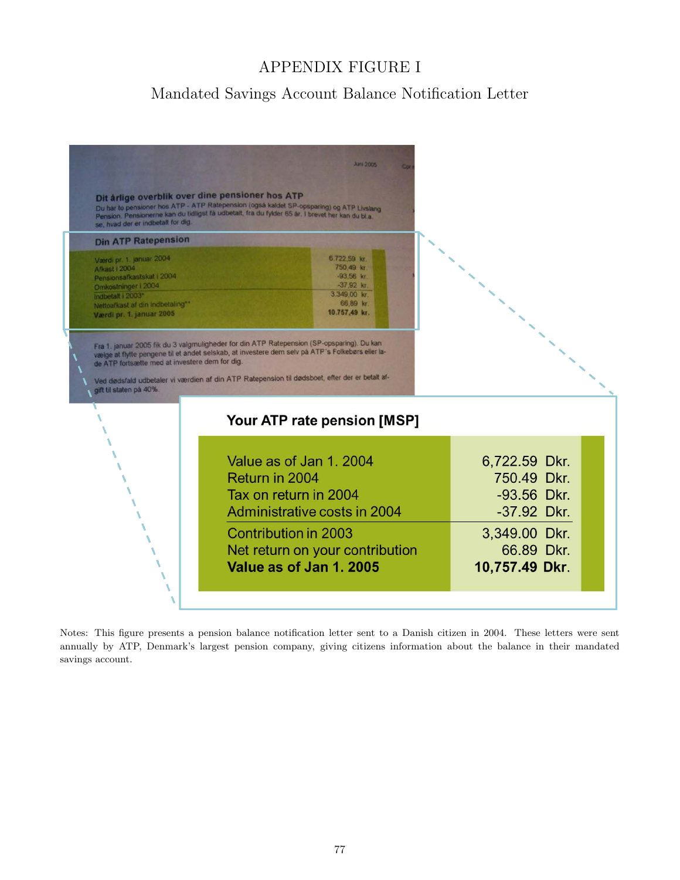## APPENDIX FIGURE I

# Mandated Savings Account Balance Notification Letter



Notes: This figure presents a pension balance notification letter sent to a Danish citizen in 2004. These letters were sent annually by ATP, Denmark's largest pension company, giving citizens information about the balance in their mandated savings account.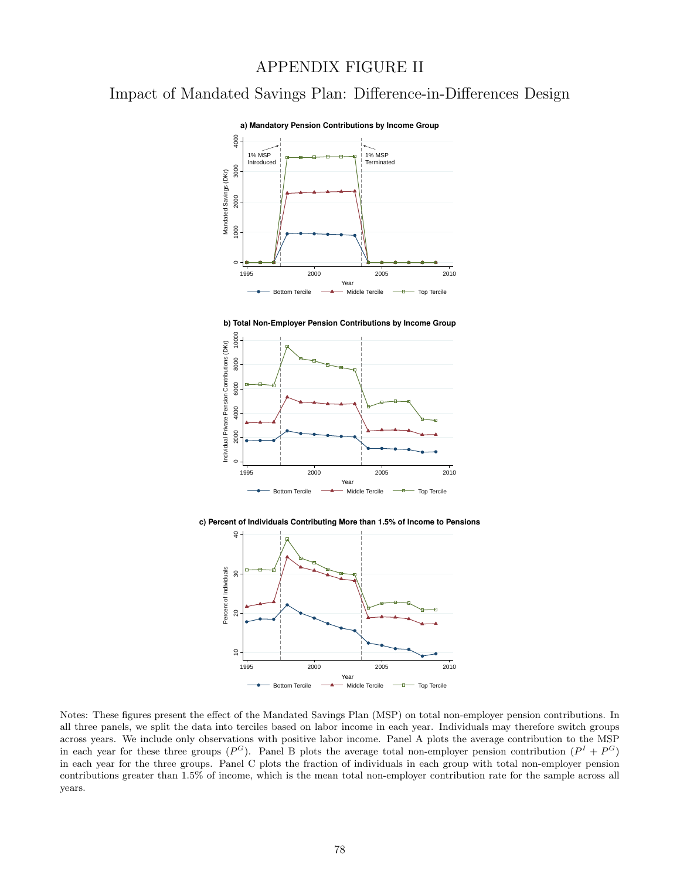### APPENDIX FIGURE II

Impact of Mandated Savings Plan: Difference-in-Differences Design



**b) Total Non-Employer Pension Contributions by Income Group**



**c) Percent of Individuals Contributing More than 1.5% of Income to Pensions**



Notes: These figures present the effect of the Mandated Savings Plan (MSP) on total non-employer pension contributions. In all three panels, we split the data into terciles based on labor income in each year. Individuals may therefore switch groups across years. We include only observations with positive labor income. Panel A plots the average contribution to the MSP in each year for these three groups  $(P^G)$ . Panel B plots the average total non-employer pension contribution  $(P^I + P^G)$ in each year for the three groups. Panel C plots the fraction of individuals in each group with total non-employer pension contributions greater than 1.5% of income, which is the mean total non-employer contribution rate for the sample across all years.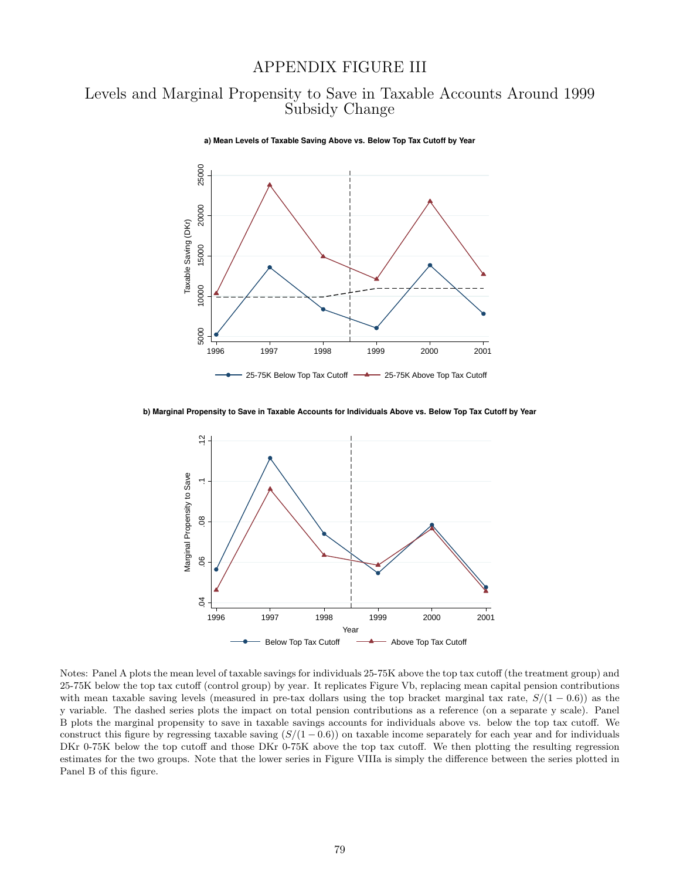#### APPENDIX FIGURE III

### Levels and Marginal Propensity to Save in Taxable Accounts Around 1999 Subsidy Change



**a) Mean Levels of Taxable Saving Above vs. Below Top Tax Cutoff by Year**

**b) Marginal Propensity to Save in Taxable Accounts for Individuals Above vs. Below Top Tax Cutoff by Year**



Notes: Panel A plots the mean level of taxable savings for individuals 25-75K above the top tax cutoff (the treatment group) and 25-75K below the top tax cutoff (control group) by year. It replicates Figure Vb, replacing mean capital pension contributions with mean taxable saving levels (measured in pre-tax dollars using the top bracket marginal tax rate,  $S/(1-0.6)$ ) as the y variable. The dashed series plots the impact on total pension contributions as a reference (on a separate y scale). Panel B plots the marginal propensity to save in taxable savings accounts for individuals above vs. below the top tax cutoff. We construct this figure by regressing taxable saving  $(S/(1 - 0.6))$  on taxable income separately for each year and for individuals DKr 0-75K below the top cutoff and those DKr 0-75K above the top tax cutoff. We then plotting the resulting regression estimates for the two groups. Note that the lower series in Figure VIIIa is simply the difference between the series plotted in Panel B of this figure.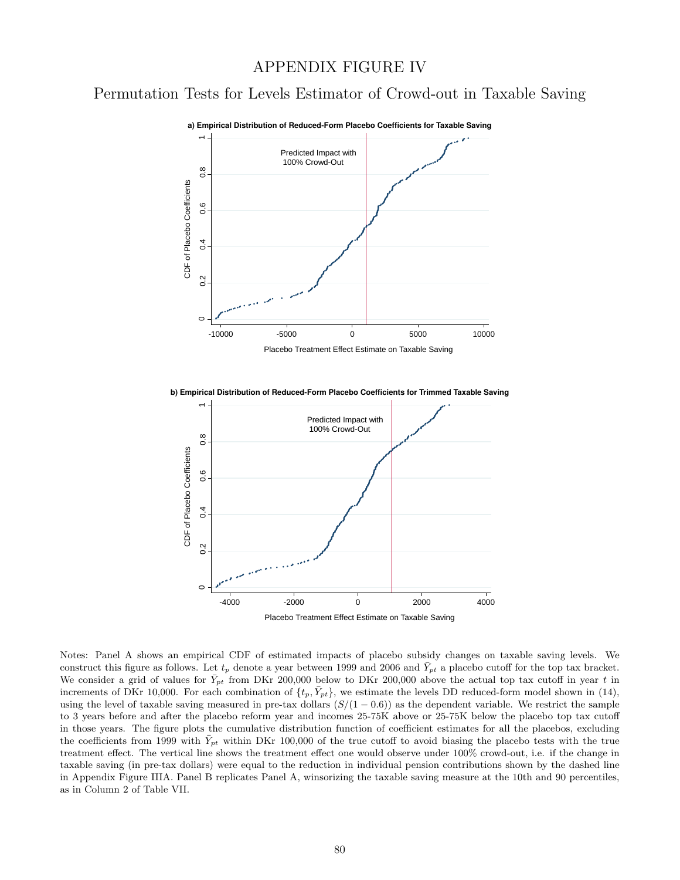#### APPENDIX FIGURE IV

# Permutation Tests for Levels Estimator of Crowd-out in Taxable Saving



**b) Empirical Distribution of Reduced-Form Placebo Coefficients for Trimmed Taxable Saving**



Notes: Panel A shows an empirical CDF of estimated impacts of placebo subsidy changes on taxable saving levels. We construct this figure as follows. Let  $t_p$  denote a year between 1999 and 2006 and  $\bar{Y}_{pt}$  a placebo cutoff for the top tax bracket. We consider a grid of values for  $\bar{Y}_{pt}$  from DKr 200,000 below to DKr 200,000 above the actual top tax cutoff in year t in increments of DKr 10,000. For each combination of  $\{t_p, \bar{Y}_{pt}\}$ , we estimate the levels DD reduced-form model shown in (14), using the level of taxable saving measured in pre-tax dollars  $(S/(1 - 0.6))$  as the dependent variable. We restrict the sample to 3 years before and after the placebo reform year and incomes 25-75K above or 25-75K below the placebo top tax cutoff in those years. The figure plots the cumulative distribution function of coefficient estimates for all the placebos, excluding the coefficients from 1999 with  $\bar{Y}_{pt}$  within DKr 100,000 of the true cutoff to avoid biasing the placebo tests with the true treatment effect. The vertical line shows the treatment effect one would observe under 100% crowd-out, i.e. if the change in taxable saving (in pre-tax dollars) were equal to the reduction in individual pension contributions shown by the dashed line in Appendix Figure IIIA. Panel B replicates Panel A, winsorizing the taxable saving measure at the 10th and 90 percentiles, as in Column 2 of Table VII.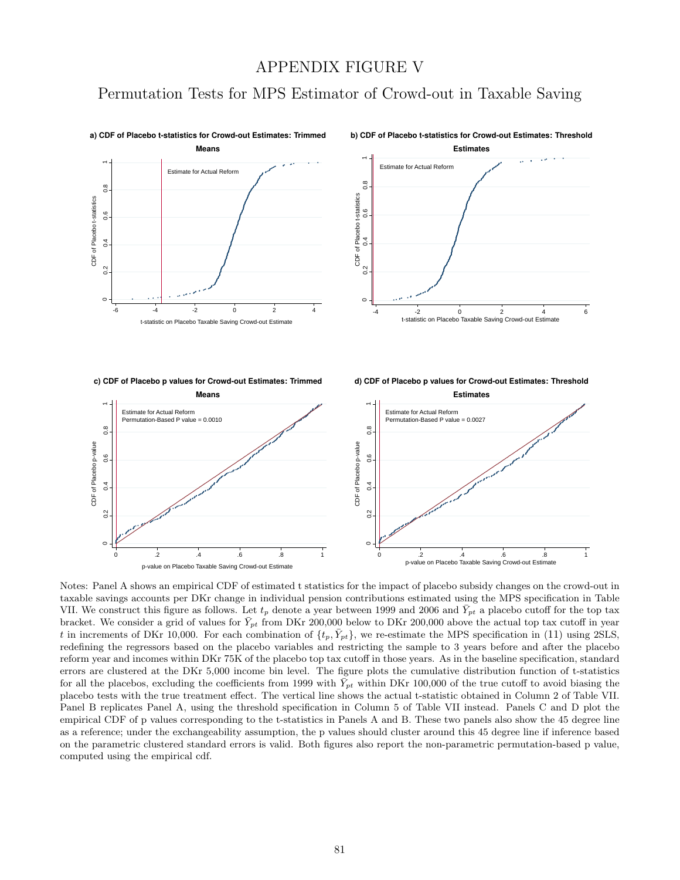#### APPENDIX FIGURE V

## Permutation Tests for MPS Estimator of Crowd-out in Taxable Saving



Notes: Panel A shows an empirical CDF of estimated t statistics for the impact of placebo subsidy changes on the crowd-out in taxable savings accounts per DKr change in individual pension contributions estimated using the MPS specification in Table VII. We construct this figure as follows. Let  $t_p$  denote a year between 1999 and 2006 and  $\bar{Y}_{pt}$  a placebo cutoff for the top tax bracket. We consider a grid of values for  $\bar{Y}_{pt}$  from DKr 200,000 below to DKr 200,000 above the actual top tax cutoff in year t in increments of DKr 10,000. For each combination of  $\{t_p, \bar{Y}_{pt}\}$ , we re-estimate the MPS specification in (11) using 2SLS, redefining the regressors based on the placebo variables and restricting the sample to 3 years before and after the placebo reform year and incomes within DKr 75K of the placebo top tax cutoff in those years. As in the baseline specification, standard errors are clustered at the DKr 5,000 income bin level. The figure plots the cumulative distribution function of t-statistics for all the placebos, excluding the coefficients from 1999 with  $\bar{Y}_{pt}$  within DKr 100,000 of the true cutoff to avoid biasing the placebo tests with the true treatment effect. The vertical line shows the actual t-statistic obtained in Column 2 of Table VII. Panel B replicates Panel A, using the threshold specification in Column 5 of Table VII instead. Panels C and D plot the empirical CDF of p values corresponding to the t-statistics in Panels A and B. These two panels also show the 45 degree line as a reference; under the exchangeability assumption, the p values should cluster around this 45 degree line if inference based on the parametric clustered standard errors is valid. Both figures also report the non-parametric permutation-based p value, computed using the empirical cdf.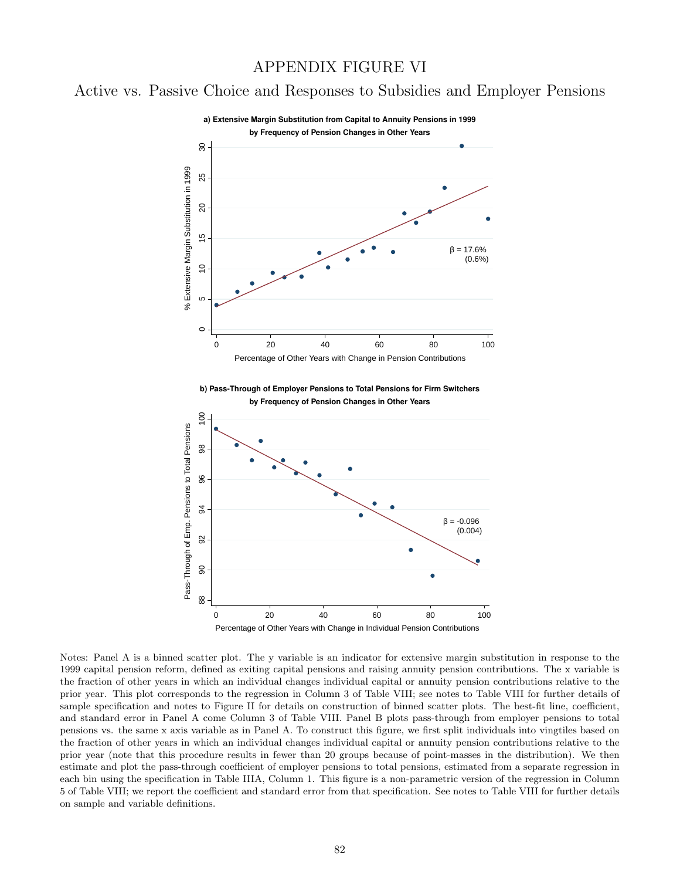#### APPENDIX FIGURE VI

## Active vs. Passive Choice and Responses to Subsidies and Employer Pensions



Notes: Panel A is a binned scatter plot. The y variable is an indicator for extensive margin substitution in response to the 1999 capital pension reform, defined as exiting capital pensions and raising annuity pension contributions. The x variable is the fraction of other years in which an individual changes individual capital or annuity pension contributions relative to the prior year. This plot corresponds to the regression in Column 3 of Table VIII; see notes to Table VIII for further details of sample specification and notes to Figure II for details on construction of binned scatter plots. The best-fit line, coefficient, and standard error in Panel A come Column 3 of Table VIII. Panel B plots pass-through from employer pensions to total pensions vs. the same x axis variable as in Panel A. To construct this figure, we first split individuals into vingtiles based on the fraction of other years in which an individual changes individual capital or annuity pension contributions relative to the prior year (note that this procedure results in fewer than 20 groups because of point-masses in the distribution). We then estimate and plot the pass-through coefficient of employer pensions to total pensions, estimated from a separate regression in each bin using the specification in Table IIIA, Column 1. This figure is a non-parametric version of the regression in Column 5 of Table VIII; we report the coefficient and standard error from that specification. See notes to Table VIII for further details on sample and variable definitions.